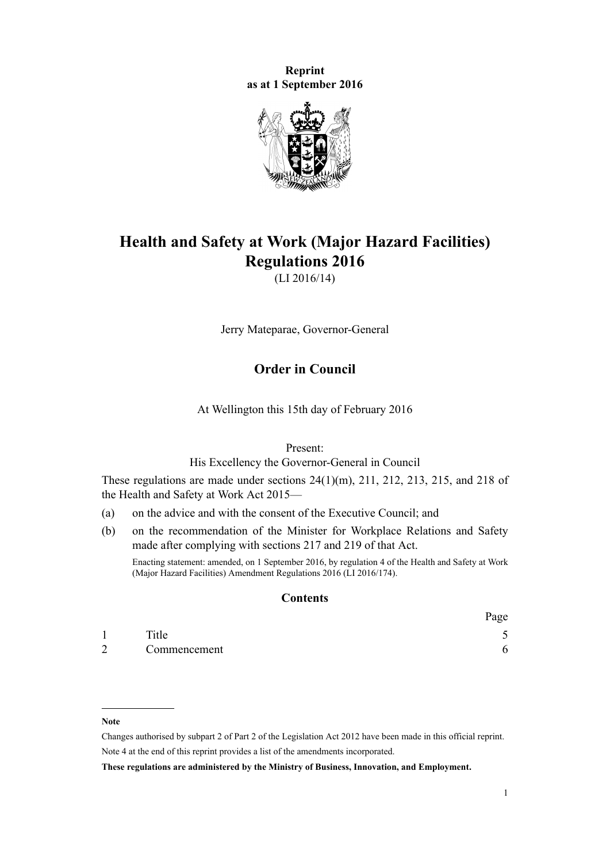**Reprint as at 1 September 2016**



# **Health and Safety at Work (Major Hazard Facilities) Regulations 2016**

(LI 2016/14)

Jerry Mateparae, Governor-General

# **Order in Council**

At Wellington this 15th day of February 2016

Present:

His Excellency the Governor-General in Council

These regulations are made under sections  $24(1)(m)$ ,  $211$ ,  $212$ ,  $213$ ,  $215$ , and  $218$  of the Health and Safety at Work Act 2015—

- (a) on the advice and with the consent of the Executive Council; and
- (b) on the recommendation of the Minister for Workplace Relations and Safety made after complying with sections [217](http://prd-lgnz-nlb.prd.pco.net.nz/pdflink.aspx?id=DLM5977219) and [219](http://prd-lgnz-nlb.prd.pco.net.nz/pdflink.aspx?id=DLM5977221) of that Act.

Enacting statement: amended, on 1 September 2016, by [regulation 4](http://prd-lgnz-nlb.prd.pco.net.nz/pdflink.aspx?id=DLM6907708) of the Health and Safety at Work (Major Hazard Facilities) Amendment Regulations 2016 (LI 2016/174).

#### **Contents**

|   |              | Page |
|---|--------------|------|
|   | Title        | ັ    |
| 2 | Commencement | 6    |

#### **Note**

Changes authorised by [subpart 2](http://prd-lgnz-nlb.prd.pco.net.nz/pdflink.aspx?id=DLM2998524) of Part 2 of the Legislation Act 2012 have been made in this official reprint. Note 4 at the end of this reprint provides a list of the amendments incorporated.

**These regulations are administered by the Ministry of Business, Innovation, and Employment.**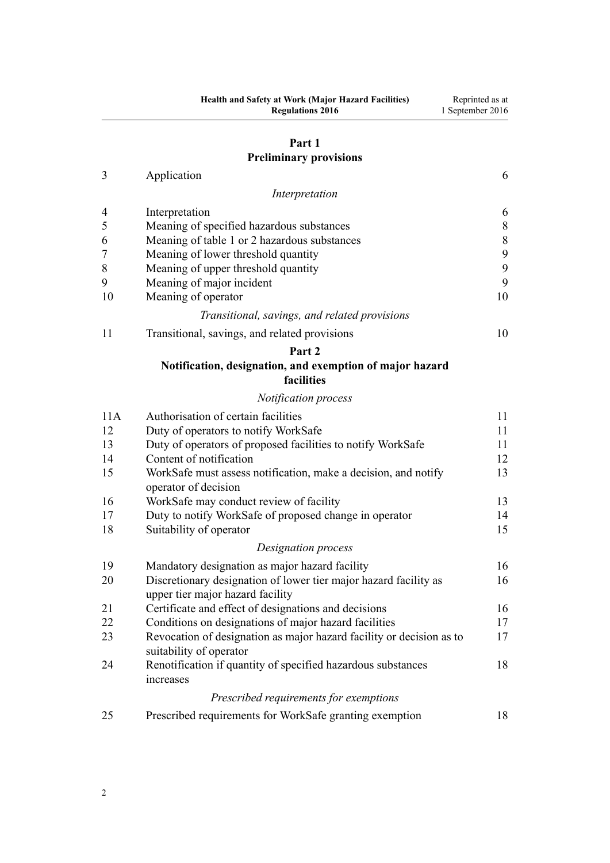# **[Part 1](#page-5-0) [Preliminary provisions](#page-5-0)**

| Application |  |
|-------------|--|
|             |  |

|                | Interpretation                                                                                       |    |
|----------------|------------------------------------------------------------------------------------------------------|----|
| $\overline{4}$ | Interpretation                                                                                       | 6  |
| 5              | Meaning of specified hazardous substances                                                            | 8  |
| 6              | Meaning of table 1 or 2 hazardous substances                                                         | 8  |
| $\overline{7}$ | Meaning of lower threshold quantity                                                                  | 9  |
| $\,$ $\,$      | Meaning of upper threshold quantity                                                                  | 9  |
| 9              | Meaning of major incident                                                                            | 9  |
| 10             | Meaning of operator                                                                                  | 10 |
|                | Transitional, savings, and related provisions                                                        |    |
| 11             | Transitional, savings, and related provisions                                                        | 10 |
|                | Part 2                                                                                               |    |
|                | Notification, designation, and exemption of major hazard<br>facilities                               |    |
|                | Notification process                                                                                 |    |
| 11A            | Authorisation of certain facilities                                                                  | 11 |
| 12             | Duty of operators to notify WorkSafe                                                                 | 11 |
| 13             | Duty of operators of proposed facilities to notify WorkSafe                                          | 11 |
| 14             | Content of notification                                                                              | 12 |
| 15             | WorkSafe must assess notification, make a decision, and notify<br>operator of decision               | 13 |
| 16             | WorkSafe may conduct review of facility                                                              | 13 |
| 17             | Duty to notify WorkSafe of proposed change in operator                                               | 14 |
| 18             | Suitability of operator                                                                              | 15 |
|                | Designation process                                                                                  |    |
| 19             | Mandatory designation as major hazard facility                                                       | 16 |
| 20             | Discretionary designation of lower tier major hazard facility as<br>upper tier major hazard facility | 16 |
| 21             | Certificate and effect of designations and decisions                                                 | 16 |
| 22             | Conditions on designations of major hazard facilities                                                | 17 |
| 23             | Revocation of designation as major hazard facility or decision as to<br>suitability of operator      | 17 |
| 24             | Renotification if quantity of specified hazardous substances<br>increases                            | 18 |
|                | Prescribed requirements for exemptions                                                               |    |

[25](#page-17-0) [Prescribed requirements for WorkSafe granting exemption](#page-17-0) [18](#page-17-0)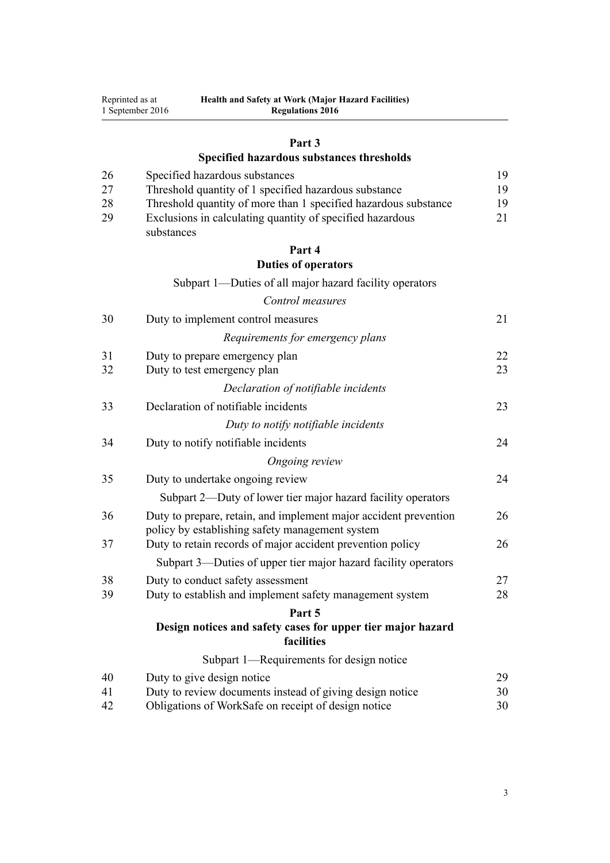|    | 1 September 2016<br><b>Regulations 2016</b>                               |    |
|----|---------------------------------------------------------------------------|----|
|    | Part 3                                                                    |    |
|    | Specified hazardous substances thresholds                                 |    |
| 26 | Specified hazardous substances                                            | 19 |
| 27 | Threshold quantity of 1 specified hazardous substance                     | 19 |
| 28 | Threshold quantity of more than 1 specified hazardous substance           | 19 |
| 29 | Exclusions in calculating quantity of specified hazardous<br>substances   | 21 |
|    | Part 4                                                                    |    |
|    | <b>Duties of operators</b>                                                |    |
|    | Subpart 1—Duties of all major hazard facility operators                   |    |
|    | Control measures                                                          |    |
| 30 | Duty to implement control measures                                        | 21 |
|    | Requirements for emergency plans                                          |    |
| 31 | Duty to prepare emergency plan                                            | 22 |
| 32 | Duty to test emergency plan                                               | 23 |
|    | Declaration of notifiable incidents                                       |    |
| 33 | Declaration of notifiable incidents                                       | 23 |
|    | Duty to notify notifiable incidents                                       |    |
| 34 | Duty to notify notifiable incidents                                       | 24 |
|    | Ongoing review                                                            |    |
| 35 | Duty to undertake ongoing review                                          | 24 |
|    | Subpart 2—Duty of lower tier major hazard facility operators              |    |
| 36 | Duty to prepare, retain, and implement major accident prevention          | 26 |
|    | policy by establishing safety management system                           |    |
| 37 | Duty to retain records of major accident prevention policy                | 26 |
|    | Subpart 3—Duties of upper tier major hazard facility operators            |    |
| 38 | Duty to conduct safety assessment                                         | 27 |
| 39 | Duty to establish and implement safety management system                  | 28 |
|    | Part 5                                                                    |    |
|    | Design notices and safety cases for upper tier major hazard<br>facilities |    |
|    | Subpart 1—Requirements for design notice                                  |    |
| 40 | Duty to give design notice                                                | 29 |
| 41 | Duty to review documents instead of giving design notice                  | 30 |
| 42 | Obligations of WorkSafe on receipt of design notice                       | 30 |

**Health and Safety at Work (Major Hazard Facilities)**

Reprinted as at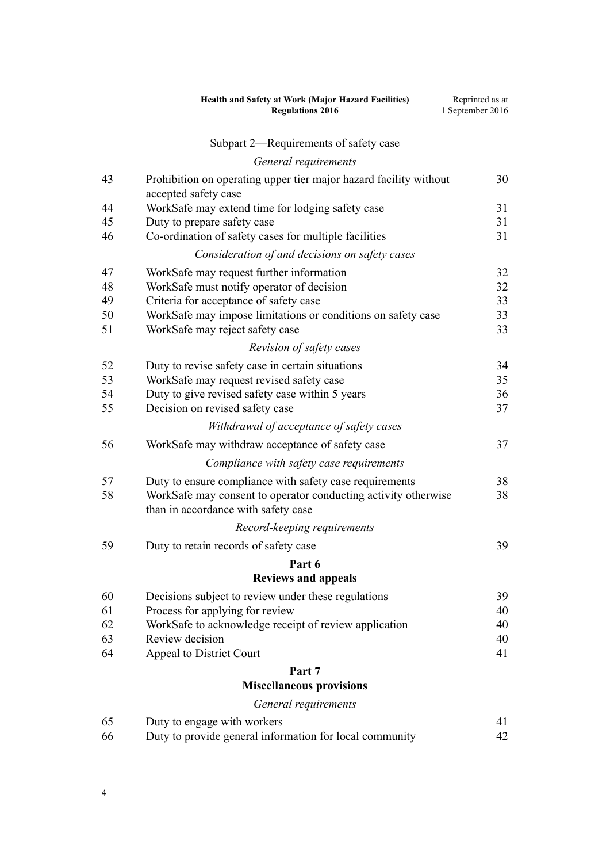|    | Health and Safety at Work (Major Hazard Facilities)<br><b>Regulations 2016</b>                        | Reprinted as at<br>1 September 2016 |
|----|-------------------------------------------------------------------------------------------------------|-------------------------------------|
|    | Subpart 2—Requirements of safety case                                                                 |                                     |
|    | General requirements                                                                                  |                                     |
| 43 | Prohibition on operating upper tier major hazard facility without<br>accepted safety case             | 30                                  |
| 44 | WorkSafe may extend time for lodging safety case                                                      | 31                                  |
| 45 | Duty to prepare safety case                                                                           | 31                                  |
| 46 | Co-ordination of safety cases for multiple facilities                                                 | 31                                  |
|    | Consideration of and decisions on safety cases                                                        |                                     |
| 47 | WorkSafe may request further information                                                              | 32                                  |
| 48 | WorkSafe must notify operator of decision                                                             | 32                                  |
| 49 | Criteria for acceptance of safety case                                                                | 33                                  |
| 50 | WorkSafe may impose limitations or conditions on safety case                                          | 33                                  |
| 51 | WorkSafe may reject safety case                                                                       | 33                                  |
|    | Revision of safety cases                                                                              |                                     |
| 52 | Duty to revise safety case in certain situations                                                      | 34                                  |
| 53 | WorkSafe may request revised safety case                                                              | 35                                  |
| 54 | Duty to give revised safety case within 5 years                                                       | 36                                  |
| 55 | Decision on revised safety case                                                                       | 37                                  |
|    | Withdrawal of acceptance of safety cases                                                              |                                     |
| 56 | WorkSafe may withdraw acceptance of safety case                                                       | 37                                  |
|    | Compliance with safety case requirements                                                              |                                     |
| 57 | Duty to ensure compliance with safety case requirements                                               | 38                                  |
| 58 | WorkSafe may consent to operator conducting activity otherwise<br>than in accordance with safety case | 38                                  |
|    | Record-keeping requirements                                                                           |                                     |
| 59 | Duty to retain records of safety case                                                                 | 39                                  |
|    | Part 6                                                                                                |                                     |
|    | <b>Reviews and appeals</b>                                                                            |                                     |
| 60 | Decisions subject to review under these regulations                                                   | 39                                  |
| 61 | Process for applying for review                                                                       | 40                                  |
| 62 | WorkSafe to acknowledge receipt of review application                                                 | 40                                  |
| 63 | Review decision                                                                                       | 40                                  |
| 64 | Appeal to District Court                                                                              | 41                                  |
|    | Part 7                                                                                                |                                     |
|    | <b>Miscellaneous provisions</b>                                                                       |                                     |
|    | General requirements                                                                                  |                                     |
| 65 | Duty to engage with workers                                                                           | 41                                  |
| 66 | Duty to provide general information for local community                                               | 42                                  |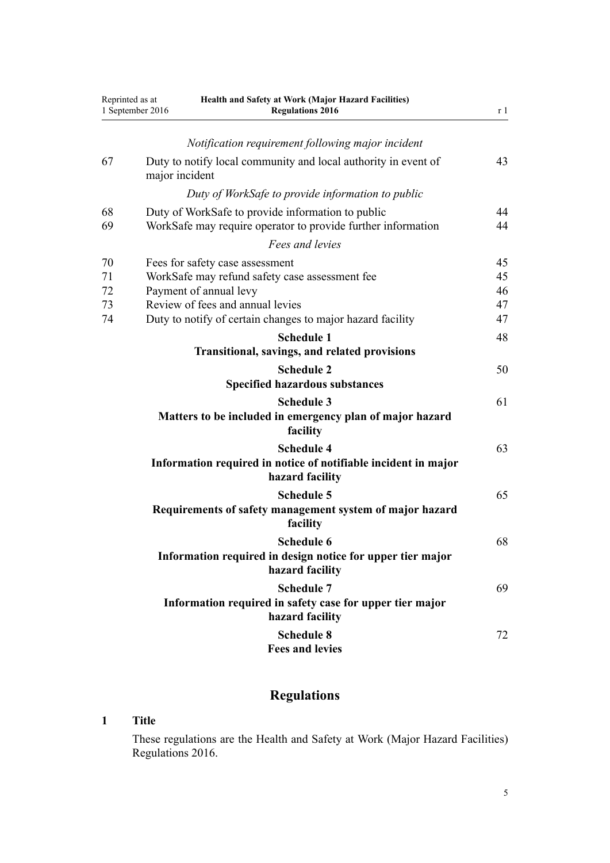<span id="page-4-0"></span>

| Reprinted as at<br>1 September 2016 |                | Health and Safety at Work (Major Hazard Facilities)<br><b>Regulations 2016</b>                                                                                                                                |                            |
|-------------------------------------|----------------|---------------------------------------------------------------------------------------------------------------------------------------------------------------------------------------------------------------|----------------------------|
|                                     |                | Notification requirement following major incident                                                                                                                                                             |                            |
| 67                                  | major incident | Duty to notify local community and local authority in event of                                                                                                                                                | 43                         |
|                                     |                | Duty of WorkSafe to provide information to public                                                                                                                                                             |                            |
| 68<br>69                            |                | Duty of WorkSafe to provide information to public<br>WorkSafe may require operator to provide further information                                                                                             | 44<br>44                   |
|                                     |                | Fees and levies                                                                                                                                                                                               |                            |
| 70<br>71<br>72<br>73<br>74          |                | Fees for safety case assessment<br>WorkSafe may refund safety case assessment fee<br>Payment of annual levy<br>Review of fees and annual levies<br>Duty to notify of certain changes to major hazard facility | 45<br>45<br>46<br>47<br>47 |
|                                     |                | <b>Schedule 1</b><br>Transitional, savings, and related provisions                                                                                                                                            | 48                         |
|                                     |                | <b>Schedule 2</b><br><b>Specified hazardous substances</b>                                                                                                                                                    | 50                         |
|                                     |                | <b>Schedule 3</b><br>Matters to be included in emergency plan of major hazard<br>facility                                                                                                                     | 61                         |
|                                     |                | <b>Schedule 4</b><br>Information required in notice of notifiable incident in major<br>hazard facility                                                                                                        | 63                         |
|                                     |                | <b>Schedule 5</b><br>Requirements of safety management system of major hazard<br>facility                                                                                                                     | 65                         |
|                                     |                | Schedule 6<br>Information required in design notice for upper tier major<br>hazard facility                                                                                                                   | 68                         |
|                                     |                | <b>Schedule 7</b><br>Information required in safety case for upper tier major<br>hazard facility                                                                                                              | 69                         |
|                                     |                | <b>Schedule 8</b><br><b>Fees and levies</b>                                                                                                                                                                   | 72                         |

# **Regulations**

# **1 Title**

These regulations are the Health and Safety at Work (Major Hazard Facilities) Regulations 2016.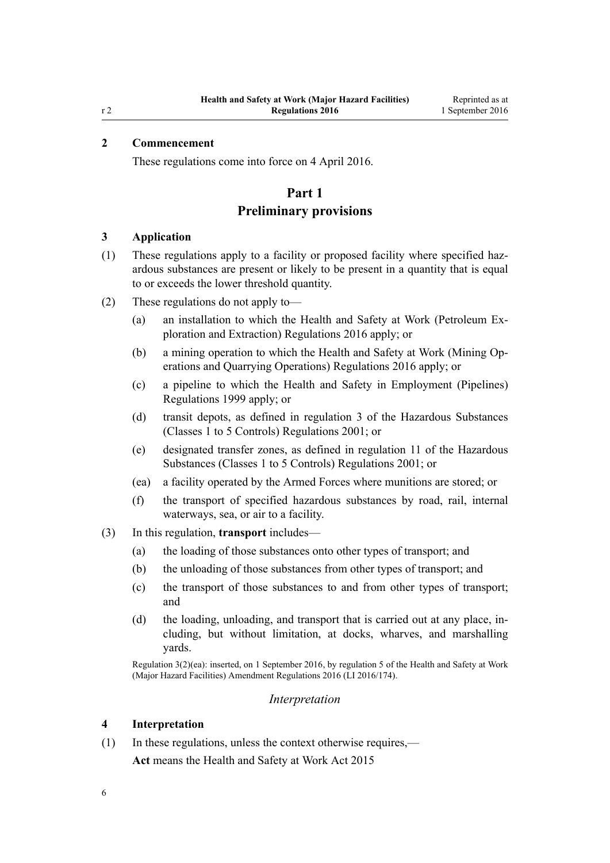# <span id="page-5-0"></span>**2 Commencement**

These regulations come into force on 4 April 2016.

# **Part 1**

# **Preliminary provisions**

### **3 Application**

- (1) These regulations apply to a facility or proposed facility where specified hazardous substances are present or likely to be present in a quantity that is equal to or exceeds the lower threshold quantity.
- (2) These regulations do not apply to—
	- (a) an installation to which the [Health and Safety at Work \(Petroleum Ex](http://prd-lgnz-nlb.prd.pco.net.nz/pdflink.aspx?id=DLM6728800)[ploration and Extraction\) Regulations 2016](http://prd-lgnz-nlb.prd.pco.net.nz/pdflink.aspx?id=DLM6728800) apply; or
	- (b) a mining operation to which the [Health and Safety at Work \(Mining Op](http://prd-lgnz-nlb.prd.pco.net.nz/pdflink.aspx?id=DLM6732828)[erations and Quarrying Operations\) Regulations 2016](http://prd-lgnz-nlb.prd.pco.net.nz/pdflink.aspx?id=DLM6732828) apply; or
	- (c) a pipeline to which the [Health and Safety in Employment \(Pipelines\)](http://prd-lgnz-nlb.prd.pco.net.nz/pdflink.aspx?id=DLM298847) [Regulations 1999](http://prd-lgnz-nlb.prd.pco.net.nz/pdflink.aspx?id=DLM298847) apply; or
	- (d) transit depots, as defined in [regulation 3](http://prd-lgnz-nlb.prd.pco.net.nz/pdflink.aspx?id=DLM36301) of the Hazardous Substances (Classes 1 to 5 Controls) Regulations 2001; or
	- (e) designated transfer zones, as defined in [regulation 11](http://prd-lgnz-nlb.prd.pco.net.nz/pdflink.aspx?id=DLM36382) of the Hazardous Substances (Classes 1 to 5 Controls) Regulations 2001; or
	- (ea) a facility operated by the Armed Forces where munitions are stored; or
	- (f) the transport of specified hazardous substances by road, rail, internal waterways, sea, or air to a facility.
- (3) In this regulation, **transport** includes—
	- (a) the loading of those substances onto other types of transport; and
	- (b) the unloading of those substances from other types of transport; and
	- (c) the transport of those substances to and from other types of transport; and
	- (d) the loading, unloading, and transport that is carried out at any place, including, but without limitation, at docks, wharves, and marshalling yards.

Regulation 3(2)(ea): inserted, on 1 September 2016, by [regulation 5](http://prd-lgnz-nlb.prd.pco.net.nz/pdflink.aspx?id=DLM6907709) of the Health and Safety at Work (Major Hazard Facilities) Amendment Regulations 2016 (LI 2016/174).

#### *Interpretation*

#### **4 Interpretation**

(1) In these regulations, unless the context otherwise requires,—

**Act** means the [Health and Safety at Work Act 2015](http://prd-lgnz-nlb.prd.pco.net.nz/pdflink.aspx?id=DLM5976602)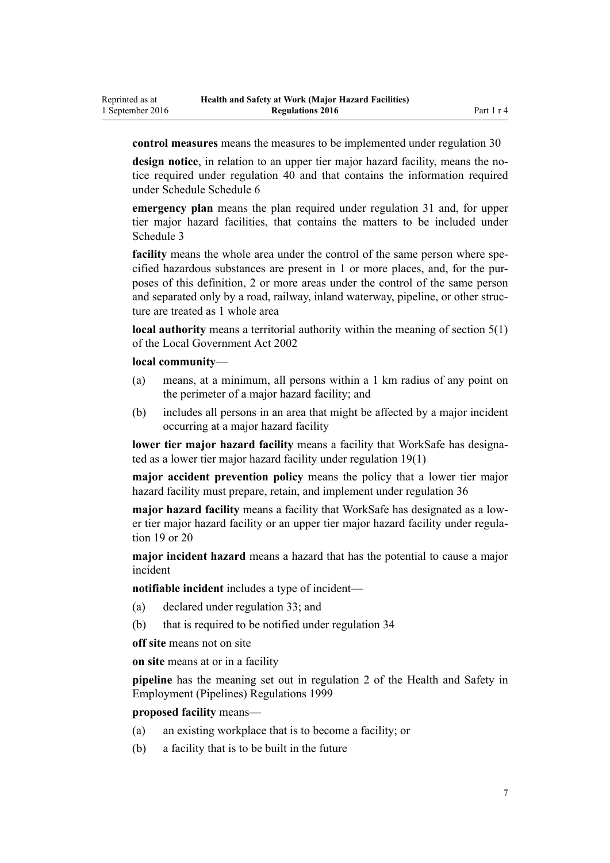**control measures** means the measures to be implemented under [regulation 30](#page-20-0)

**design notice**, in relation to an upper tier major hazard facility, means the notice required under [regulation 40](#page-28-0) and that contains the information required under Schedule [Schedule 6](#page-67-0)

**emergency plan** means the plan required under [regulation 31](#page-21-0) and, for upper tier major hazard facilities, that contains the matters to be included under [Schedule 3](#page-60-0)

**facility** means the whole area under the control of the same person where specified hazardous substances are present in 1 or more places, and, for the purposes of this definition, 2 or more areas under the control of the same person and separated only by a road, railway, inland waterway, pipeline, or other structure are treated as 1 whole area

**local authority** means a territorial authority within the meaning of [section 5\(1\)](http://prd-lgnz-nlb.prd.pco.net.nz/pdflink.aspx?id=DLM170881) of the Local Government Act 2002

#### **local community**—

Reprinted as at 1 September 2016

- (a) means, at a minimum, all persons within a 1 km radius of any point on the perimeter of a major hazard facility; and
- (b) includes all persons in an area that might be affected by a major incident occurring at a major hazard facility

**lower tier major hazard facility** means a facility that WorkSafe has designated as a lower tier major hazard facility under [regulation 19\(1\)](#page-15-0)

**major accident prevention policy** means the policy that a lower tier major hazard facility must prepare, retain, and implement under [regulation 36](#page-25-0)

**major hazard facility** means a facility that WorkSafe has designated as a lower tier major hazard facility or an upper tier major hazard facility under [regula](#page-15-0)[tion 19](#page-15-0) or [20](#page-15-0)

**major incident hazard** means a hazard that has the potential to cause a major incident

**notifiable incident** includes a type of incident—

- (a) declared under [regulation 33](#page-22-0); and
- (b) that is required to be notified under [regulation 34](#page-23-0)

**off site** means not on site

**on site** means at or in a facility

**pipeline** has the meaning set out in [regulation 2](http://prd-lgnz-nlb.prd.pco.net.nz/pdflink.aspx?id=DLM298853) of the Health and Safety in Employment (Pipelines) Regulations 1999

**proposed facility** means—

- (a) an existing workplace that is to become a facility; or
- (b) a facility that is to be built in the future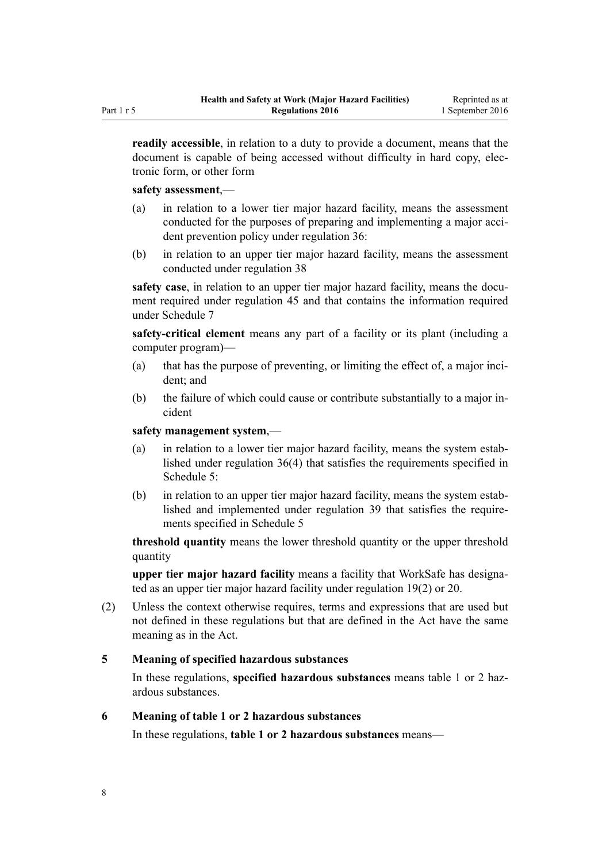<span id="page-7-0"></span>**readily accessible**, in relation to a duty to provide a document, means that the document is capable of being accessed without difficulty in hard copy, electronic form, or other form

#### **safety assessment**,—

- (a) in relation to a lower tier major hazard facility, means the assessment conducted for the purposes of preparing and implementing a major accident prevention policy under [regulation 36:](#page-25-0)
- (b) in relation to an upper tier major hazard facility, means the assessment conducted under [regulation 38](#page-26-0)

**safety case**, in relation to an upper tier major hazard facility, means the document required under [regulation 45](#page-30-0) and that contains the information required under [Schedule 7](#page-68-0)

**safety-critical element** means any part of a facility or its plant (including a computer program)—

- (a) that has the purpose of preventing, or limiting the effect of, a major incident; and
- (b) the failure of which could cause or contribute substantially to a major incident

**safety management system**,—

- (a) in relation to a lower tier major hazard facility, means the system established under [regulation 36\(4\)](#page-25-0) that satisfies the requirements specified in [Schedule 5:](#page-64-0)
- (b) in relation to an upper tier major hazard facility, means the system established and implemented under [regulation 39](#page-27-0) that satisfies the requirements specified in [Schedule 5](#page-64-0)

**threshold quantity** means the lower threshold quantity or the upper threshold quantity

**upper tier major hazard facility** means a facility that WorkSafe has designated as an upper tier major hazard facility under [regulation 19\(2\)](#page-15-0) or [20.](#page-15-0)

(2) Unless the context otherwise requires, terms and expressions that are used but not defined in these regulations but that are defined in the Act have the same meaning as in the Act.

#### **5 Meaning of specified hazardous substances**

In these regulations, **specified hazardous substances** means table 1 or 2 hazardous substances.

#### **6 Meaning of table 1 or 2 hazardous substances**

In these regulations, **table 1 or 2 hazardous substances** means—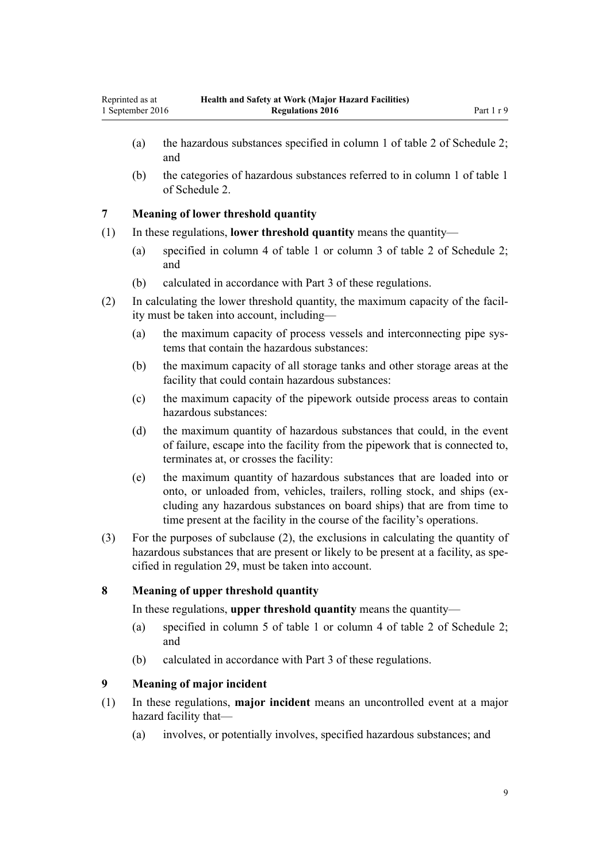- <span id="page-8-0"></span>(a) the hazardous substances specified in column 1 of table 2 of [Schedule 2;](#page-49-0) and
- (b) the categories of hazardous substances referred to in column 1 of table 1 of [Schedule 2](#page-49-0).

### **7 Meaning of lower threshold quantity**

- (1) In these regulations, **lower threshold quantity** means the quantity—
	- (a) specified in column 4 of table 1 or column 3 of table 2 of [Schedule 2;](#page-49-0) and
	- (b) calculated in accordance with [Part 3](#page-18-0) of these regulations.
- (2) In calculating the lower threshold quantity, the maximum capacity of the facility must be taken into account, including—
	- (a) the maximum capacity of process vessels and interconnecting pipe systems that contain the hazardous substances:
	- (b) the maximum capacity of all storage tanks and other storage areas at the facility that could contain hazardous substances:
	- (c) the maximum capacity of the pipework outside process areas to contain hazardous substances:
	- (d) the maximum quantity of hazardous substances that could, in the event of failure, escape into the facility from the pipework that is connected to, terminates at, or crosses the facility:
	- (e) the maximum quantity of hazardous substances that are loaded into or onto, or unloaded from, vehicles, trailers, rolling stock, and ships (excluding any hazardous substances on board ships) that are from time to time present at the facility in the course of the facility's operations.
- (3) For the purposes of subclause (2), the exclusions in calculating the quantity of hazardous substances that are present or likely to be present at a facility, as specified in [regulation 29](#page-20-0), must be taken into account.

# **8 Meaning of upper threshold quantity**

In these regulations, **upper threshold quantity** means the quantity—

- (a) specified in column 5 of table 1 or column 4 of table 2 of [Schedule 2;](#page-49-0) and
- (b) calculated in accordance with [Part 3](#page-18-0) of these regulations.

# **9 Meaning of major incident**

- (1) In these regulations, **major incident** means an uncontrolled event at a major hazard facility that—
	- (a) involves, or potentially involves, specified hazardous substances; and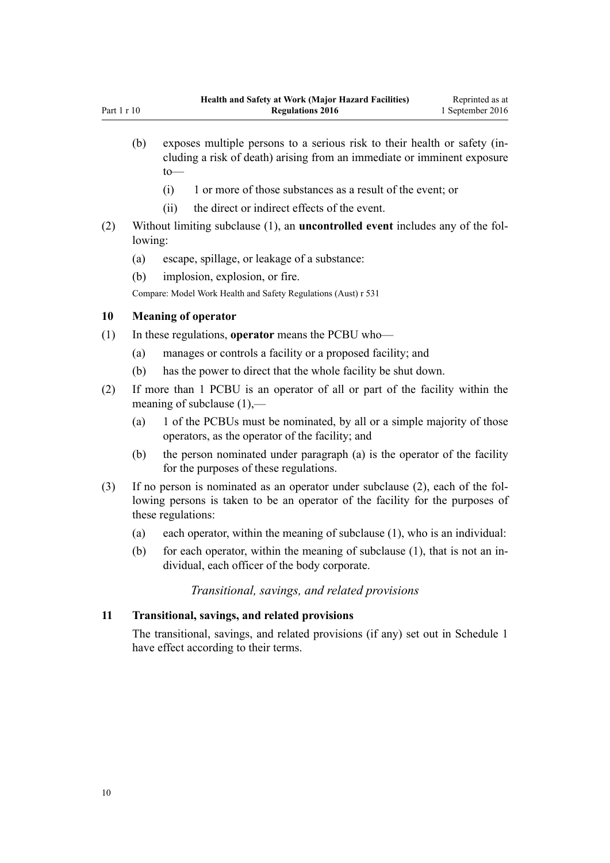- <span id="page-9-0"></span>(b) exposes multiple persons to a serious risk to their health or safety (including a risk of death) arising from an immediate or imminent exposure to—
	- (i) 1 or more of those substances as a result of the event; or
	- (ii) the direct or indirect effects of the event.
- (2) Without limiting subclause (1), an **uncontrolled event** includes any of the following:
	- (a) escape, spillage, or leakage of a substance:
	- (b) implosion, explosion, or fire.

Compare: Model Work Health and Safety Regulations (Aust) r 531

#### **10 Meaning of operator**

- (1) In these regulations, **operator** means the PCBU who—
	- (a) manages or controls a facility or a proposed facility; and
	- (b) has the power to direct that the whole facility be shut down.
- (2) If more than 1 PCBU is an operator of all or part of the facility within the meaning of subclause (1),—
	- (a) 1 of the PCBUs must be nominated, by all or a simple majority of those operators, as the operator of the facility; and
	- (b) the person nominated under paragraph (a) is the operator of the facility for the purposes of these regulations.
- (3) If no person is nominated as an operator under subclause (2), each of the following persons is taken to be an operator of the facility for the purposes of these regulations:
	- (a) each operator, within the meaning of subclause (1), who is an individual:
	- (b) for each operator, within the meaning of subclause (1), that is not an individual, each officer of the body corporate.

# *Transitional, savings, and related provisions*

## **11 Transitional, savings, and related provisions**

The transitional, savings, and related provisions (if any) set out in [Schedule 1](#page-47-0) have effect according to their terms.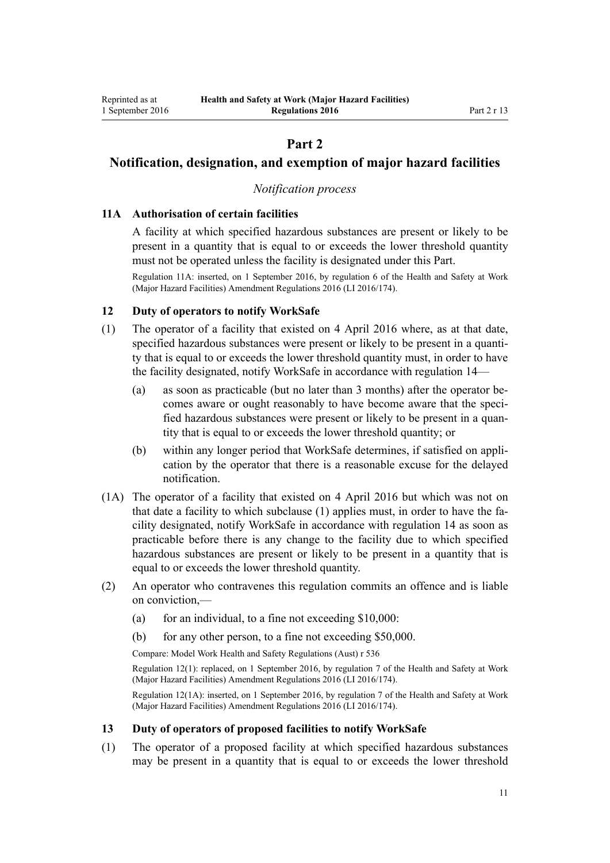# **Part 2**

# <span id="page-10-0"></span>**Notification, designation, and exemption of major hazard facilities**

# *Notification process*

### **11A Authorisation of certain facilities**

A facility at which specified hazardous substances are present or likely to be present in a quantity that is equal to or exceeds the lower threshold quantity must not be operated unless the facility is designated under this Part.

Regulation 11A: inserted, on 1 September 2016, by [regulation 6](http://prd-lgnz-nlb.prd.pco.net.nz/pdflink.aspx?id=DLM6907710) of the Health and Safety at Work (Major Hazard Facilities) Amendment Regulations 2016 (LI 2016/174).

### **12 Duty of operators to notify WorkSafe**

- (1) The operator of a facility that existed on 4 April 2016 where, as at that date, specified hazardous substances were present or likely to be present in a quantity that is equal to or exceeds the lower threshold quantity must, in order to have the facility designated, notify WorkSafe in accordance with [regulation 14](#page-11-0)—
	- (a) as soon as practicable (but no later than 3 months) after the operator becomes aware or ought reasonably to have become aware that the specified hazardous substances were present or likely to be present in a quantity that is equal to or exceeds the lower threshold quantity; or
	- (b) within any longer period that WorkSafe determines, if satisfied on application by the operator that there is a reasonable excuse for the delayed notification.
- (1A) The operator of a facility that existed on 4 April 2016 but which was not on that date a facility to which subclause (1) applies must, in order to have the facility designated, notify WorkSafe in accordance with [regulation 14](#page-11-0) as soon as practicable before there is any change to the facility due to which specified hazardous substances are present or likely to be present in a quantity that is equal to or exceeds the lower threshold quantity.
- (2) An operator who contravenes this regulation commits an offence and is liable on conviction,—
	- (a) for an individual, to a fine not exceeding  $$10,000$ :
	- (b) for any other person, to a fine not exceeding \$50,000.

Compare: Model Work Health and Safety Regulations (Aust) r 536

Regulation 12(1): replaced, on 1 September 2016, by [regulation 7](http://prd-lgnz-nlb.prd.pco.net.nz/pdflink.aspx?id=DLM6907712) of the Health and Safety at Work (Major Hazard Facilities) Amendment Regulations 2016 (LI 2016/174).

Regulation 12(1A): inserted, on 1 September 2016, by [regulation 7](http://prd-lgnz-nlb.prd.pco.net.nz/pdflink.aspx?id=DLM6907712) of the Health and Safety at Work (Major Hazard Facilities) Amendment Regulations 2016 (LI 2016/174).

#### **13 Duty of operators of proposed facilities to notify WorkSafe**

(1) The operator of a proposed facility at which specified hazardous substances may be present in a quantity that is equal to or exceeds the lower threshold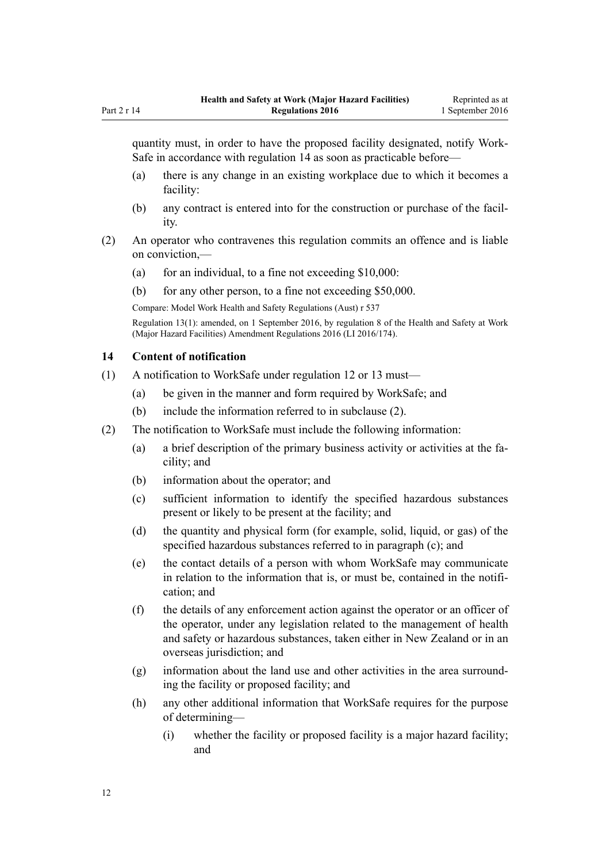<span id="page-11-0"></span>quantity must, in order to have the proposed facility designated, notify Work-Safe in accordance with regulation 14 as soon as practicable before—

- (a) there is any change in an existing workplace due to which it becomes a facility:
- (b) any contract is entered into for the construction or purchase of the facility.
- (2) An operator who contravenes this regulation commits an offence and is liable on conviction,—
	- (a) for an individual, to a fine not exceeding  $$10,000$ :
	- (b) for any other person, to a fine not exceeding \$50,000.

Compare: Model Work Health and Safety Regulations (Aust) r 537

Regulation 13(1): amended, on 1 September 2016, by [regulation 8](http://prd-lgnz-nlb.prd.pco.net.nz/pdflink.aspx?id=DLM6907713) of the Health and Safety at Work (Major Hazard Facilities) Amendment Regulations 2016 (LI 2016/174).

### **14 Content of notification**

- (1) A notification to WorkSafe under [regulation 12](#page-10-0) or [13](#page-10-0) must—
	- (a) be given in the manner and form required by WorkSafe; and
	- (b) include the information referred to in subclause (2).
- (2) The notification to WorkSafe must include the following information:
	- (a) a brief description of the primary business activity or activities at the facility; and
	- (b) information about the operator; and
	- (c) sufficient information to identify the specified hazardous substances present or likely to be present at the facility; and
	- (d) the quantity and physical form (for example, solid, liquid, or gas) of the specified hazardous substances referred to in paragraph (c); and
	- (e) the contact details of a person with whom WorkSafe may communicate in relation to the information that is, or must be, contained in the notification; and
	- (f) the details of any enforcement action against the operator or an officer of the operator, under any legislation related to the management of health and safety or hazardous substances, taken either in New Zealand or in an overseas jurisdiction; and
	- (g) information about the land use and other activities in the area surrounding the facility or proposed facility; and
	- (h) any other additional information that WorkSafe requires for the purpose of determining—
		- (i) whether the facility or proposed facility is a major hazard facility; and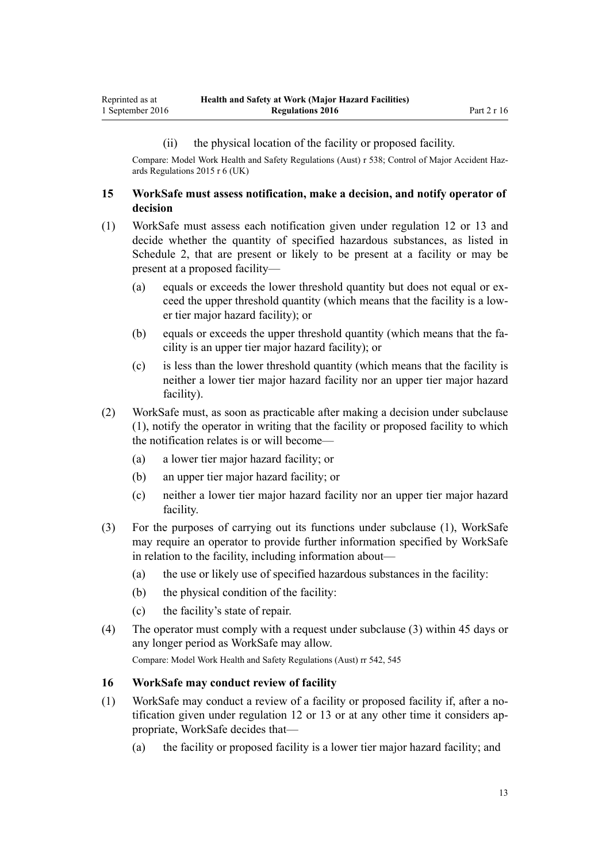#### (ii) the physical location of the facility or proposed facility.

<span id="page-12-0"></span>Compare: Model Work Health and Safety Regulations (Aust) r 538; Control of Major Accident Hazards Regulations 2015 r 6 (UK)

### **15 WorkSafe must assess notification, make a decision, and notify operator of decision**

- (1) WorkSafe must assess each notification given under [regulation 12](#page-10-0) or [13](#page-10-0) and decide whether the quantity of specified hazardous substances, as listed in [Schedule 2](#page-49-0), that are present or likely to be present at a facility or may be present at a proposed facility—
	- (a) equals or exceeds the lower threshold quantity but does not equal or exceed the upper threshold quantity (which means that the facility is a lower tier major hazard facility); or
	- (b) equals or exceeds the upper threshold quantity (which means that the facility is an upper tier major hazard facility); or
	- (c) is less than the lower threshold quantity (which means that the facility is neither a lower tier major hazard facility nor an upper tier major hazard facility).
- (2) WorkSafe must, as soon as practicable after making a decision under subclause (1), notify the operator in writing that the facility or proposed facility to which the notification relates is or will become—
	- (a) a lower tier major hazard facility; or
	- (b) an upper tier major hazard facility; or
	- (c) neither a lower tier major hazard facility nor an upper tier major hazard facility.
- (3) For the purposes of carrying out its functions under subclause (1), WorkSafe may require an operator to provide further information specified by WorkSafe in relation to the facility, including information about—
	- (a) the use or likely use of specified hazardous substances in the facility:
	- (b) the physical condition of the facility:
	- (c) the facility's state of repair.
- (4) The operator must comply with a request under subclause (3) within 45 days or any longer period as WorkSafe may allow.

Compare: Model Work Health and Safety Regulations (Aust) rr 542, 545

### **16 WorkSafe may conduct review of facility**

- (1) WorkSafe may conduct a review of a facility or proposed facility if, after a notification given under [regulation 12](#page-10-0) or [13](#page-10-0) or at any other time it considers appropriate, WorkSafe decides that—
	- (a) the facility or proposed facility is a lower tier major hazard facility; and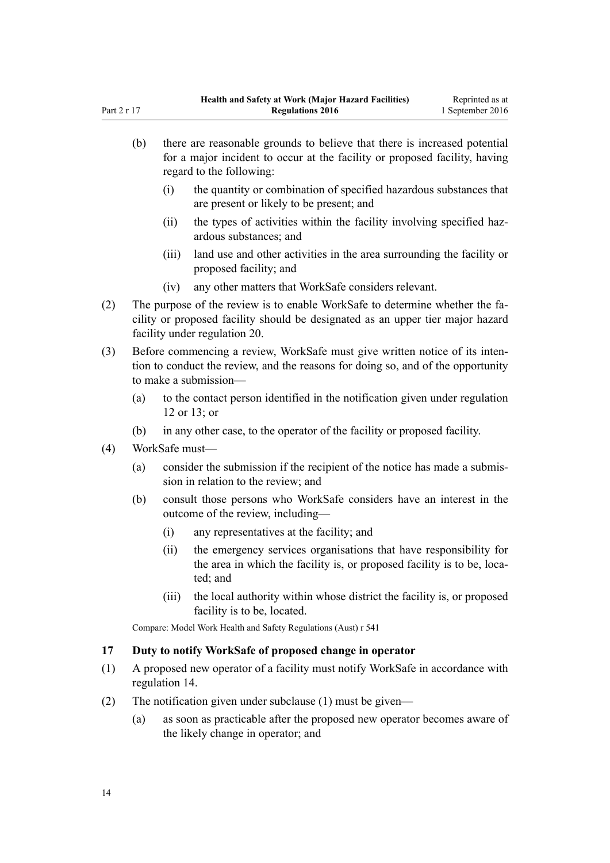|                              | there are reasonable grounds to believe that there is increased potential<br>(b)<br>for a major incident to occur at the facility or proposed facility, having<br>regard to the following: |                                                                                                                                                                                                 |                                                                                                                                                                 |  |  |
|------------------------------|--------------------------------------------------------------------------------------------------------------------------------------------------------------------------------------------|-------------------------------------------------------------------------------------------------------------------------------------------------------------------------------------------------|-----------------------------------------------------------------------------------------------------------------------------------------------------------------|--|--|
|                              |                                                                                                                                                                                            | (i)                                                                                                                                                                                             | the quantity or combination of specified hazardous substances that<br>are present or likely to be present; and                                                  |  |  |
|                              |                                                                                                                                                                                            | (ii)                                                                                                                                                                                            | the types of activities within the facility involving specified haz-<br>ardous substances; and                                                                  |  |  |
|                              |                                                                                                                                                                                            | (iii)                                                                                                                                                                                           | land use and other activities in the area surrounding the facility or<br>proposed facility; and                                                                 |  |  |
|                              |                                                                                                                                                                                            | (iv)                                                                                                                                                                                            | any other matters that WorkSafe considers relevant.                                                                                                             |  |  |
| (2)                          |                                                                                                                                                                                            | The purpose of the review is to enable WorkSafe to determine whether the fa-<br>cility or proposed facility should be designated as an upper tier major hazard<br>facility under regulation 20. |                                                                                                                                                                 |  |  |
| (3)<br>to make a submission- |                                                                                                                                                                                            |                                                                                                                                                                                                 | Before commencing a review, WorkSafe must give written notice of its inten-<br>tion to conduct the review, and the reasons for doing so, and of the opportunity |  |  |
|                              | (a)                                                                                                                                                                                        |                                                                                                                                                                                                 | to the contact person identified in the notification given under regulation<br>12 or 13; or                                                                     |  |  |
|                              | (b)                                                                                                                                                                                        |                                                                                                                                                                                                 | in any other case, to the operator of the facility or proposed facility.                                                                                        |  |  |
| (4)                          | WorkSafe must-                                                                                                                                                                             |                                                                                                                                                                                                 |                                                                                                                                                                 |  |  |
|                              | (a)                                                                                                                                                                                        | consider the submission if the recipient of the notice has made a submis-<br>sion in relation to the review; and                                                                                |                                                                                                                                                                 |  |  |
|                              | (b)                                                                                                                                                                                        |                                                                                                                                                                                                 | consult those persons who WorkSafe considers have an interest in the<br>outcome of the review, including-                                                       |  |  |
|                              |                                                                                                                                                                                            | (i)                                                                                                                                                                                             | any representatives at the facility; and                                                                                                                        |  |  |
|                              |                                                                                                                                                                                            | (ii)                                                                                                                                                                                            | the emergency services organisations that have responsibility for<br>the area in which the facility is, or proposed facility is to be, loca-<br>ted; and        |  |  |
|                              |                                                                                                                                                                                            | (iii)                                                                                                                                                                                           | the local authority within whose district the facility is, or proposed<br>facility is to be, located.                                                           |  |  |
|                              |                                                                                                                                                                                            | Compare: Model Work Health and Safety Regulations (Aust) r 541                                                                                                                                  |                                                                                                                                                                 |  |  |

# **17 Duty to notify WorkSafe of proposed change in operator**

- (1) A proposed new operator of a facility must notify WorkSafe in accordance with [regulation 14](#page-11-0).
- (2) The notification given under subclause (1) must be given—
	- (a) as soon as practicable after the proposed new operator becomes aware of the likely change in operator; and

<span id="page-13-0"></span>Part 2 r 17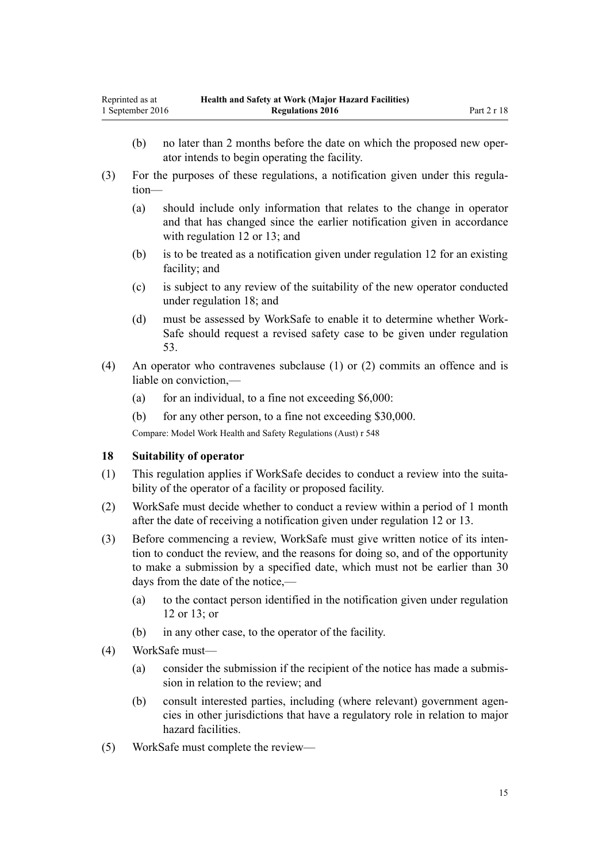- <span id="page-14-0"></span>(b) no later than 2 months before the date on which the proposed new operator intends to begin operating the facility.
- (3) For the purposes of these regulations, a notification given under this regulation—
	- (a) should include only information that relates to the change in operator and that has changed since the earlier notification given in accordance with [regulation 12](#page-10-0) or [13](#page-10-0); and
	- (b) is to be treated as a notification given under [regulation 12](#page-10-0) for an existing facility; and
	- (c) is subject to any review of the suitability of the new operator conducted under regulation 18; and
	- (d) must be assessed by WorkSafe to enable it to determine whether Work-Safe should request a revised safety case to be given under [regulation](#page-34-0) [53.](#page-34-0)
- (4) An operator who contravenes subclause (1) or (2) commits an offence and is liable on conviction,—
	- (a) for an individual, to a fine not exceeding  $$6,000$ :
	- (b) for any other person, to a fine not exceeding \$30,000.

Compare: Model Work Health and Safety Regulations (Aust) r 548

#### **18 Suitability of operator**

- (1) This regulation applies if WorkSafe decides to conduct a review into the suitability of the operator of a facility or proposed facility.
- (2) WorkSafe must decide whether to conduct a review within a period of 1 month after the date of receiving a notification given under [regulation 12](#page-10-0) or [13](#page-10-0).
- (3) Before commencing a review, WorkSafe must give written notice of its intention to conduct the review, and the reasons for doing so, and of the opportunity to make a submission by a specified date, which must not be earlier than 30 days from the date of the notice,—
	- (a) to the contact person identified in the notification given under [regulation](#page-10-0) [12](#page-10-0) or [13;](#page-10-0) or
	- (b) in any other case, to the operator of the facility.
- (4) WorkSafe must—
	- (a) consider the submission if the recipient of the notice has made a submission in relation to the review; and
	- (b) consult interested parties, including (where relevant) government agencies in other jurisdictions that have a regulatory role in relation to major hazard facilities.
- (5) WorkSafe must complete the review—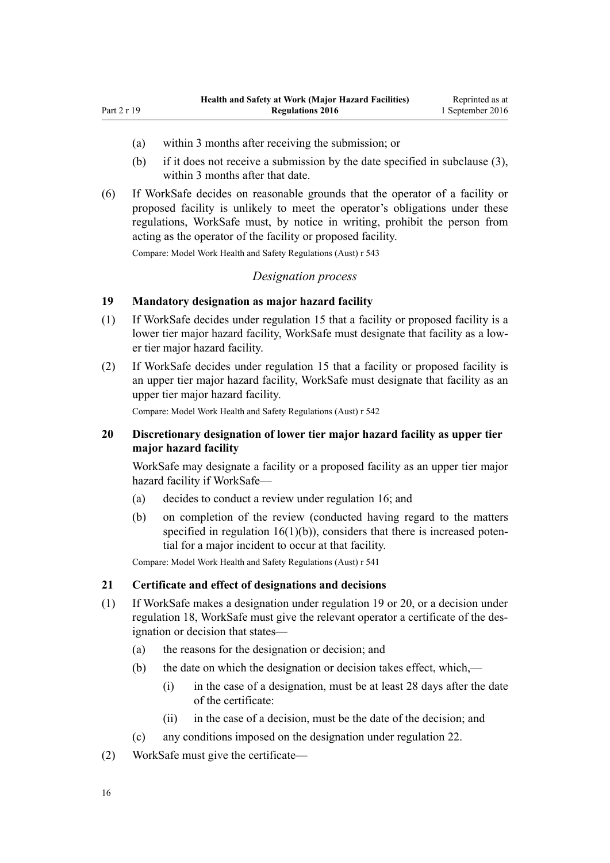(a) within 3 months after receiving the submission; or

<span id="page-15-0"></span>Part 2 r 19

- (b) if it does not receive a submission by the date specified in subclause (3), within 3 months after that date.
- (6) If WorkSafe decides on reasonable grounds that the operator of a facility or proposed facility is unlikely to meet the operator's obligations under these regulations, WorkSafe must, by notice in writing, prohibit the person from acting as the operator of the facility or proposed facility.

Compare: Model Work Health and Safety Regulations (Aust) r 543

#### *Designation process*

# **19 Mandatory designation as major hazard facility**

- (1) If WorkSafe decides under [regulation 15](#page-12-0) that a facility or proposed facility is a lower tier major hazard facility, WorkSafe must designate that facility as a lower tier major hazard facility.
- (2) If WorkSafe decides under [regulation 15](#page-12-0) that a facility or proposed facility is an upper tier major hazard facility, WorkSafe must designate that facility as an upper tier major hazard facility.

Compare: Model Work Health and Safety Regulations (Aust) r 542

### **20 Discretionary designation of lower tier major hazard facility as upper tier major hazard facility**

WorkSafe may designate a facility or a proposed facility as an upper tier major hazard facility if WorkSafe—

- (a) decides to conduct a review under [regulation 16;](#page-12-0) and
- (b) on completion of the review (conducted having regard to the matters specified in regulation  $16(1)(b)$ , considers that there is increased potential for a major incident to occur at that facility.

Compare: Model Work Health and Safety Regulations (Aust) r 541

#### **21 Certificate and effect of designations and decisions**

- (1) If WorkSafe makes a designation under regulation 19 or 20, or a decision under [regulation 18](#page-14-0), WorkSafe must give the relevant operator a certificate of the designation or decision that states—
	- (a) the reasons for the designation or decision; and
	- (b) the date on which the designation or decision takes effect, which,—
		- (i) in the case of a designation, must be at least 28 days after the date of the certificate:
		- (ii) in the case of a decision, must be the date of the decision; and
	- (c) any conditions imposed on the designation under [regulation 22.](#page-16-0)
- (2) WorkSafe must give the certificate—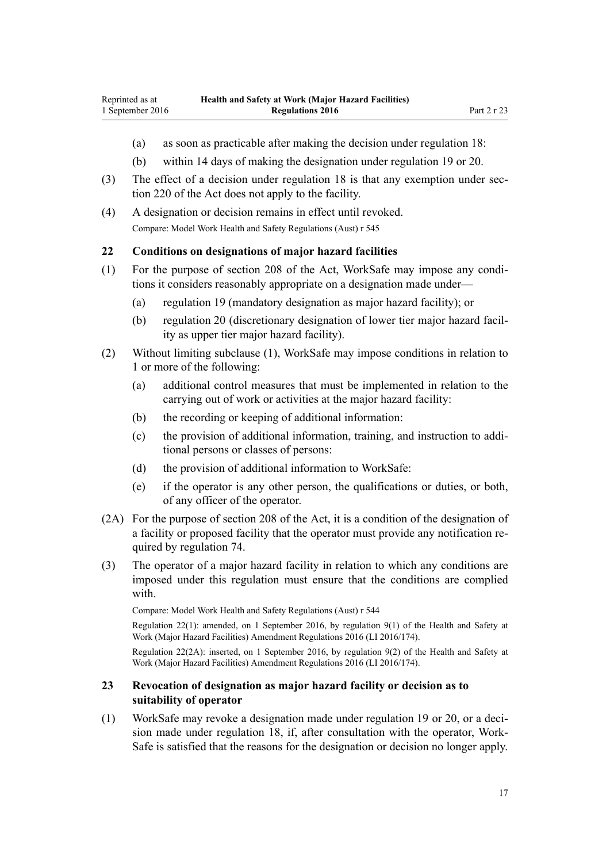- <span id="page-16-0"></span>(a) as soon as practicable after making the decision under [regulation 18:](#page-14-0)
- (b) within 14 days of making the designation under [regulation 19](#page-15-0) or [20](#page-15-0).
- (3) The effect of a decision under [regulation 18](#page-14-0) is that any exemption under [sec](http://prd-lgnz-nlb.prd.pco.net.nz/pdflink.aspx?id=DLM6544175)[tion 220](http://prd-lgnz-nlb.prd.pco.net.nz/pdflink.aspx?id=DLM6544175) of the Act does not apply to the facility.
- (4) A designation or decision remains in effect until revoked. Compare: Model Work Health and Safety Regulations (Aust) r 545

#### **22 Conditions on designations of major hazard facilities**

- (1) For the purpose of [section 208](http://prd-lgnz-nlb.prd.pco.net.nz/pdflink.aspx?id=DLM6544172) of the Act, WorkSafe may impose any conditions it considers reasonably appropriate on a designation made under—
	- (a) [regulation 19](#page-15-0) (mandatory designation as major hazard facility); or
	- (b) [regulation 20](#page-15-0) (discretionary designation of lower tier major hazard facility as upper tier major hazard facility).
- (2) Without limiting subclause (1), WorkSafe may impose conditions in relation to 1 or more of the following:
	- (a) additional control measures that must be implemented in relation to the carrying out of work or activities at the major hazard facility:
	- (b) the recording or keeping of additional information:
	- (c) the provision of additional information, training, and instruction to additional persons or classes of persons:
	- (d) the provision of additional information to WorkSafe:
	- (e) if the operator is any other person, the qualifications or duties, or both, of any officer of the operator.
- (2A) For the purpose of [section 208](http://prd-lgnz-nlb.prd.pco.net.nz/pdflink.aspx?id=DLM6544172) of the Act, it is a condition of the designation of a facility or proposed facility that the operator must provide any notification required by [regulation 74.](#page-46-0)
- (3) The operator of a major hazard facility in relation to which any conditions are imposed under this regulation must ensure that the conditions are complied with.

Compare: Model Work Health and Safety Regulations (Aust) r 544

Regulation 22(1): amended, on 1 September 2016, by [regulation 9\(1\)](http://prd-lgnz-nlb.prd.pco.net.nz/pdflink.aspx?id=DLM6907714) of the Health and Safety at Work (Major Hazard Facilities) Amendment Regulations 2016 (LI 2016/174).

Regulation 22(2A): inserted, on 1 September 2016, by [regulation 9\(2\)](http://prd-lgnz-nlb.prd.pco.net.nz/pdflink.aspx?id=DLM6907714) of the Health and Safety at Work (Major Hazard Facilities) Amendment Regulations 2016 (LI 2016/174).

### **23 Revocation of designation as major hazard facility or decision as to suitability of operator**

(1) WorkSafe may revoke a designation made under [regulation 19](#page-15-0) or [20](#page-15-0), or a decision made under [regulation 18,](#page-14-0) if, after consultation with the operator, Work-Safe is satisfied that the reasons for the designation or decision no longer apply.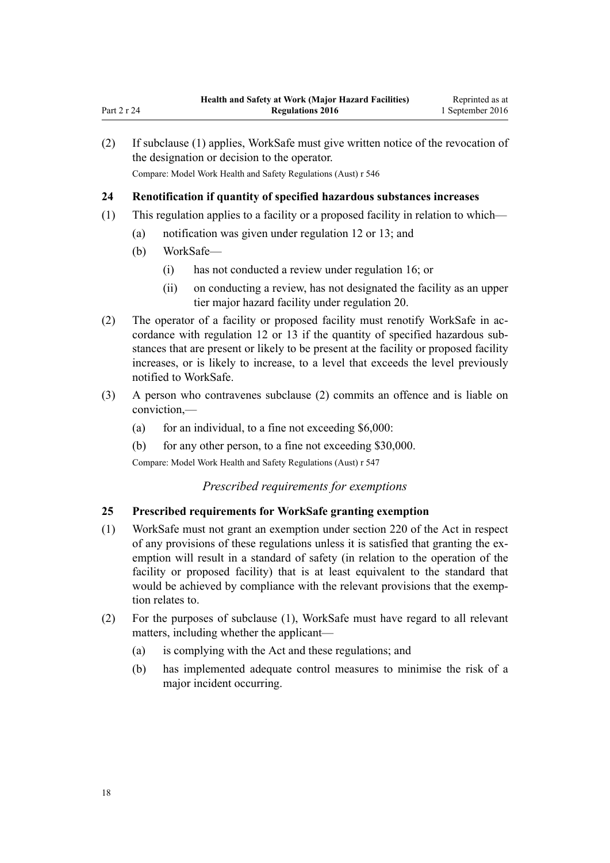| (2) |                                                                                    | If subclause (1) applies, WorkSafe must give written notice of the revocation of<br>the designation or decision to the operator.<br>Compare: Model Work Health and Safety Regulations (Aust) r 546 |  |
|-----|------------------------------------------------------------------------------------|----------------------------------------------------------------------------------------------------------------------------------------------------------------------------------------------------|--|
| 24  |                                                                                    | Renotification if quantity of specified hazardous substances increases                                                                                                                             |  |
| (1) | This regulation applies to a facility or a proposed facility in relation to which— |                                                                                                                                                                                                    |  |
|     | (a)                                                                                | notification was given under regulation 12 or 13; and                                                                                                                                              |  |
|     | (b)                                                                                | WorkSafe-                                                                                                                                                                                          |  |
|     |                                                                                    | has not conducted a review under regulation 16; or<br>(1)                                                                                                                                          |  |
|     |                                                                                    | on conducting a review has not designated the facility as an unner<br>(11)                                                                                                                         |  |

- (ii) on conducting a review, has not designated the facility as an upper tier major hazard facility under [regulation 20](#page-15-0).
- (2) The operator of a facility or proposed facility must renotify WorkSafe in accordance with [regulation 12](#page-10-0) or [13](#page-10-0) if the quantity of specified hazardous substances that are present or likely to be present at the facility or proposed facility increases, or is likely to increase, to a level that exceeds the level previously notified to WorkSafe.
- (3) A person who contravenes subclause (2) commits an offence and is liable on conviction,—
	- (a) for an individual, to a fine not exceeding  $$6,000$ :
	- (b) for any other person, to a fine not exceeding \$30,000.

Compare: Model Work Health and Safety Regulations (Aust) r 547

# *Prescribed requirements for exemptions*

# **25 Prescribed requirements for WorkSafe granting exemption**

- (1) WorkSafe must not grant an exemption under [section 220](http://prd-lgnz-nlb.prd.pco.net.nz/pdflink.aspx?id=DLM6544175) of the Act in respect of any provisions of these regulations unless it is satisfied that granting the exemption will result in a standard of safety (in relation to the operation of the facility or proposed facility) that is at least equivalent to the standard that would be achieved by compliance with the relevant provisions that the exemption relates to.
- (2) For the purposes of subclause (1), WorkSafe must have regard to all relevant matters, including whether the applicant—
	- (a) is complying with the Act and these regulations; and
	- (b) has implemented adequate control measures to minimise the risk of a major incident occurring.

<span id="page-17-0"></span>Part 2 r 24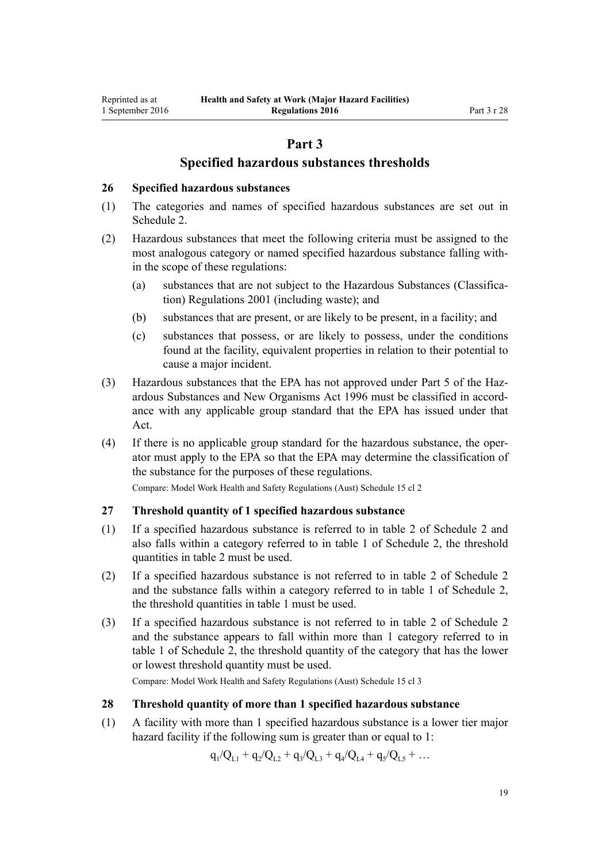# **Part 3**

# **Specified hazardous substances thresholds**

#### <span id="page-18-0"></span>**26 Specified hazardous substances**

- (1) The categories and names of specified hazardous substances are set out in [Schedule 2.](#page-49-0)
- (2) Hazardous substances that meet the following criteria must be assigned to the most analogous category or named specified hazardous substance falling within the scope of these regulations:
	- (a) substances that are not subject to the [Hazardous Substances \(Classifica](http://prd-lgnz-nlb.prd.pco.net.nz/pdflink.aspx?id=DLM33832)[tion\) Regulations 2001](http://prd-lgnz-nlb.prd.pco.net.nz/pdflink.aspx?id=DLM33832) (including waste); and
	- (b) substances that are present, or are likely to be present, in a facility; and
	- (c) substances that possess, or are likely to possess, under the conditions found at the facility, equivalent properties in relation to their potential to cause a major incident.
- (3) Hazardous substances that the EPA has not approved under [Part 5](http://prd-lgnz-nlb.prd.pco.net.nz/pdflink.aspx?id=DLM383157) of the Hazardous Substances and New Organisms Act 1996 must be classified in accordance with any applicable group standard that the EPA has issued under that Act.
- (4) If there is no applicable group standard for the hazardous substance, the operator must apply to the EPA so that the EPA may determine the classification of the substance for the purposes of these regulations.

Compare: Model Work Health and Safety Regulations (Aust) Schedule 15 cl 2

## **27 Threshold quantity of 1 specified hazardous substance**

- (1) If a specified hazardous substance is referred to in table 2 of [Schedule 2](#page-49-0) and also falls within a category referred to in table 1 of Schedule 2, the threshold quantities in table 2 must be used.
- (2) If a specified hazardous substance is not referred to in table 2 of [Schedule 2](#page-49-0) and the substance falls within a category referred to in table 1 of Schedule 2, the threshold quantities in table 1 must be used.
- (3) If a specified hazardous substance is not referred to in table 2 of [Schedule 2](#page-49-0) and the substance appears to fall within more than 1 category referred to in table 1 of Schedule 2, the threshold quantity of the category that has the lower or lowest threshold quantity must be used.

Compare: Model Work Health and Safety Regulations (Aust) Schedule 15 cl 3

#### **28 Threshold quantity of more than 1 specified hazardous substance**

(1) A facility with more than 1 specified hazardous substance is a lower tier major hazard facility if the following sum is greater than or equal to 1:

 $q_1/Q_{L1} + q_2/Q_{L2} + q_3/Q_{L3} + q_4/Q_{L4} + q_5/Q_{L5} + ...$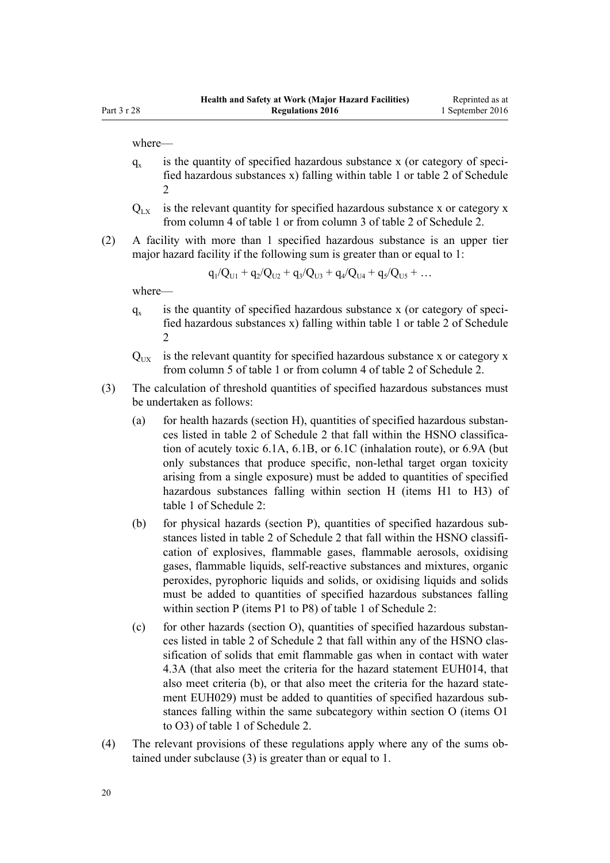where—

- $q_{x}$ is the quantity of specified hazardous substance x (or category of specified hazardous substances x) falling within table 1 or table 2 of [Schedule](#page-49-0) [2](#page-49-0)
- $Q_{\text{tx}}$  is the relevant quantity for specified hazardous substance x or category x from column 4 of table 1 or from column 3 of table 2 of [Schedule 2.](#page-49-0)
- (2) A facility with more than 1 specified hazardous substance is an upper tier major hazard facility if the following sum is greater than or equal to 1:

$$
q_1/Q_{U1} + q_2/Q_{U2} + q_3/Q_{U3} + q_4/Q_{U4} + q_5/Q_{U5} + \dots
$$

where—

- $q_{\rm v}$ is the quantity of specified hazardous substance x (or category of specified hazardous substances x) falling within table 1 or table 2 of [Schedule](#page-49-0)  $\mathfrak{D}$
- $Q_{\text{UV}}$  is the relevant quantity for specified hazardous substance x or category x from column 5 of table 1 or from column 4 of table 2 of [Schedule 2.](#page-49-0)
- (3) The calculation of threshold quantities of specified hazardous substances must be undertaken as follows:
	- (a) for health hazards (section H), quantities of specified hazardous substances listed in table 2 of [Schedule 2](#page-49-0) that fall within the HSNO classification of acutely toxic 6.1A, 6.1B, or 6.1C (inhalation route), or 6.9A (but only substances that produce specific, non-lethal target organ toxicity arising from a single exposure) must be added to quantities of specified hazardous substances falling within section H (items H1 to H3) of table 1 of Schedule 2:
	- (b) for physical hazards (section P), quantities of specified hazardous substances listed in table 2 of [Schedule 2](#page-49-0) that fall within the HSNO classification of explosives, flammable gases, flammable aerosols, oxidising gases, flammable liquids, self-reactive substances and mixtures, organic peroxides, pyrophoric liquids and solids, or oxidising liquids and solids must be added to quantities of specified hazardous substances falling within section P (items P1 to P8) of table 1 of Schedule 2:
	- (c) for other hazards (section O), quantities of specified hazardous substances listed in table 2 of [Schedule 2](#page-49-0) that fall within any of the HSNO classification of solids that emit flammable gas when in contact with water 4.3A (that also meet the criteria for the hazard statement EUH014, that also meet criteria (b), or that also meet the criteria for the hazard statement EUH029) must be added to quantities of specified hazardous substances falling within the same subcategory within section O (items O1 to O3) of table 1 of Schedule 2.
- (4) The relevant provisions of these regulations apply where any of the sums obtained under subclause (3) is greater than or equal to 1.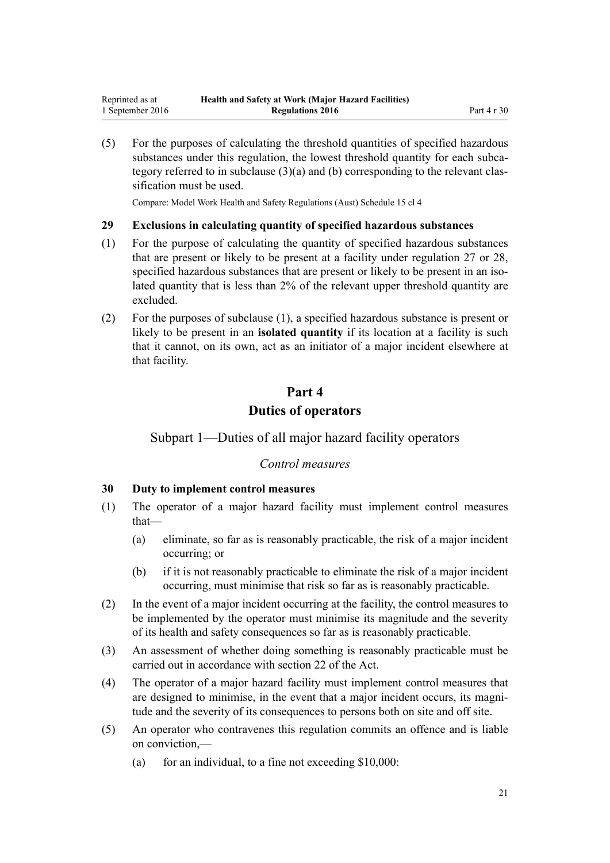<span id="page-20-0"></span>(5) For the purposes of calculating the threshold quantities of specified hazardous substances under this regulation, the lowest threshold quantity for each subcategory referred to in subclause (3)(a) and (b) corresponding to the relevant classification must be used.

Compare: Model Work Health and Safety Regulations (Aust) Schedule 15 cl 4

#### **29 Exclusions in calculating quantity of specified hazardous substances**

- (1) For the purpose of calculating the quantity of specified hazardous substances that are present or likely to be present at a facility under [regulation 27](#page-18-0) or [28](#page-18-0), specified hazardous substances that are present or likely to be present in an isolated quantity that is less than 2% of the relevant upper threshold quantity are excluded.
- (2) For the purposes of subclause (1), a specified hazardous substance is present or likely to be present in an **isolated quantity** if its location at a facility is such that it cannot, on its own, act as an initiator of a major incident elsewhere at that facility.

# **Part 4 Duties of operators**

# Subpart 1—Duties of all major hazard facility operators

# *Control measures*

#### **30 Duty to implement control measures**

- (1) The operator of a major hazard facility must implement control measures that—
	- (a) eliminate, so far as is reasonably practicable, the risk of a major incident occurring; or
	- (b) if it is not reasonably practicable to eliminate the risk of a major incident occurring, must minimise that risk so far as is reasonably practicable.
- (2) In the event of a major incident occurring at the facility, the control measures to be implemented by the operator must minimise its magnitude and the severity of its health and safety consequences so far as is reasonably practicable.
- (3) An assessment of whether doing something is reasonably practicable must be carried out in accordance with [section 22](http://prd-lgnz-nlb.prd.pco.net.nz/pdflink.aspx?id=DLM5976866) of the Act.
- (4) The operator of a major hazard facility must implement control measures that are designed to minimise, in the event that a major incident occurs, its magnitude and the severity of its consequences to persons both on site and off site.
- (5) An operator who contravenes this regulation commits an offence and is liable on conviction,—
	- (a) for an individual, to a fine not exceeding  $$10,000$ :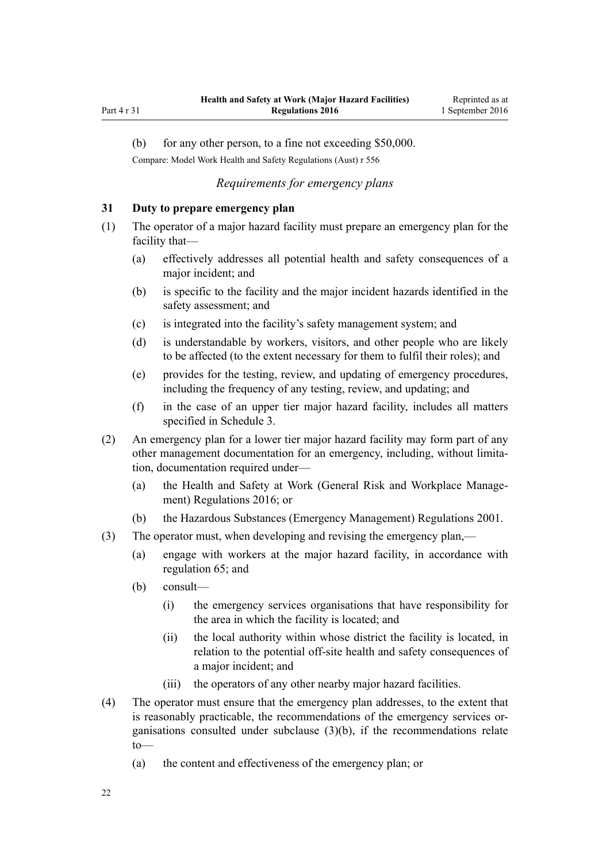<span id="page-21-0"></span>Part 4 r 31

(b) for any other person, to a fine not exceeding \$50,000.

Compare: Model Work Health and Safety Regulations (Aust) r 556

# *Requirements for emergency plans*

# **31 Duty to prepare emergency plan**

- (1) The operator of a major hazard facility must prepare an emergency plan for the facility that—
	- (a) effectively addresses all potential health and safety consequences of a major incident; and
	- (b) is specific to the facility and the major incident hazards identified in the safety assessment; and
	- (c) is integrated into the facility's safety management system; and
	- (d) is understandable by workers, visitors, and other people who are likely to be affected (to the extent necessary for them to fulfil their roles); and
	- (e) provides for the testing, review, and updating of emergency procedures, including the frequency of any testing, review, and updating; and
	- (f) in the case of an upper tier major hazard facility, includes all matters specified in [Schedule 3](#page-60-0).
- (2) An emergency plan for a lower tier major hazard facility may form part of any other management documentation for an emergency, including, without limitation, documentation required under—
	- (a) the [Health and Safety at Work \(General Risk and Workplace Manage](http://prd-lgnz-nlb.prd.pco.net.nz/pdflink.aspx?id=DLM6727529)[ment\) Regulations 2016;](http://prd-lgnz-nlb.prd.pco.net.nz/pdflink.aspx?id=DLM6727529) or
	- (b) the [Hazardous Substances \(Emergency Management\) Regulations 2001.](http://prd-lgnz-nlb.prd.pco.net.nz/pdflink.aspx?id=DLM43172)
- (3) The operator must, when developing and revising the emergency plan,—
	- (a) engage with workers at the major hazard facility, in accordance with [regulation 65](#page-40-0); and
	- (b) consult—
		- (i) the emergency services organisations that have responsibility for the area in which the facility is located; and
		- (ii) the local authority within whose district the facility is located, in relation to the potential off-site health and safety consequences of a major incident; and
		- (iii) the operators of any other nearby major hazard facilities.
- (4) The operator must ensure that the emergency plan addresses, to the extent that is reasonably practicable, the recommendations of the emergency services organisations consulted under subclause (3)(b), if the recommendations relate to—
	- (a) the content and effectiveness of the emergency plan; or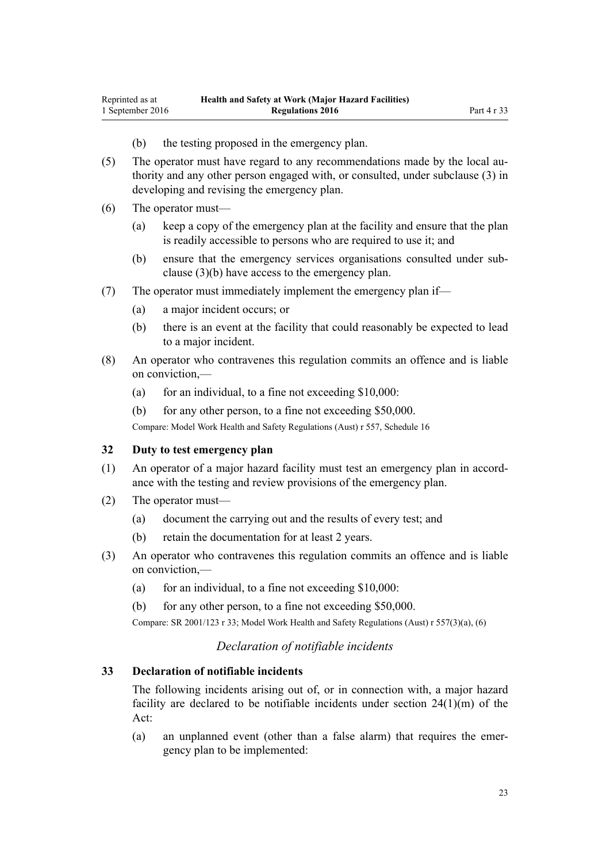- (b) the testing proposed in the emergency plan.
- <span id="page-22-0"></span>(5) The operator must have regard to any recommendations made by the local authority and any other person engaged with, or consulted, under subclause (3) in developing and revising the emergency plan.
- (6) The operator must—
	- (a) keep a copy of the emergency plan at the facility and ensure that the plan is readily accessible to persons who are required to use it; and
	- (b) ensure that the emergency services organisations consulted under subclause (3)(b) have access to the emergency plan.
- (7) The operator must immediately implement the emergency plan if—
	- (a) a major incident occurs; or
	- (b) there is an event at the facility that could reasonably be expected to lead to a major incident.
- (8) An operator who contravenes this regulation commits an offence and is liable on conviction,—
	- (a) for an individual, to a fine not exceeding  $$10,000$ :
	- (b) for any other person, to a fine not exceeding \$50,000.

Compare: Model Work Health and Safety Regulations (Aust) r 557, Schedule 16

#### **32 Duty to test emergency plan**

- (1) An operator of a major hazard facility must test an emergency plan in accordance with the testing and review provisions of the emergency plan.
- (2) The operator must—
	- (a) document the carrying out and the results of every test; and
	- (b) retain the documentation for at least 2 years.
- (3) An operator who contravenes this regulation commits an offence and is liable on conviction,—
	- (a) for an individual, to a fine not exceeding  $$10,000$ :
	- (b) for any other person, to a fine not exceeding \$50,000.

Compare: SR 2001/123 [r 33;](http://prd-lgnz-nlb.prd.pco.net.nz/pdflink.aspx?id=DLM43880) Model Work Health and Safety Regulations (Aust) r 557(3)(a), (6)

# *Declaration of notifiable incidents*

## **33 Declaration of notifiable incidents**

The following incidents arising out of, or in connection with, a major hazard facility are declared to be notifiable incidents under [section 24\(1\)\(m\)](http://prd-lgnz-nlb.prd.pco.net.nz/pdflink.aspx?id=DLM5976877) of the Act:

(a) an unplanned event (other than a false alarm) that requires the emergency plan to be implemented: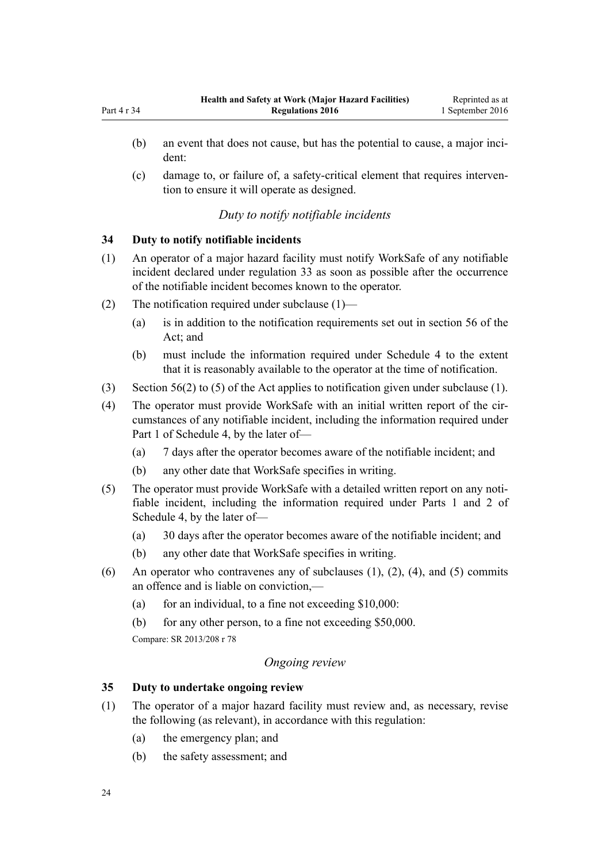- <span id="page-23-0"></span>(b) an event that does not cause, but has the potential to cause, a major incident:
- (c) damage to, or failure of, a safety-critical element that requires intervention to ensure it will operate as designed.

# *Duty to notify notifiable incidents*

# **34 Duty to notify notifiable incidents**

- (1) An operator of a major hazard facility must notify WorkSafe of any notifiable incident declared under [regulation 33](#page-22-0) as soon as possible after the occurrence of the notifiable incident becomes known to the operator.
- (2) The notification required under subclause (1)—
	- (a) is in addition to the notification requirements set out in [section 56](http://prd-lgnz-nlb.prd.pco.net.nz/pdflink.aspx?id=DLM6544144) of the Act: and
	- (b) must include the information required under [Schedule 4](#page-62-0) to the extent that it is reasonably available to the operator at the time of notification.
- (3) [Section 56\(2\) to \(5\)](http://prd-lgnz-nlb.prd.pco.net.nz/pdflink.aspx?id=DLM6544144) of the Act applies to notification given under subclause (1).
- (4) The operator must provide WorkSafe with an initial written report of the circumstances of any notifiable incident, including the information required under [Part 1](#page-62-0) of Schedule 4, by the later of—
	- (a) 7 days after the operator becomes aware of the notifiable incident; and
	- (b) any other date that WorkSafe specifies in writing.
- (5) The operator must provide WorkSafe with a detailed written report on any notifiable incident, including the information required under [Parts 1](#page-62-0) and [2](#page-63-0) of Schedule 4, by the later of—
	- (a) 30 days after the operator becomes aware of the notifiable incident; and
	- (b) any other date that WorkSafe specifies in writing.
- (6) An operator who contravenes any of subclauses  $(1)$ ,  $(2)$ ,  $(4)$ , and  $(5)$  commits an offence and is liable on conviction,—
	- (a) for an individual, to a fine not exceeding  $$10,000$ :
	- (b) for any other person, to a fine not exceeding \$50,000.

Compare: SR 2013/208 [r 78](http://prd-lgnz-nlb.prd.pco.net.nz/pdflink.aspx?id=DLM5203500)

# *Ongoing review*

# **35 Duty to undertake ongoing review**

- (1) The operator of a major hazard facility must review and, as necessary, revise the following (as relevant), in accordance with this regulation:
	- (a) the emergency plan; and
	- (b) the safety assessment; and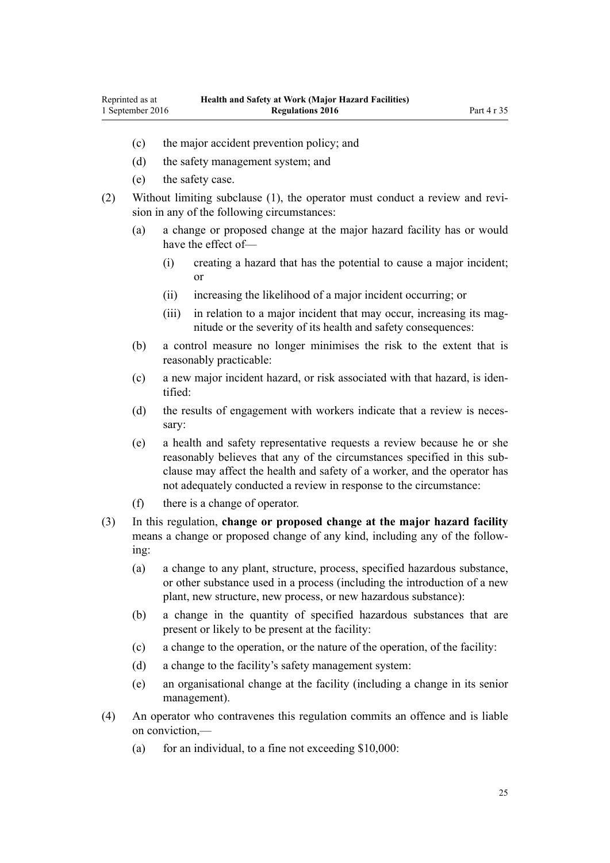- (c) the major accident prevention policy; and
- (d) the safety management system; and
- (e) the safety case.
- (2) Without limiting subclause (1), the operator must conduct a review and revision in any of the following circumstances:
	- (a) a change or proposed change at the major hazard facility has or would have the effect of—
		- (i) creating a hazard that has the potential to cause a major incident; or
		- (ii) increasing the likelihood of a major incident occurring; or
		- (iii) in relation to a major incident that may occur, increasing its magnitude or the severity of its health and safety consequences:
	- (b) a control measure no longer minimises the risk to the extent that is reasonably practicable:
	- (c) a new major incident hazard, or risk associated with that hazard, is identified:
	- (d) the results of engagement with workers indicate that a review is necessary:
	- (e) a health and safety representative requests a review because he or she reasonably believes that any of the circumstances specified in this subclause may affect the health and safety of a worker, and the operator has not adequately conducted a review in response to the circumstance:
	- (f) there is a change of operator.
- (3) In this regulation, **change or proposed change at the major hazard facility** means a change or proposed change of any kind, including any of the following:
	- (a) a change to any plant, structure, process, specified hazardous substance, or other substance used in a process (including the introduction of a new plant, new structure, new process, or new hazardous substance):
	- (b) a change in the quantity of specified hazardous substances that are present or likely to be present at the facility:
	- (c) a change to the operation, or the nature of the operation, of the facility:
	- (d) a change to the facility's safety management system:
	- (e) an organisational change at the facility (including a change in its senior management).
- (4) An operator who contravenes this regulation commits an offence and is liable on conviction,—
	- (a) for an individual, to a fine not exceeding  $$10,000$ :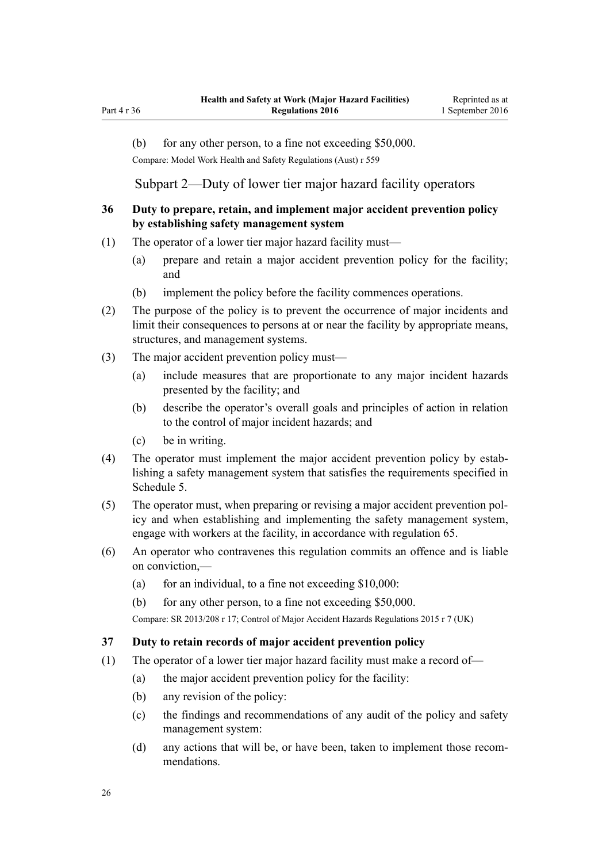<span id="page-25-0"></span>Part 4 r 36

(b) for any other person, to a fine not exceeding \$50,000.

Compare: Model Work Health and Safety Regulations (Aust) r 559

Subpart 2—Duty of lower tier major hazard facility operators

# **36 Duty to prepare, retain, and implement major accident prevention policy by establishing safety management system**

- (1) The operator of a lower tier major hazard facility must—
	- (a) prepare and retain a major accident prevention policy for the facility; and
	- (b) implement the policy before the facility commences operations.
- (2) The purpose of the policy is to prevent the occurrence of major incidents and limit their consequences to persons at or near the facility by appropriate means, structures, and management systems.
- (3) The major accident prevention policy must—
	- (a) include measures that are proportionate to any major incident hazards presented by the facility; and
	- (b) describe the operator's overall goals and principles of action in relation to the control of major incident hazards; and
	- (c) be in writing.
- (4) The operator must implement the major accident prevention policy by establishing a safety management system that satisfies the requirements specified in [Schedule 5.](#page-64-0)
- (5) The operator must, when preparing or revising a major accident prevention policy and when establishing and implementing the safety management system, engage with workers at the facility, in accordance with [regulation 65](#page-40-0).
- (6) An operator who contravenes this regulation commits an offence and is liable on conviction,—
	- (a) for an individual, to a fine not exceeding  $$10,000$ :
	- (b) for any other person, to a fine not exceeding \$50,000.

Compare: SR 2013/208 [r 17;](http://prd-lgnz-nlb.prd.pco.net.nz/pdflink.aspx?id=DLM5202517) Control of Major Accident Hazards Regulations 2015 r 7 (UK)

#### **37 Duty to retain records of major accident prevention policy**

- (1) The operator of a lower tier major hazard facility must make a record of—
	- (a) the major accident prevention policy for the facility:
	- (b) any revision of the policy:
	- (c) the findings and recommendations of any audit of the policy and safety management system:
	- (d) any actions that will be, or have been, taken to implement those recommendations.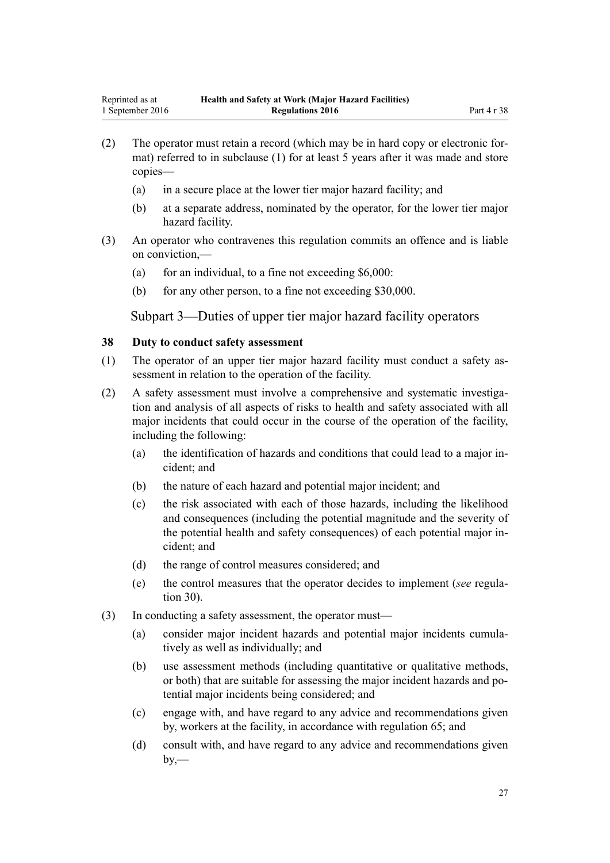- <span id="page-26-0"></span>(2) The operator must retain a record (which may be in hard copy or electronic format) referred to in subclause (1) for at least 5 years after it was made and store copies—
	- (a) in a secure place at the lower tier major hazard facility; and
	- (b) at a separate address, nominated by the operator, for the lower tier major hazard facility.
- (3) An operator who contravenes this regulation commits an offence and is liable on conviction,—
	- (a) for an individual, to a fine not exceeding  $$6,000$ :
	- (b) for any other person, to a fine not exceeding \$30,000.

Subpart 3—Duties of upper tier major hazard facility operators

### **38 Duty to conduct safety assessment**

- (1) The operator of an upper tier major hazard facility must conduct a safety assessment in relation to the operation of the facility.
- (2) A safety assessment must involve a comprehensive and systematic investigation and analysis of all aspects of risks to health and safety associated with all major incidents that could occur in the course of the operation of the facility, including the following:
	- (a) the identification of hazards and conditions that could lead to a major incident; and
	- (b) the nature of each hazard and potential major incident; and
	- (c) the risk associated with each of those hazards, including the likelihood and consequences (including the potential magnitude and the severity of the potential health and safety consequences) of each potential major incident; and
	- (d) the range of control measures considered; and
	- (e) the control measures that the operator decides to implement (*see* [regula](#page-20-0)[tion 30](#page-20-0)).
- (3) In conducting a safety assessment, the operator must—
	- (a) consider major incident hazards and potential major incidents cumulatively as well as individually; and
	- (b) use assessment methods (including quantitative or qualitative methods, or both) that are suitable for assessing the major incident hazards and potential major incidents being considered; and
	- (c) engage with, and have regard to any advice and recommendations given by, workers at the facility, in accordance with [regulation 65](#page-40-0); and
	- (d) consult with, and have regard to any advice and recommendations given  $by$ —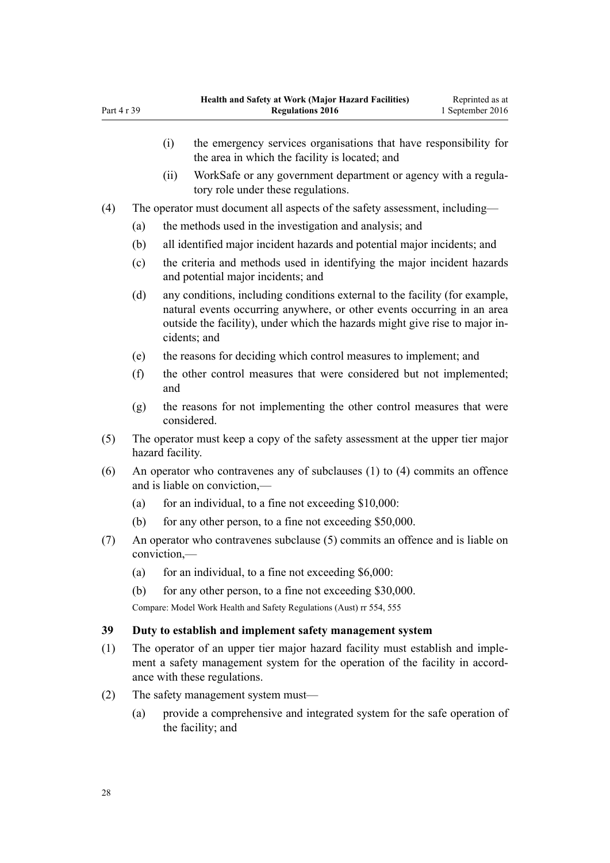|     |                                                                             | (i)                                                                                                           | the emergency services organisations that have responsibility for<br>the area in which the facility is located; and                                                                                                                                   |  |  |
|-----|-----------------------------------------------------------------------------|---------------------------------------------------------------------------------------------------------------|-------------------------------------------------------------------------------------------------------------------------------------------------------------------------------------------------------------------------------------------------------|--|--|
|     |                                                                             | (ii)                                                                                                          | WorkSafe or any government department or agency with a regula-<br>tory role under these regulations.                                                                                                                                                  |  |  |
| (4) | The operator must document all aspects of the safety assessment, including— |                                                                                                               |                                                                                                                                                                                                                                                       |  |  |
|     | (a)                                                                         |                                                                                                               | the methods used in the investigation and analysis; and                                                                                                                                                                                               |  |  |
|     | (b)                                                                         |                                                                                                               | all identified major incident hazards and potential major incidents; and                                                                                                                                                                              |  |  |
|     | (c)                                                                         | the criteria and methods used in identifying the major incident hazards<br>and potential major incidents; and |                                                                                                                                                                                                                                                       |  |  |
|     | (d)                                                                         |                                                                                                               | any conditions, including conditions external to the facility (for example,<br>natural events occurring anywhere, or other events occurring in an area<br>outside the facility), under which the hazards might give rise to major in-<br>cidents; and |  |  |
|     | (e)                                                                         |                                                                                                               | the reasons for deciding which control measures to implement; and                                                                                                                                                                                     |  |  |
|     | (f)                                                                         | and                                                                                                           | the other control measures that were considered but not implemented;                                                                                                                                                                                  |  |  |
|     | (g)                                                                         |                                                                                                               | the reasons for not implementing the other control measures that were<br>considered.                                                                                                                                                                  |  |  |
| (5) |                                                                             | The operator must keep a copy of the safety assessment at the upper tier major<br>hazard facility.            |                                                                                                                                                                                                                                                       |  |  |
| (6) |                                                                             |                                                                                                               | An operator who contravenes any of subclauses (1) to (4) commits an offence<br>and is liable on conviction,—                                                                                                                                          |  |  |
|     | (a)                                                                         |                                                                                                               | for an individual, to a fine not exceeding \$10,000:                                                                                                                                                                                                  |  |  |

- (b) for any other person, to a fine not exceeding \$50,000.
- (7) An operator who contravenes subclause (5) commits an offence and is liable on conviction,—
	- (a) for an individual, to a fine not exceeding  $$6,000$ :

(b) for any other person, to a fine not exceeding \$30,000.

Compare: Model Work Health and Safety Regulations (Aust) rr 554, 555

# **39 Duty to establish and implement safety management system**

- (1) The operator of an upper tier major hazard facility must establish and implement a safety management system for the operation of the facility in accordance with these regulations.
- (2) The safety management system must—
	- (a) provide a comprehensive and integrated system for the safe operation of the facility; and

<span id="page-27-0"></span>Part 4 r 39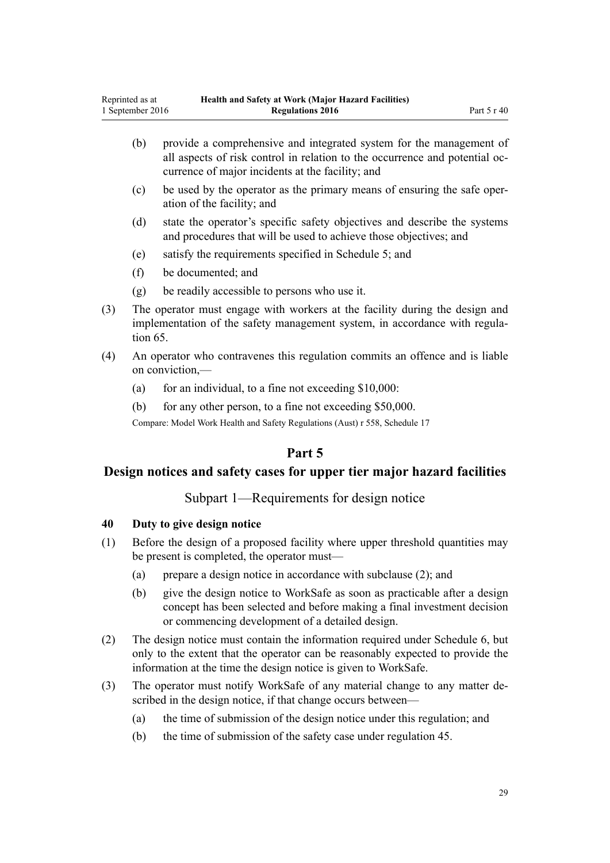- <span id="page-28-0"></span>(b) provide a comprehensive and integrated system for the management of all aspects of risk control in relation to the occurrence and potential occurrence of major incidents at the facility; and
- (c) be used by the operator as the primary means of ensuring the safe operation of the facility; and
- (d) state the operator's specific safety objectives and describe the systems and procedures that will be used to achieve those objectives; and
- (e) satisfy the requirements specified in [Schedule 5;](#page-64-0) and
- (f) be documented; and
- (g) be readily accessible to persons who use it.
- (3) The operator must engage with workers at the facility during the design and implementation of the safety management system, in accordance with [regula](#page-40-0)[tion 65](#page-40-0).
- (4) An operator who contravenes this regulation commits an offence and is liable on conviction,—
	- (a) for an individual, to a fine not exceeding  $$10,000$ :
	- (b) for any other person, to a fine not exceeding \$50,000.

Compare: Model Work Health and Safety Regulations (Aust) r 558, Schedule 17

# **Part 5**

# **Design notices and safety cases for upper tier major hazard facilities**

# Subpart 1—Requirements for design notice

#### **40 Duty to give design notice**

- (1) Before the design of a proposed facility where upper threshold quantities may be present is completed, the operator must—
	- (a) prepare a design notice in accordance with subclause (2); and
	- (b) give the design notice to WorkSafe as soon as practicable after a design concept has been selected and before making a final investment decision or commencing development of a detailed design.
- (2) The design notice must contain the information required under [Schedule 6](#page-67-0), but only to the extent that the operator can be reasonably expected to provide the information at the time the design notice is given to WorkSafe.
- (3) The operator must notify WorkSafe of any material change to any matter described in the design notice, if that change occurs between—
	- (a) the time of submission of the design notice under this regulation; and
	- (b) the time of submission of the safety case under [regulation 45.](#page-30-0)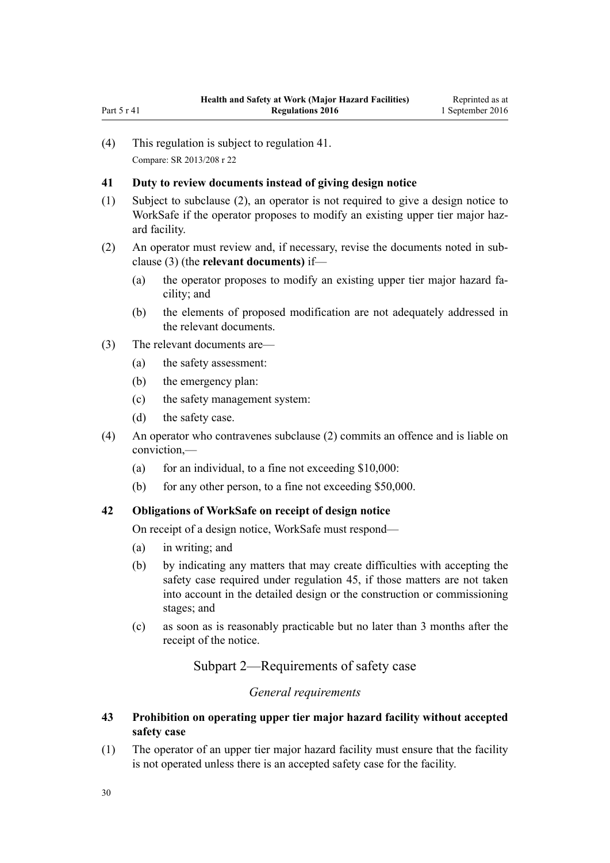<span id="page-29-0"></span>(4) This regulation is subject to regulation 41. Compare: SR 2013/208 [r 22](http://prd-lgnz-nlb.prd.pco.net.nz/pdflink.aspx?id=DLM5202577)

# **41 Duty to review documents instead of giving design notice**

- (1) Subject to subclause (2), an operator is not required to give a design notice to WorkSafe if the operator proposes to modify an existing upper tier major hazard facility.
- (2) An operator must review and, if necessary, revise the documents noted in subclause (3) (the **relevant documents)** if—
	- (a) the operator proposes to modify an existing upper tier major hazard facility; and
	- (b) the elements of proposed modification are not adequately addressed in the relevant documents.
- (3) The relevant documents are—
	- (a) the safety assessment:
	- (b) the emergency plan:
	- (c) the safety management system:
	- (d) the safety case.
- (4) An operator who contravenes subclause (2) commits an offence and is liable on conviction,—
	- (a) for an individual, to a fine not exceeding  $$10,000$ :
	- (b) for any other person, to a fine not exceeding \$50,000.

# **42 Obligations of WorkSafe on receipt of design notice**

On receipt of a design notice, WorkSafe must respond—

- (a) in writing; and
- (b) by indicating any matters that may create difficulties with accepting the safety case required under [regulation 45,](#page-30-0) if those matters are not taken into account in the detailed design or the construction or commissioning stages; and
- (c) as soon as is reasonably practicable but no later than 3 months after the receipt of the notice.

Subpart 2—Requirements of safety case

# *General requirements*

# **43 Prohibition on operating upper tier major hazard facility without accepted safety case**

(1) The operator of an upper tier major hazard facility must ensure that the facility is not operated unless there is an accepted safety case for the facility.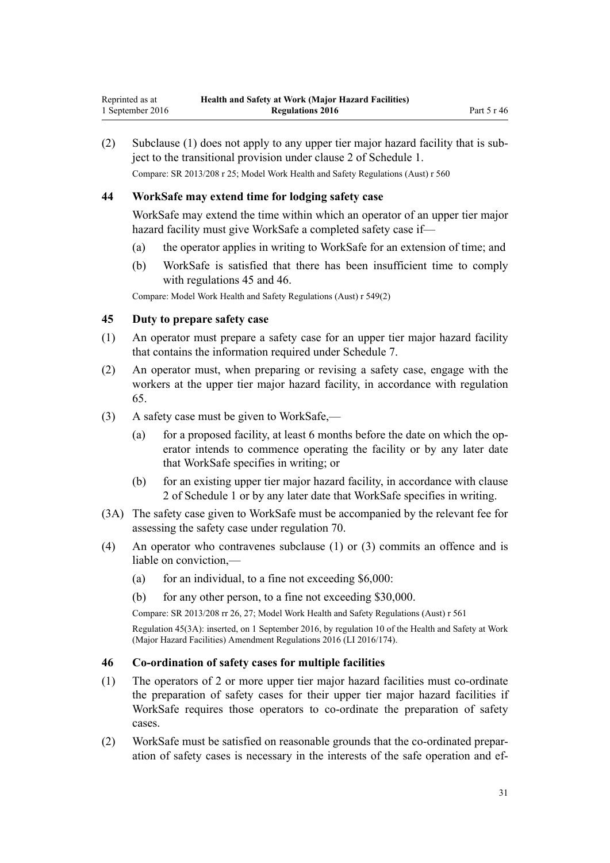<span id="page-30-0"></span>(2) Subclause (1) does not apply to any upper tier major hazard facility that is subject to the transitional provision under [clause 2](#page-47-0) of Schedule 1. Compare: SR 2013/208 [r 25;](http://prd-lgnz-nlb.prd.pco.net.nz/pdflink.aspx?id=DLM5202580) Model Work Health and Safety Regulations (Aust) r 560

### **44 WorkSafe may extend time for lodging safety case**

WorkSafe may extend the time within which an operator of an upper tier major hazard facility must give WorkSafe a completed safety case if—

- (a) the operator applies in writing to WorkSafe for an extension of time; and
- (b) WorkSafe is satisfied that there has been insufficient time to comply with regulations 45 and 46.

Compare: Model Work Health and Safety Regulations (Aust) r 549(2)

### **45 Duty to prepare safety case**

- (1) An operator must prepare a safety case for an upper tier major hazard facility that contains the information required under [Schedule 7.](#page-68-0)
- (2) An operator must, when preparing or revising a safety case, engage with the workers at the upper tier major hazard facility, in accordance with [regulation](#page-40-0) [65.](#page-40-0)
- (3) A safety case must be given to WorkSafe,—
	- (a) for a proposed facility, at least 6 months before the date on which the operator intends to commence operating the facility or by any later date that WorkSafe specifies in writing; or
	- (b) for an existing upper tier major hazard facility, in accordance with [clause](#page-47-0) [2](#page-47-0) of Schedule 1 or by any later date that WorkSafe specifies in writing.
- (3A) The safety case given to WorkSafe must be accompanied by the relevant fee for assessing the safety case under [regulation 70.](#page-44-0)
- (4) An operator who contravenes subclause (1) or (3) commits an offence and is liable on conviction,—
	- (a) for an individual, to a fine not exceeding  $$6,000$ :
	- (b) for any other person, to a fine not exceeding \$30,000.

Compare: SR 2013/208 [rr 26,](http://prd-lgnz-nlb.prd.pco.net.nz/pdflink.aspx?id=DLM5202531) [27](http://prd-lgnz-nlb.prd.pco.net.nz/pdflink.aspx?id=DLM5202540); Model Work Health and Safety Regulations (Aust) r 561

Regulation 45(3A): inserted, on 1 September 2016, by [regulation 10](http://prd-lgnz-nlb.prd.pco.net.nz/pdflink.aspx?id=DLM6907715) of the Health and Safety at Work (Major Hazard Facilities) Amendment Regulations 2016 (LI 2016/174).

#### **46 Co-ordination of safety cases for multiple facilities**

- (1) The operators of 2 or more upper tier major hazard facilities must co-ordinate the preparation of safety cases for their upper tier major hazard facilities if WorkSafe requires those operators to co-ordinate the preparation of safety cases.
- (2) WorkSafe must be satisfied on reasonable grounds that the co-ordinated preparation of safety cases is necessary in the interests of the safe operation and ef-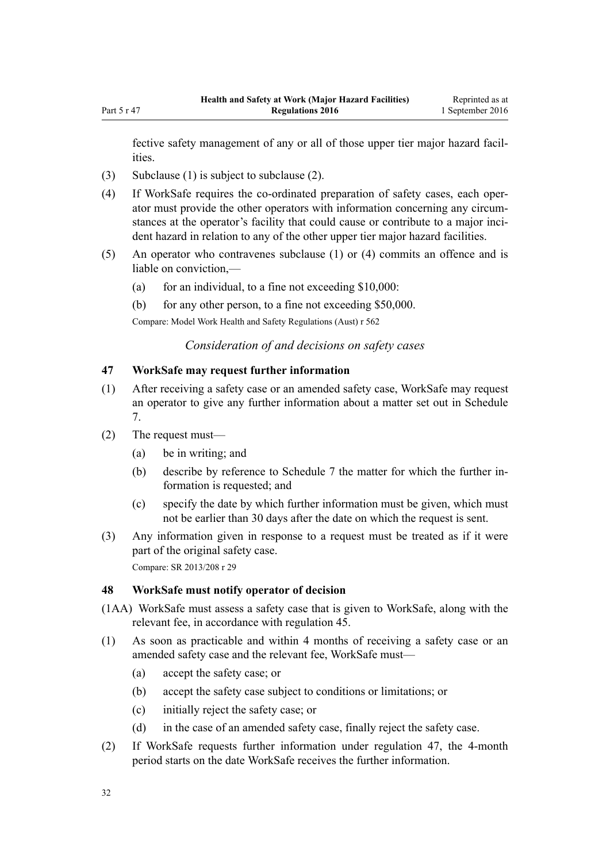<span id="page-31-0"></span>fective safety management of any or all of those upper tier major hazard facilities.

- (3) Subclause (1) is subject to subclause (2).
- (4) If WorkSafe requires the co-ordinated preparation of safety cases, each operator must provide the other operators with information concerning any circumstances at the operator's facility that could cause or contribute to a major incident hazard in relation to any of the other upper tier major hazard facilities.
- (5) An operator who contravenes subclause (1) or (4) commits an offence and is liable on conviction,—
	- (a) for an individual, to a fine not exceeding  $$10,000$ :
	- (b) for any other person, to a fine not exceeding \$50,000.

Compare: Model Work Health and Safety Regulations (Aust) r 562

*Consideration of and decisions on safety cases*

#### **47 WorkSafe may request further information**

- (1) After receiving a safety case or an amended safety case, WorkSafe may request an operator to give any further information about a matter set out in [Schedule](#page-68-0) [7.](#page-68-0)
- (2) The request must—
	- (a) be in writing; and
	- (b) describe by reference to [Schedule 7](#page-68-0) the matter for which the further information is requested; and
	- (c) specify the date by which further information must be given, which must not be earlier than 30 days after the date on which the request is sent.
- (3) Any information given in response to a request must be treated as if it were part of the original safety case. Compare: SR 2013/208 [r 29](http://prd-lgnz-nlb.prd.pco.net.nz/pdflink.aspx?id=DLM5202545)

#### **48 WorkSafe must notify operator of decision**

- (1AA) WorkSafe must assess a safety case that is given to WorkSafe, along with the relevant fee, in accordance with [regulation 45.](#page-30-0)
- (1) As soon as practicable and within 4 months of receiving a safety case or an amended safety case and the relevant fee, WorkSafe must—
	- (a) accept the safety case; or
	- (b) accept the safety case subject to conditions or limitations; or
	- (c) initially reject the safety case; or
	- (d) in the case of an amended safety case, finally reject the safety case.
- (2) If WorkSafe requests further information under regulation 47, the 4-month period starts on the date WorkSafe receives the further information.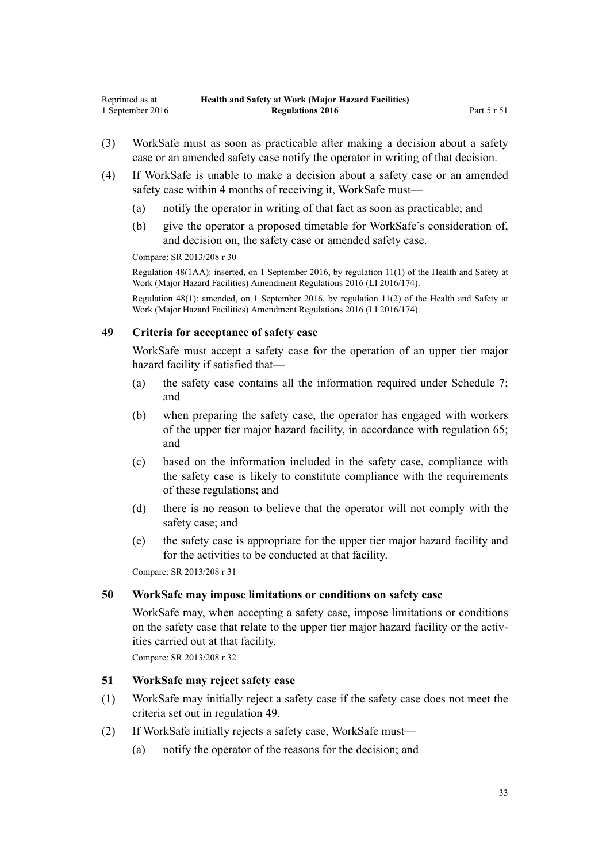- <span id="page-32-0"></span>(3) WorkSafe must as soon as practicable after making a decision about a safety case or an amended safety case notify the operator in writing of that decision.
- (4) If WorkSafe is unable to make a decision about a safety case or an amended safety case within 4 months of receiving it, WorkSafe must—
	- (a) notify the operator in writing of that fact as soon as practicable; and
	- (b) give the operator a proposed timetable for WorkSafe's consideration of, and decision on, the safety case or amended safety case.

Compare: SR 2013/208 [r 30](http://prd-lgnz-nlb.prd.pco.net.nz/pdflink.aspx?id=DLM5202569)

Regulation 48(1AA): inserted, on 1 September 2016, by [regulation 11\(1\)](http://prd-lgnz-nlb.prd.pco.net.nz/pdflink.aspx?id=DLM6907716) of the Health and Safety at Work (Major Hazard Facilities) Amendment Regulations 2016 (LI 2016/174).

Regulation 48(1): amended, on 1 September 2016, by [regulation 11\(2\)](http://prd-lgnz-nlb.prd.pco.net.nz/pdflink.aspx?id=DLM6907716) of the Health and Safety at Work (Major Hazard Facilities) Amendment Regulations 2016 (LI 2016/174).

# **49 Criteria for acceptance of safety case**

WorkSafe must accept a safety case for the operation of an upper tier major hazard facility if satisfied that—

- (a) the safety case contains all the information required under [Schedule 7;](#page-68-0) and
- (b) when preparing the safety case, the operator has engaged with workers of the upper tier major hazard facility, in accordance with [regulation 65;](#page-40-0) and
- (c) based on the information included in the safety case, compliance with the safety case is likely to constitute compliance with the requirements of these regulations; and
- (d) there is no reason to believe that the operator will not comply with the safety case; and
- (e) the safety case is appropriate for the upper tier major hazard facility and for the activities to be conducted at that facility.

Compare: SR 2013/208 [r 31](http://prd-lgnz-nlb.prd.pco.net.nz/pdflink.aspx?id=DLM5202549)

#### **50 WorkSafe may impose limitations or conditions on safety case**

WorkSafe may, when accepting a safety case, impose limitations or conditions on the safety case that relate to the upper tier major hazard facility or the activities carried out at that facility.

Compare: SR 2013/208 [r 32](http://prd-lgnz-nlb.prd.pco.net.nz/pdflink.aspx?id=DLM5202552)

### **51 WorkSafe may reject safety case**

- (1) WorkSafe may initially reject a safety case if the safety case does not meet the criteria set out in regulation 49.
- (2) If WorkSafe initially rejects a safety case, WorkSafe must—
	- (a) notify the operator of the reasons for the decision; and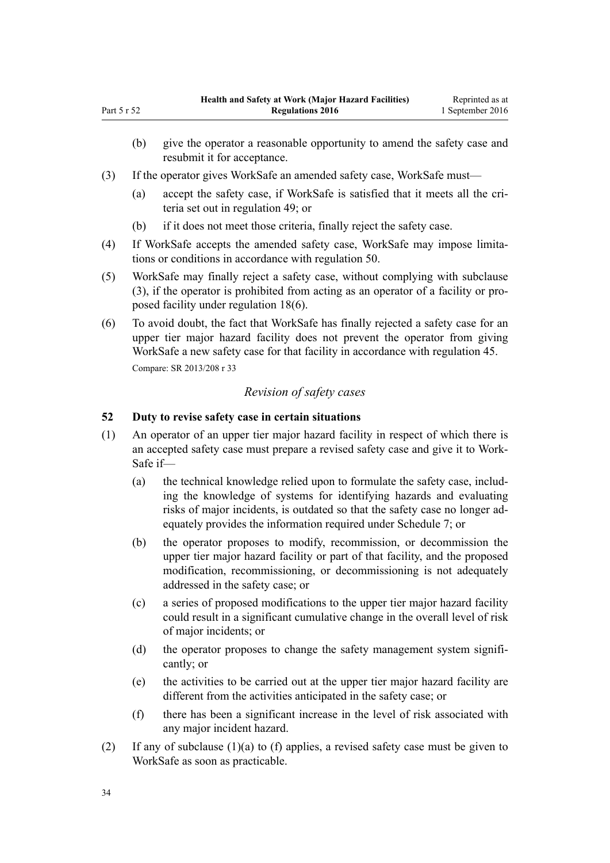- (b) give the operator a reasonable opportunity to amend the safety case and resubmit it for acceptance.
- (3) If the operator gives WorkSafe an amended safety case, WorkSafe must—
	- (a) accept the safety case, if WorkSafe is satisfied that it meets all the criteria set out in [regulation 49;](#page-32-0) or
	- (b) if it does not meet those criteria, finally reject the safety case.
- (4) If WorkSafe accepts the amended safety case, WorkSafe may impose limitations or conditions in accordance with [regulation 50](#page-32-0).
- (5) WorkSafe may finally reject a safety case, without complying with subclause (3), if the operator is prohibited from acting as an operator of a facility or proposed facility under [regulation 18\(6\).](#page-14-0)
- (6) To avoid doubt, the fact that WorkSafe has finally rejected a safety case for an upper tier major hazard facility does not prevent the operator from giving WorkSafe a new safety case for that facility in accordance with [regulation 45](#page-30-0). Compare: SR 2013/208 [r 33](http://prd-lgnz-nlb.prd.pco.net.nz/pdflink.aspx?id=DLM5202563)

# *Revision of safety cases*

# **52 Duty to revise safety case in certain situations**

- (1) An operator of an upper tier major hazard facility in respect of which there is an accepted safety case must prepare a revised safety case and give it to Work-Safe if—
	- (a) the technical knowledge relied upon to formulate the safety case, including the knowledge of systems for identifying hazards and evaluating risks of major incidents, is outdated so that the safety case no longer adequately provides the information required under [Schedule 7;](#page-68-0) or
	- (b) the operator proposes to modify, recommission, or decommission the upper tier major hazard facility or part of that facility, and the proposed modification, recommissioning, or decommissioning is not adequately addressed in the safety case; or
	- (c) a series of proposed modifications to the upper tier major hazard facility could result in a significant cumulative change in the overall level of risk of major incidents; or
	- (d) the operator proposes to change the safety management system significantly; or
	- (e) the activities to be carried out at the upper tier major hazard facility are different from the activities anticipated in the safety case; or
	- (f) there has been a significant increase in the level of risk associated with any major incident hazard.
- (2) If any of subclause (1)(a) to (f) applies, a revised safety case must be given to WorkSafe as soon as practicable.

<span id="page-33-0"></span>Part 5 r 52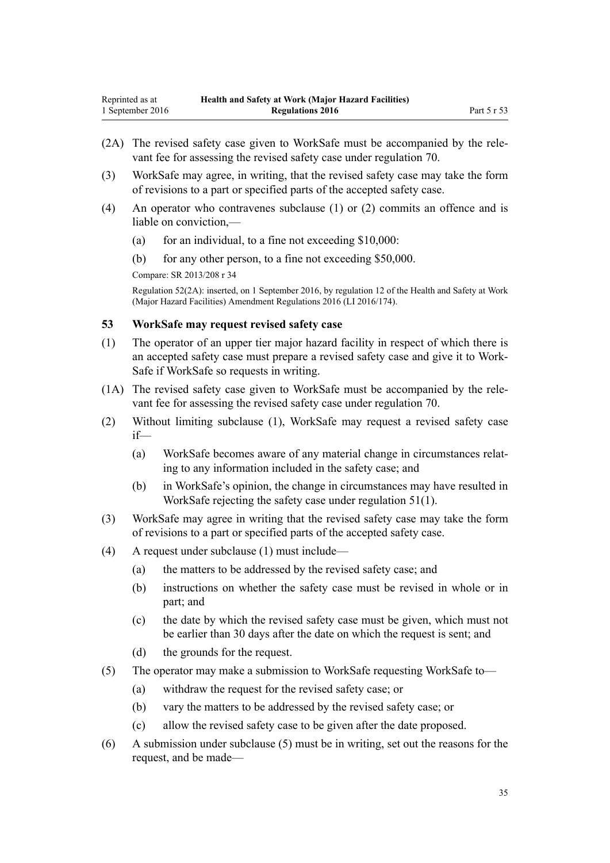- <span id="page-34-0"></span>(2A) The revised safety case given to WorkSafe must be accompanied by the relevant fee for assessing the revised safety case under [regulation 70.](#page-44-0)
- (3) WorkSafe may agree, in writing, that the revised safety case may take the form of revisions to a part or specified parts of the accepted safety case.
- (4) An operator who contravenes subclause (1) or (2) commits an offence and is liable on conviction,—
	- (a) for an individual, to a fine not exceeding  $$10,000$ :
	- (b) for any other person, to a fine not exceeding \$50,000.

Compare: SR 2013/208 [r 34](http://prd-lgnz-nlb.prd.pco.net.nz/pdflink.aspx?id=DLM5202558)

Regulation 52(2A): inserted, on 1 September 2016, by [regulation 12](http://prd-lgnz-nlb.prd.pco.net.nz/pdflink.aspx?id=DLM6907717) of the Health and Safety at Work (Major Hazard Facilities) Amendment Regulations 2016 (LI 2016/174).

#### **53 WorkSafe may request revised safety case**

- (1) The operator of an upper tier major hazard facility in respect of which there is an accepted safety case must prepare a revised safety case and give it to Work-Safe if WorkSafe so requests in writing.
- (1A) The revised safety case given to WorkSafe must be accompanied by the relevant fee for assessing the revised safety case under [regulation 70.](#page-44-0)
- (2) Without limiting subclause (1), WorkSafe may request a revised safety case if—
	- (a) WorkSafe becomes aware of any material change in circumstances relating to any information included in the safety case; and
	- (b) in WorkSafe's opinion, the change in circumstances may have resulted in WorkSafe rejecting the safety case under [regulation 51\(1\)](#page-32-0).
- (3) WorkSafe may agree in writing that the revised safety case may take the form of revisions to a part or specified parts of the accepted safety case.
- (4) A request under subclause (1) must include—
	- (a) the matters to be addressed by the revised safety case; and
	- (b) instructions on whether the safety case must be revised in whole or in part; and
	- (c) the date by which the revised safety case must be given, which must not be earlier than 30 days after the date on which the request is sent; and
	- (d) the grounds for the request.
- (5) The operator may make a submission to WorkSafe requesting WorkSafe to—
	- (a) withdraw the request for the revised safety case; or
	- (b) vary the matters to be addressed by the revised safety case; or
	- (c) allow the revised safety case to be given after the date proposed.
- (6) A submission under subclause (5) must be in writing, set out the reasons for the request, and be made—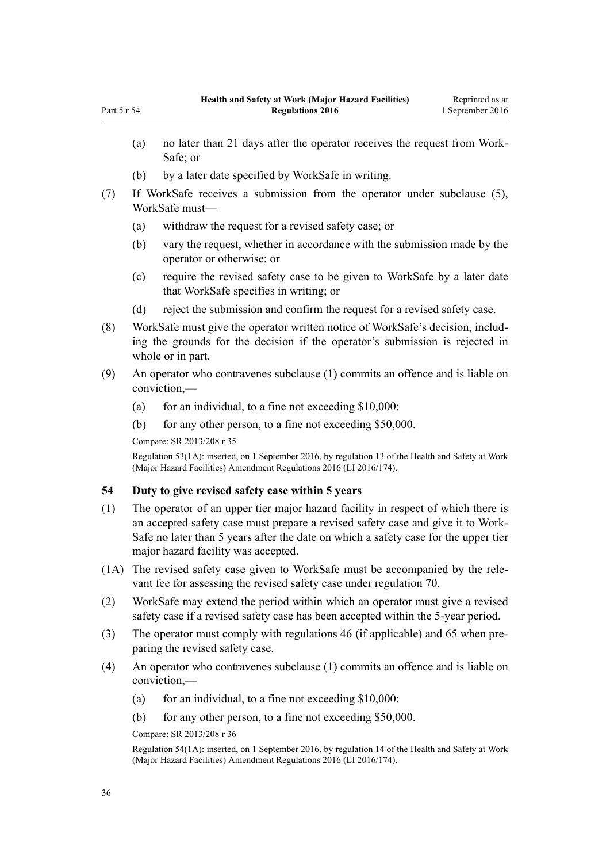- (b) by a later date specified by WorkSafe in writing.
- <span id="page-35-0"></span>(7) If WorkSafe receives a submission from the operator under subclause (5), WorkSafe must—
	- (a) withdraw the request for a revised safety case; or
	- (b) vary the request, whether in accordance with the submission made by the operator or otherwise; or
	- (c) require the revised safety case to be given to WorkSafe by a later date that WorkSafe specifies in writing; or
	- (d) reject the submission and confirm the request for a revised safety case.
- (8) WorkSafe must give the operator written notice of WorkSafe's decision, including the grounds for the decision if the operator's submission is rejected in whole or in part.
- (9) An operator who contravenes subclause (1) commits an offence and is liable on conviction,—
	- (a) for an individual, to a fine not exceeding  $$10,000$ :
	- (b) for any other person, to a fine not exceeding \$50,000.

Compare: SR 2013/208 [r 35](http://prd-lgnz-nlb.prd.pco.net.nz/pdflink.aspx?id=DLM5202556)

Regulation 53(1A): inserted, on 1 September 2016, by [regulation 13](http://prd-lgnz-nlb.prd.pco.net.nz/pdflink.aspx?id=DLM6907718) of the Health and Safety at Work (Major Hazard Facilities) Amendment Regulations 2016 (LI 2016/174).

#### **54 Duty to give revised safety case within 5 years**

- (1) The operator of an upper tier major hazard facility in respect of which there is an accepted safety case must prepare a revised safety case and give it to Work-Safe no later than 5 years after the date on which a safety case for the upper tier major hazard facility was accepted.
- (1A) The revised safety case given to WorkSafe must be accompanied by the relevant fee for assessing the revised safety case under [regulation 70.](#page-44-0)
- (2) WorkSafe may extend the period within which an operator must give a revised safety case if a revised safety case has been accepted within the 5-year period.
- (3) The operator must comply with [regulations 46](#page-30-0) (if applicable) and [65](#page-40-0) when preparing the revised safety case.
- (4) An operator who contravenes subclause (1) commits an offence and is liable on conviction,—
	- (a) for an individual, to a fine not exceeding  $$10,000$ :
	- (b) for any other person, to a fine not exceeding \$50,000.

Compare: SR 2013/208 [r 36](http://prd-lgnz-nlb.prd.pco.net.nz/pdflink.aspx?id=DLM5202560)

Regulation 54(1A): inserted, on 1 September 2016, by [regulation 14](http://prd-lgnz-nlb.prd.pco.net.nz/pdflink.aspx?id=DLM6907719) of the Health and Safety at Work (Major Hazard Facilities) Amendment Regulations 2016 (LI 2016/174).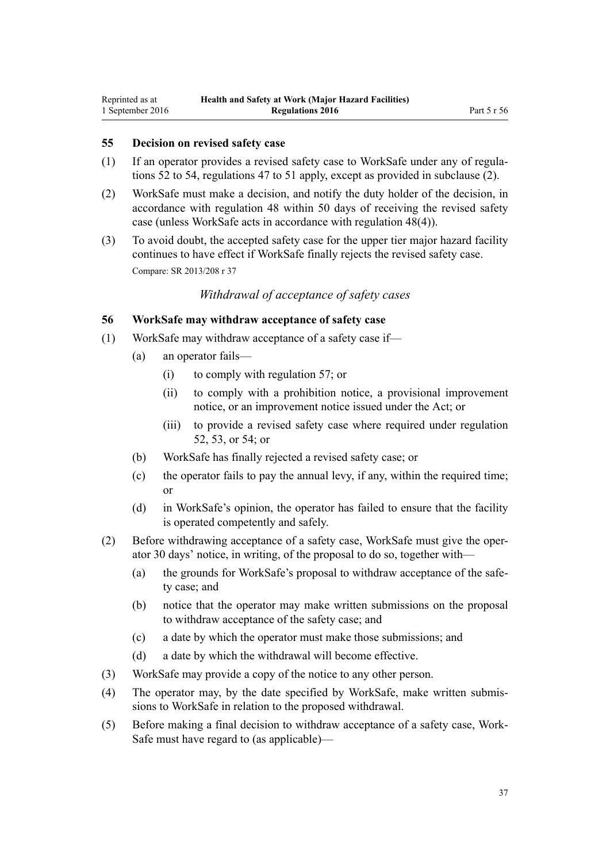#### <span id="page-36-0"></span>**55 Decision on revised safety case**

- (1) If an operator provides a revised safety case to WorkSafe under any of [regula](#page-33-0)[tions 52 to 54](#page-33-0), [regulations 47 to 51](#page-31-0) apply, except as provided in subclause (2).
- (2) WorkSafe must make a decision, and notify the duty holder of the decision, in accordance with [regulation 48](#page-31-0) within 50 days of receiving the revised safety case (unless WorkSafe acts in accordance with regulation 48(4)).
- (3) To avoid doubt, the accepted safety case for the upper tier major hazard facility continues to have effect if WorkSafe finally rejects the revised safety case. Compare: SR 2013/208 [r 37](http://prd-lgnz-nlb.prd.pco.net.nz/pdflink.aspx?id=DLM5203762)

## *Withdrawal of acceptance of safety cases*

## **56 WorkSafe may withdraw acceptance of safety case**

- (1) WorkSafe may withdraw acceptance of a safety case if—
	- (a) an operator fails—
		- (i) to comply with [regulation 57;](#page-37-0) or
		- (ii) to comply with a prohibition notice, a provisional improvement notice, or an improvement notice issued under the Act; or
		- (iii) to provide a revised safety case where required under [regulation](#page-33-0) [52,](#page-33-0) [53,](#page-34-0) or [54;](#page-35-0) or
	- (b) WorkSafe has finally rejected a revised safety case; or
	- (c) the operator fails to pay the annual levy, if any, within the required time; or
	- (d) in WorkSafe's opinion, the operator has failed to ensure that the facility is operated competently and safely.
- (2) Before withdrawing acceptance of a safety case, WorkSafe must give the operator 30 days' notice, in writing, of the proposal to do so, together with—
	- (a) the grounds for WorkSafe's proposal to withdraw acceptance of the safety case; and
	- (b) notice that the operator may make written submissions on the proposal to withdraw acceptance of the safety case; and
	- (c) a date by which the operator must make those submissions; and
	- (d) a date by which the withdrawal will become effective.
- (3) WorkSafe may provide a copy of the notice to any other person.
- (4) The operator may, by the date specified by WorkSafe, make written submissions to WorkSafe in relation to the proposed withdrawal.
- (5) Before making a final decision to withdraw acceptance of a safety case, Work-Safe must have regard to (as applicable)—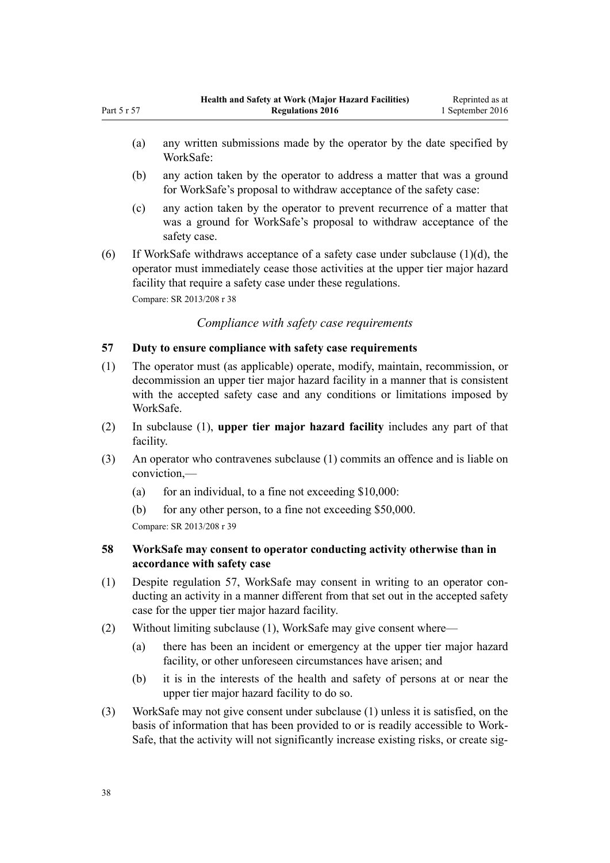- <span id="page-37-0"></span>(b) any action taken by the operator to address a matter that was a ground for WorkSafe's proposal to withdraw acceptance of the safety case:
- (c) any action taken by the operator to prevent recurrence of a matter that was a ground for WorkSafe's proposal to withdraw acceptance of the safety case.
- (6) If WorkSafe withdraws acceptance of a safety case under subclause  $(1)(d)$ , the operator must immediately cease those activities at the upper tier major hazard facility that require a safety case under these regulations.

Compare: SR 2013/208 [r 38](http://prd-lgnz-nlb.prd.pco.net.nz/pdflink.aspx?id=DLM5203764)

WorkSafe:

*Compliance with safety case requirements*

### **57 Duty to ensure compliance with safety case requirements**

- (1) The operator must (as applicable) operate, modify, maintain, recommission, or decommission an upper tier major hazard facility in a manner that is consistent with the accepted safety case and any conditions or limitations imposed by WorkSafe.
- (2) In subclause (1), **upper tier major hazard facility** includes any part of that facility.
- (3) An operator who contravenes subclause (1) commits an offence and is liable on conviction,—
	- (a) for an individual, to a fine not exceeding  $$10,000$ :
	- (b) for any other person, to a fine not exceeding \$50,000.

Compare: SR 2013/208 [r 39](http://prd-lgnz-nlb.prd.pco.net.nz/pdflink.aspx?id=DLM5202571)

## **58 WorkSafe may consent to operator conducting activity otherwise than in accordance with safety case**

- (1) Despite regulation 57, WorkSafe may consent in writing to an operator conducting an activity in a manner different from that set out in the accepted safety case for the upper tier major hazard facility.
- (2) Without limiting subclause (1), WorkSafe may give consent where—
	- (a) there has been an incident or emergency at the upper tier major hazard facility, or other unforeseen circumstances have arisen; and
	- (b) it is in the interests of the health and safety of persons at or near the upper tier major hazard facility to do so.
- (3) WorkSafe may not give consent under subclause (1) unless it is satisfied, on the basis of information that has been provided to or is readily accessible to Work-Safe, that the activity will not significantly increase existing risks, or create sig-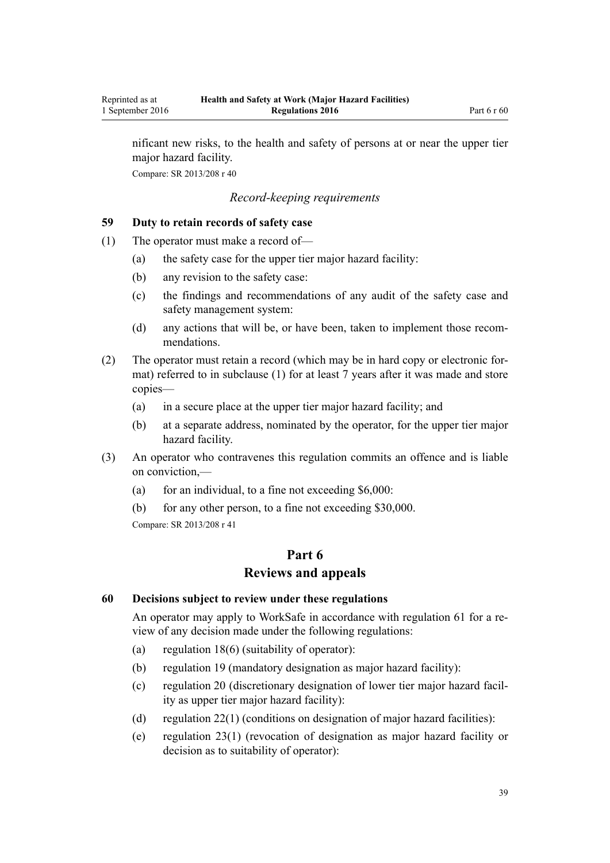nificant new risks, to the health and safety of persons at or near the upper tier major hazard facility.

Compare: SR 2013/208 [r 40](http://prd-lgnz-nlb.prd.pco.net.nz/pdflink.aspx?id=DLM5203766)

## *Record-keeping requirements*

### **59 Duty to retain records of safety case**

- (1) The operator must make a record of—
	- (a) the safety case for the upper tier major hazard facility:
	- (b) any revision to the safety case:
	- (c) the findings and recommendations of any audit of the safety case and safety management system:
	- (d) any actions that will be, or have been, taken to implement those recommendations.
- (2) The operator must retain a record (which may be in hard copy or electronic format) referred to in subclause (1) for at least 7 years after it was made and store copies—
	- (a) in a secure place at the upper tier major hazard facility; and
	- (b) at a separate address, nominated by the operator, for the upper tier major hazard facility.
- (3) An operator who contravenes this regulation commits an offence and is liable on conviction,—
	- (a) for an individual, to a fine not exceeding  $$6,000$ :
	- (b) for any other person, to a fine not exceeding \$30,000. Compare: SR 2013/208 [r 41](http://prd-lgnz-nlb.prd.pco.net.nz/pdflink.aspx?id=DLM5203369)

# **Part 6**

## **Reviews and appeals**

#### **60 Decisions subject to review under these regulations**

An operator may apply to WorkSafe in accordance with [regulation 61](#page-39-0) for a review of any decision made under the following regulations:

- (a) [regulation 18\(6\)](#page-14-0) (suitability of operator):
- (b) [regulation 19](#page-15-0) (mandatory designation as major hazard facility):
- (c) [regulation 20](#page-15-0) (discretionary designation of lower tier major hazard facility as upper tier major hazard facility):
- (d) [regulation 22\(1\)](#page-16-0) (conditions on designation of major hazard facilities):
- (e) [regulation 23\(1\)](#page-16-0) (revocation of designation as major hazard facility or decision as to suitability of operator):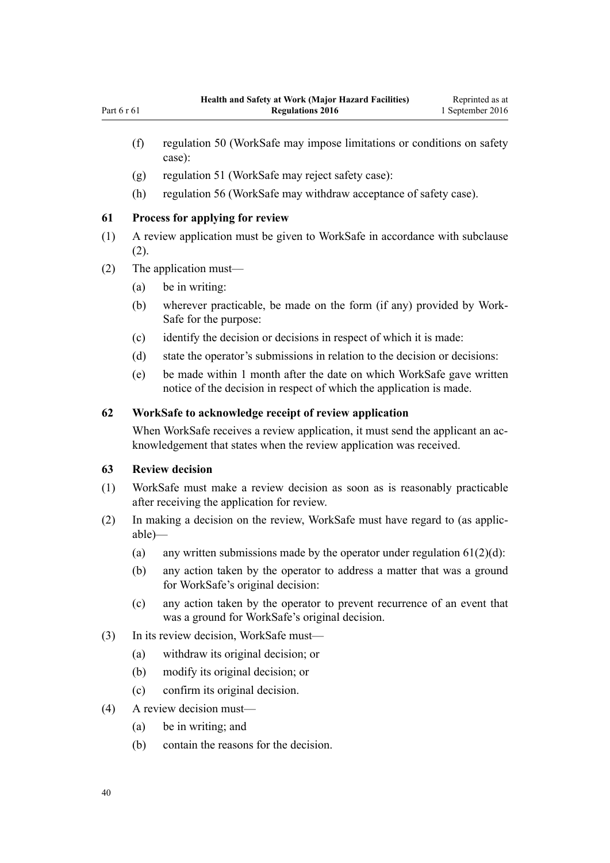- <span id="page-39-0"></span>(f) [regulation 50](#page-32-0) (WorkSafe may impose limitations or conditions on safety case):
- (g) [regulation 51](#page-32-0) (WorkSafe may reject safety case):
- (h) [regulation 56](#page-36-0) (WorkSafe may withdraw acceptance of safety case).

#### **61 Process for applying for review**

- (1) A review application must be given to WorkSafe in accordance with subclause (2).
- (2) The application must—
	- (a) be in writing:
	- (b) wherever practicable, be made on the form (if any) provided by Work-Safe for the purpose:
	- (c) identify the decision or decisions in respect of which it is made:
	- (d) state the operator's submissions in relation to the decision or decisions:
	- (e) be made within 1 month after the date on which WorkSafe gave written notice of the decision in respect of which the application is made.

#### **62 WorkSafe to acknowledge receipt of review application**

When WorkSafe receives a review application, it must send the applicant an acknowledgement that states when the review application was received.

#### **63 Review decision**

- (1) WorkSafe must make a review decision as soon as is reasonably practicable after receiving the application for review.
- (2) In making a decision on the review, WorkSafe must have regard to (as applicable)—
	- (a) any written submissions made by the operator under regulation  $61(2)(d)$ :
	- (b) any action taken by the operator to address a matter that was a ground for WorkSafe's original decision:
	- (c) any action taken by the operator to prevent recurrence of an event that was a ground for WorkSafe's original decision.
- (3) In its review decision, WorkSafe must—
	- (a) withdraw its original decision; or
	- (b) modify its original decision; or
	- (c) confirm its original decision.
- (4) A review decision must—
	- (a) be in writing; and
	- (b) contain the reasons for the decision.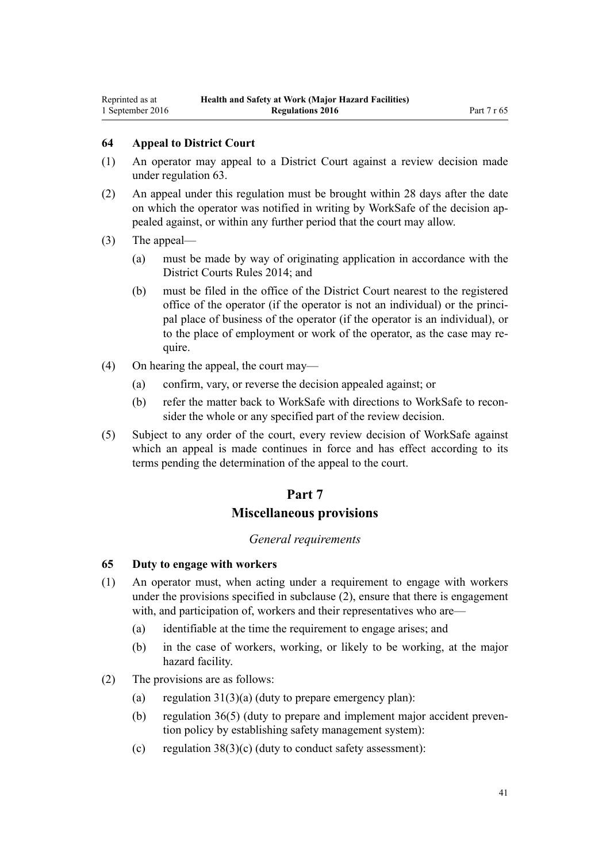## **64 Appeal to District Court**

- (1) An operator may appeal to a District Court against a review decision made under [regulation 63](#page-39-0).
- (2) An appeal under this regulation must be brought within 28 days after the date on which the operator was notified in writing by WorkSafe of the decision appealed against, or within any further period that the court may allow.
- (3) The appeal—
	- (a) must be made by way of originating application in accordance with the [District Courts Rules 2014](http://prd-lgnz-nlb.prd.pco.net.nz/pdflink.aspx?id=DLM6129566); and
	- (b) must be filed in the office of the District Court nearest to the registered office of the operator (if the operator is not an individual) or the principal place of business of the operator (if the operator is an individual), or to the place of employment or work of the operator, as the case may require.
- (4) On hearing the appeal, the court may—
	- (a) confirm, vary, or reverse the decision appealed against; or
	- (b) refer the matter back to WorkSafe with directions to WorkSafe to reconsider the whole or any specified part of the review decision.
- (5) Subject to any order of the court, every review decision of WorkSafe against which an appeal is made continues in force and has effect according to its terms pending the determination of the appeal to the court.

# **Part 7 Miscellaneous provisions**

# *General requirements*

#### **65 Duty to engage with workers**

- (1) An operator must, when acting under a requirement to engage with workers under the provisions specified in subclause (2), ensure that there is engagement with, and participation of, workers and their representatives who are—
	- (a) identifiable at the time the requirement to engage arises; and
	- (b) in the case of workers, working, or likely to be working, at the major hazard facility.
- (2) The provisions are as follows:
	- (a) regulation  $31(3)(a)$  (duty to prepare emergency plan):
	- (b) [regulation 36\(5\)](#page-25-0) (duty to prepare and implement major accident prevention policy by establishing safety management system):
	- (c) regulation  $38(3)(c)$  (duty to conduct safety assessment):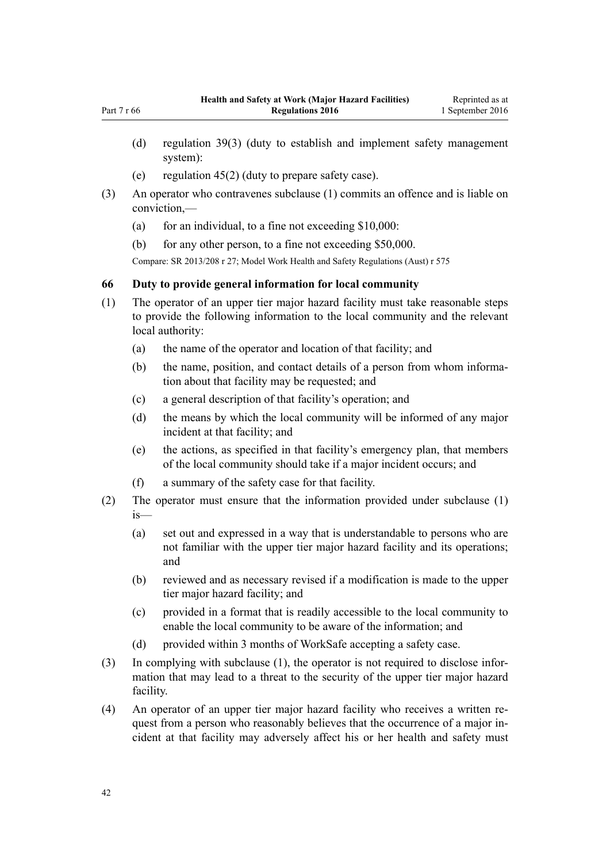- (d) [regulation 39\(3\)](#page-27-0) (duty to establish and implement safety management system):
- (e) [regulation 45\(2\)](#page-30-0) (duty to prepare safety case).
- (3) An operator who contravenes subclause (1) commits an offence and is liable on conviction,—
	- (a) for an individual, to a fine not exceeding  $$10,000$ :
	- (b) for any other person, to a fine not exceeding \$50,000.

Compare: SR 2013/208 [r 27;](http://prd-lgnz-nlb.prd.pco.net.nz/pdflink.aspx?id=DLM5202540) Model Work Health and Safety Regulations (Aust) r 575

#### **66 Duty to provide general information for local community**

- (1) The operator of an upper tier major hazard facility must take reasonable steps to provide the following information to the local community and the relevant local authority:
	- (a) the name of the operator and location of that facility; and
	- (b) the name, position, and contact details of a person from whom information about that facility may be requested; and
	- (c) a general description of that facility's operation; and
	- (d) the means by which the local community will be informed of any major incident at that facility; and
	- (e) the actions, as specified in that facility's emergency plan, that members of the local community should take if a major incident occurs; and
	- (f) a summary of the safety case for that facility.
- (2) The operator must ensure that the information provided under subclause (1) is—
	- (a) set out and expressed in a way that is understandable to persons who are not familiar with the upper tier major hazard facility and its operations; and
	- (b) reviewed and as necessary revised if a modification is made to the upper tier major hazard facility; and
	- (c) provided in a format that is readily accessible to the local community to enable the local community to be aware of the information; and
	- (d) provided within 3 months of WorkSafe accepting a safety case.
- (3) In complying with subclause (1), the operator is not required to disclose information that may lead to a threat to the security of the upper tier major hazard facility.
- (4) An operator of an upper tier major hazard facility who receives a written request from a person who reasonably believes that the occurrence of a major incident at that facility may adversely affect his or her health and safety must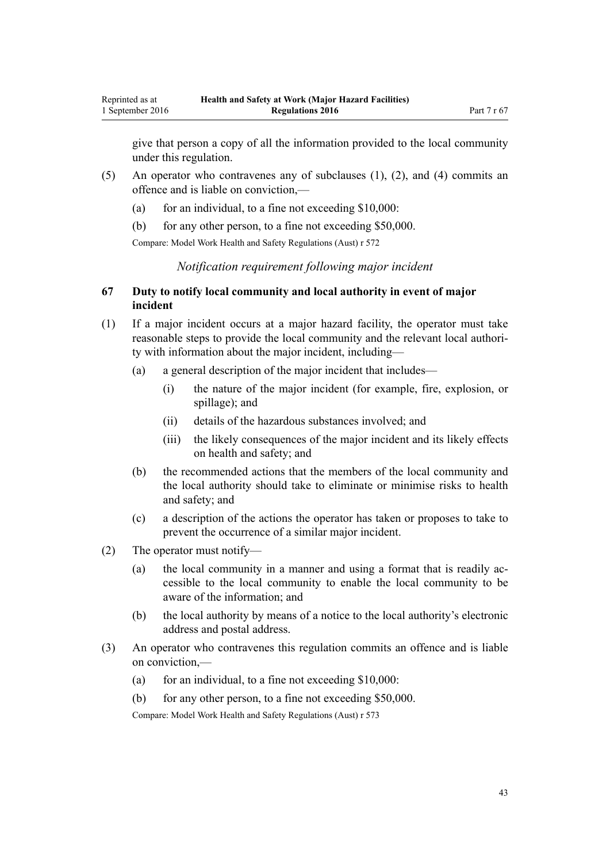give that person a copy of all the information provided to the local community under this regulation.

- (5) An operator who contravenes any of subclauses (1), (2), and (4) commits an offence and is liable on conviction,—
	- (a) for an individual, to a fine not exceeding  $$10,000$ :
	- (b) for any other person, to a fine not exceeding \$50,000.

Compare: Model Work Health and Safety Regulations (Aust) r 572

*Notification requirement following major incident*

## **67 Duty to notify local community and local authority in event of major incident**

- (1) If a major incident occurs at a major hazard facility, the operator must take reasonable steps to provide the local community and the relevant local authority with information about the major incident, including—
	- (a) a general description of the major incident that includes—
		- (i) the nature of the major incident (for example, fire, explosion, or spillage); and
		- (ii) details of the hazardous substances involved; and
		- (iii) the likely consequences of the major incident and its likely effects on health and safety; and
	- (b) the recommended actions that the members of the local community and the local authority should take to eliminate or minimise risks to health and safety; and
	- (c) a description of the actions the operator has taken or proposes to take to prevent the occurrence of a similar major incident.
- (2) The operator must notify—
	- (a) the local community in a manner and using a format that is readily accessible to the local community to enable the local community to be aware of the information; and
	- (b) the local authority by means of a notice to the local authority's electronic address and postal address.
- (3) An operator who contravenes this regulation commits an offence and is liable on conviction,—
	- (a) for an individual, to a fine not exceeding  $$10,000$ :
	- (b) for any other person, to a fine not exceeding \$50,000.

Compare: Model Work Health and Safety Regulations (Aust) r 573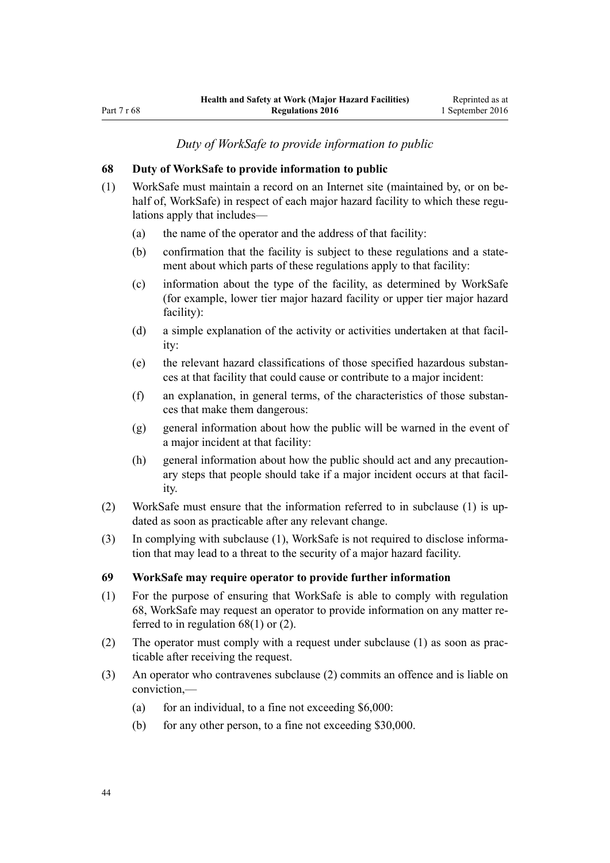*Duty of WorkSafe to provide information to public*

#### **68 Duty of WorkSafe to provide information to public**

- (1) WorkSafe must maintain a record on an Internet site (maintained by, or on behalf of, WorkSafe) in respect of each major hazard facility to which these regulations apply that includes—
	- (a) the name of the operator and the address of that facility:
	- (b) confirmation that the facility is subject to these regulations and a statement about which parts of these regulations apply to that facility:
	- (c) information about the type of the facility, as determined by WorkSafe (for example, lower tier major hazard facility or upper tier major hazard facility):
	- (d) a simple explanation of the activity or activities undertaken at that facility:
	- (e) the relevant hazard classifications of those specified hazardous substances at that facility that could cause or contribute to a major incident:
	- (f) an explanation, in general terms, of the characteristics of those substances that make them dangerous:
	- (g) general information about how the public will be warned in the event of a major incident at that facility:
	- (h) general information about how the public should act and any precautionary steps that people should take if a major incident occurs at that facility.
- (2) WorkSafe must ensure that the information referred to in subclause (1) is updated as soon as practicable after any relevant change.
- (3) In complying with subclause (1), WorkSafe is not required to disclose information that may lead to a threat to the security of a major hazard facility.

#### **69 WorkSafe may require operator to provide further information**

- (1) For the purpose of ensuring that WorkSafe is able to comply with regulation 68, WorkSafe may request an operator to provide information on any matter referred to in regulation 68(1) or (2).
- (2) The operator must comply with a request under subclause (1) as soon as practicable after receiving the request.
- (3) An operator who contravenes subclause (2) commits an offence and is liable on conviction,—
	- (a) for an individual, to a fine not exceeding  $$6,000$ :
	- (b) for any other person, to a fine not exceeding \$30,000.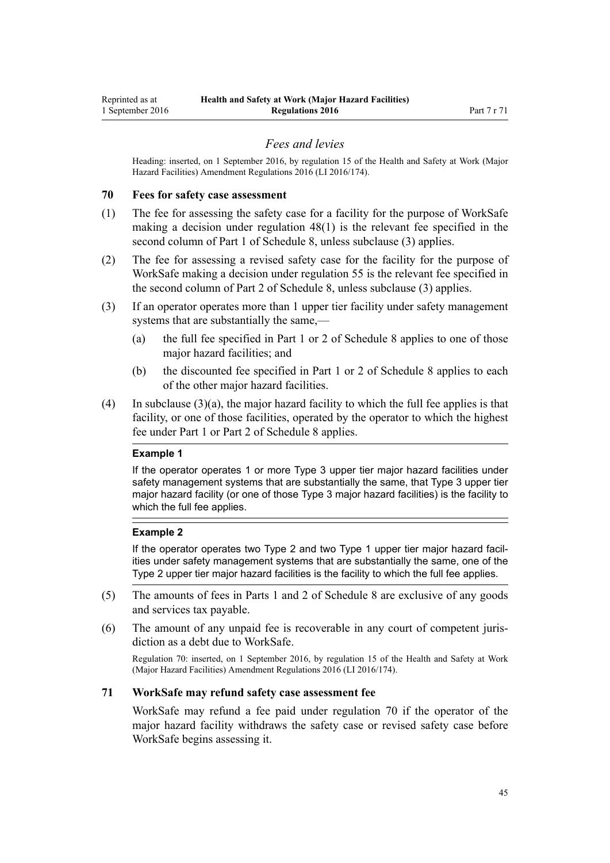#### *Fees and levies*

<span id="page-44-0"></span>Heading: inserted, on 1 September 2016, by [regulation 15](http://prd-lgnz-nlb.prd.pco.net.nz/pdflink.aspx?id=DLM6907720) of the Health and Safety at Work (Major Hazard Facilities) Amendment Regulations 2016 (LI 2016/174).

#### **70 Fees for safety case assessment**

- (1) The fee for assessing the safety case for a facility for the purpose of WorkSafe making a decision under [regulation 48\(1\)](#page-31-0) is the relevant fee specified in the second column of [Part 1](#page-71-0) of Schedule 8, unless subclause (3) applies.
- (2) The fee for assessing a revised safety case for the facility for the purpose of WorkSafe making a decision under [regulation 55](#page-36-0) is the relevant fee specified in the second column of [Part 2](#page-72-0) of Schedule 8, unless subclause (3) applies.
- (3) If an operator operates more than 1 upper tier facility under safety management systems that are substantially the same,—
	- (a) the full fee specified in [Part 1](#page-71-0) or [2](#page-72-0) of Schedule 8 applies to one of those major hazard facilities; and
	- (b) the discounted fee specified in [Part 1](#page-71-0) or [2](#page-72-0) of Schedule 8 applies to each of the other major hazard facilities.
- (4) In subclause  $(3)(a)$ , the major hazard facility to which the full fee applies is that facility, or one of those facilities, operated by the operator to which the highest fee under [Part 1](#page-71-0) or [Part 2](#page-72-0) of Schedule 8 applies.

#### **Example 1**

If the operator operates 1 or more Type 3 upper tier major hazard facilities under safety management systems that are substantially the same, that Type 3 upper tier major hazard facility (or one of those Type 3 major hazard facilities) is the facility to which the full fee applies.

#### **Example 2**

If the operator operates two Type 2 and two Type 1 upper tier major hazard facilities under safety management systems that are substantially the same, one of the Type 2 upper tier major hazard facilities is the facility to which the full fee applies.

- (5) The amounts of fees in [Parts 1](#page-71-0) and [2](#page-72-0) of Schedule 8 are exclusive of any goods and services tax payable.
- (6) The amount of any unpaid fee is recoverable in any court of competent jurisdiction as a debt due to WorkSafe.

Regulation 70: inserted, on 1 September 2016, by [regulation 15](http://prd-lgnz-nlb.prd.pco.net.nz/pdflink.aspx?id=DLM6907720) of the Health and Safety at Work (Major Hazard Facilities) Amendment Regulations 2016 (LI 2016/174).

#### **71 WorkSafe may refund safety case assessment fee**

WorkSafe may refund a fee paid under regulation 70 if the operator of the major hazard facility withdraws the safety case or revised safety case before WorkSafe begins assessing it.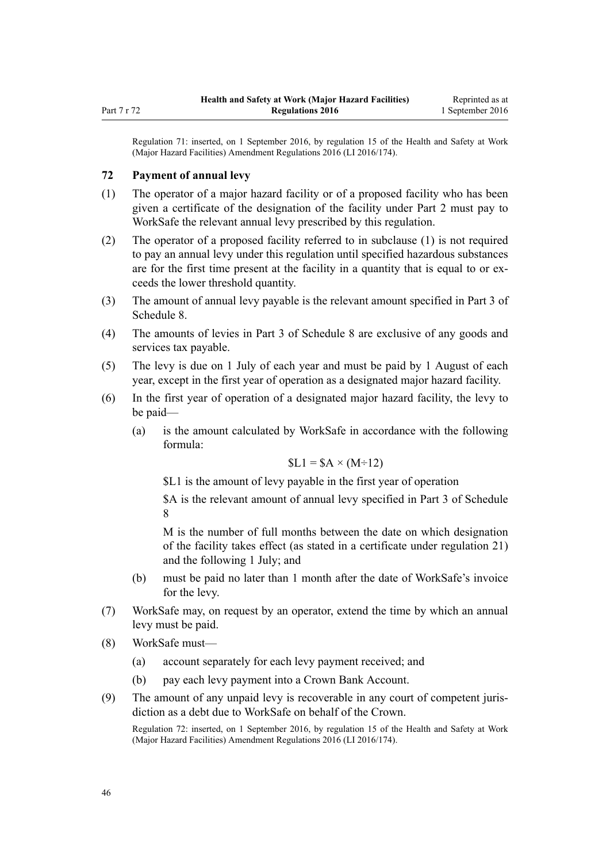<span id="page-45-0"></span>Regulation 71: inserted, on 1 September 2016, by [regulation 15](http://prd-lgnz-nlb.prd.pco.net.nz/pdflink.aspx?id=DLM6907720) of the Health and Safety at Work (Major Hazard Facilities) Amendment Regulations 2016 (LI 2016/174).

#### **72 Payment of annual levy**

- (1) The operator of a major hazard facility or of a proposed facility who has been given a certificate of the designation of the facility under [Part 2](#page-10-0) must pay to WorkSafe the relevant annual levy prescribed by this regulation.
- (2) The operator of a proposed facility referred to in subclause (1) is not required to pay an annual levy under this regulation until specified hazardous substances are for the first time present at the facility in a quantity that is equal to or exceeds the lower threshold quantity.
- (3) The amount of annual levy payable is the relevant amount specified in [Part 3](#page-72-0) of Schedule 8.
- (4) The amounts of levies in [Part 3](#page-72-0) of Schedule 8 are exclusive of any goods and services tax payable.
- (5) The levy is due on 1 July of each year and must be paid by 1 August of each year, except in the first year of operation as a designated major hazard facility.
- (6) In the first year of operation of a designated major hazard facility, the levy to be paid—
	- (a) is the amount calculated by WorkSafe in accordance with the following formula:

$$
L1 = 8A \times (M \div 12)
$$

\$L1 is the amount of levy payable in the first year of operation

\$A is the relevant amount of annual levy specified in [Part 3](#page-72-0) of Schedule 8

M is the number of full months between the date on which designation of the facility takes effect (as stated in a certificate under [regulation 21](#page-15-0)) and the following 1 July; and

- (b) must be paid no later than 1 month after the date of WorkSafe's invoice for the levy.
- (7) WorkSafe may, on request by an operator, extend the time by which an annual levy must be paid.
- (8) WorkSafe must—
	- (a) account separately for each levy payment received; and
	- (b) pay each levy payment into a Crown Bank Account.
- (9) The amount of any unpaid levy is recoverable in any court of competent jurisdiction as a debt due to WorkSafe on behalf of the Crown.

Regulation 72: inserted, on 1 September 2016, by [regulation 15](http://prd-lgnz-nlb.prd.pco.net.nz/pdflink.aspx?id=DLM6907720) of the Health and Safety at Work (Major Hazard Facilities) Amendment Regulations 2016 (LI 2016/174).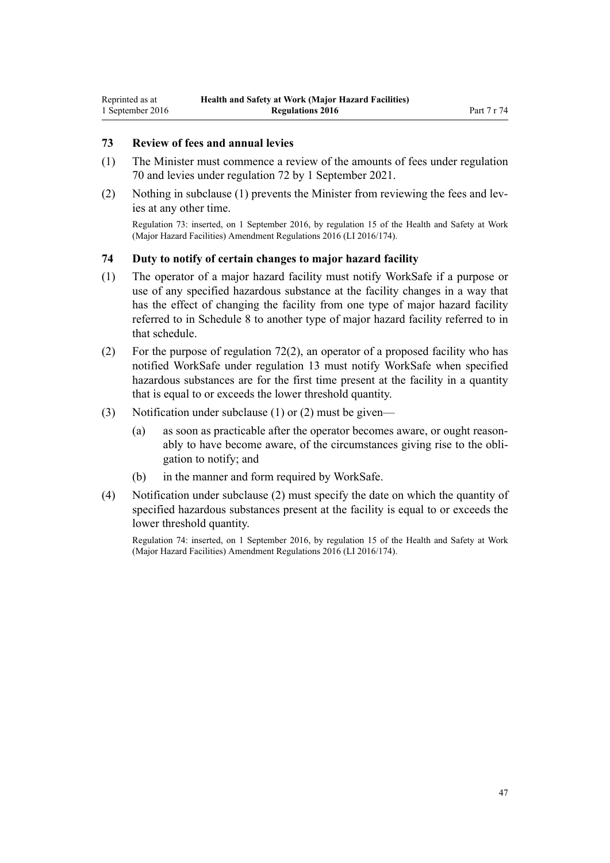## **73 Review of fees and annual levies**

- (1) The Minister must commence a review of the amounts of fees under [regulation](#page-44-0) [70](#page-44-0) and levies under [regulation 72](#page-45-0) by 1 September 2021.
- (2) Nothing in subclause (1) prevents the Minister from reviewing the fees and levies at any other time.

Regulation 73: inserted, on 1 September 2016, by [regulation 15](http://prd-lgnz-nlb.prd.pco.net.nz/pdflink.aspx?id=DLM6907720) of the Health and Safety at Work (Major Hazard Facilities) Amendment Regulations 2016 (LI 2016/174).

#### **74 Duty to notify of certain changes to major hazard facility**

- (1) The operator of a major hazard facility must notify WorkSafe if a purpose or use of any specified hazardous substance at the facility changes in a way that has the effect of changing the facility from one type of major hazard facility referred to in [Schedule 8](#page-71-0) to another type of major hazard facility referred to in that schedule.
- (2) For the purpose of [regulation 72\(2\)](#page-45-0), an operator of a proposed facility who has notified WorkSafe under [regulation 13](#page-10-0) must notify WorkSafe when specified hazardous substances are for the first time present at the facility in a quantity that is equal to or exceeds the lower threshold quantity.
- (3) Notification under subclause (1) or (2) must be given—
	- (a) as soon as practicable after the operator becomes aware, or ought reasonably to have become aware, of the circumstances giving rise to the obligation to notify; and
	- (b) in the manner and form required by WorkSafe.
- (4) Notification under subclause (2) must specify the date on which the quantity of specified hazardous substances present at the facility is equal to or exceeds the lower threshold quantity.

Regulation 74: inserted, on 1 September 2016, by [regulation 15](http://prd-lgnz-nlb.prd.pco.net.nz/pdflink.aspx?id=DLM6907720) of the Health and Safety at Work (Major Hazard Facilities) Amendment Regulations 2016 (LI 2016/174).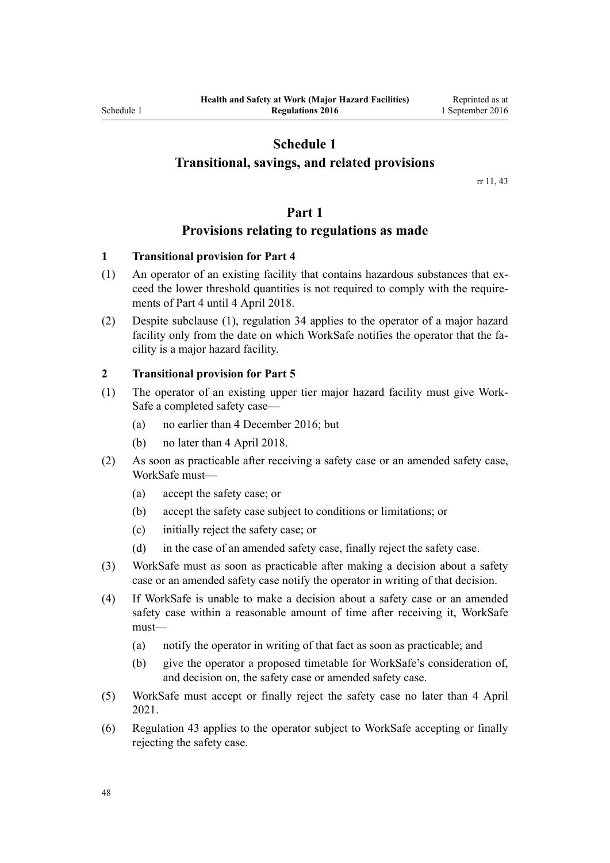## **Schedule 1**

## **Transitional, savings, and related provisions**

rr [11,](#page-9-0) [43](#page-29-0)

#### **Part 1**

## **Provisions relating to regulations as made**

#### **1 Transitional provision for Part 4**

- (1) An operator of an existing facility that contains hazardous substances that exceed the lower threshold quantities is not required to comply with the requirements of [Part 4](#page-20-0) until 4 April 2018.
- (2) Despite subclause (1), [regulation 34](#page-23-0) applies to the operator of a major hazard facility only from the date on which WorkSafe notifies the operator that the facility is a major hazard facility.

#### **2 Transitional provision for Part 5**

- (1) The operator of an existing upper tier major hazard facility must give Work-Safe a completed safety case—
	- (a) no earlier than 4 December 2016; but
	- (b) no later than 4 April 2018.
- (2) As soon as practicable after receiving a safety case or an amended safety case, WorkSafe must—
	- (a) accept the safety case; or
	- (b) accept the safety case subject to conditions or limitations; or
	- (c) initially reject the safety case; or
	- (d) in the case of an amended safety case, finally reject the safety case.
- (3) WorkSafe must as soon as practicable after making a decision about a safety case or an amended safety case notify the operator in writing of that decision.
- (4) If WorkSafe is unable to make a decision about a safety case or an amended safety case within a reasonable amount of time after receiving it, WorkSafe must—
	- (a) notify the operator in writing of that fact as soon as practicable; and
	- (b) give the operator a proposed timetable for WorkSafe's consideration of, and decision on, the safety case or amended safety case.
- (5) WorkSafe must accept or finally reject the safety case no later than 4 April 2021.
- (6) [Regulation 43](#page-29-0) applies to the operator subject to WorkSafe accepting or finally rejecting the safety case.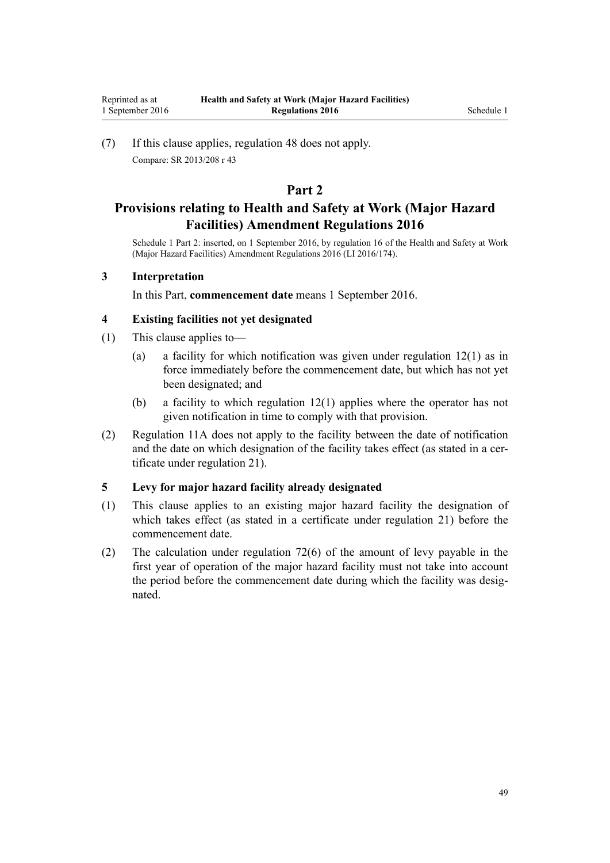(7) If this clause applies, [regulation 48](#page-31-0) does not apply. Compare: SR 2013/208 [r 43](http://prd-lgnz-nlb.prd.pco.net.nz/pdflink.aspx?id=DLM5203770)

## **Part 2**

# **Provisions relating to Health and Safety at Work (Major Hazard Facilities) Amendment Regulations 2016**

Schedule 1 Part 2: inserted, on 1 September 2016, by [regulation 16](http://prd-lgnz-nlb.prd.pco.net.nz/pdflink.aspx?id=DLM6907731) of the Health and Safety at Work (Major Hazard Facilities) Amendment Regulations 2016 (LI 2016/174).

### **3 Interpretation**

In this Part, **commencement date** means 1 September 2016.

#### **4 Existing facilities not yet designated**

- (1) This clause applies to—
	- (a) a facility for which notification was given under [regulation 12\(1\)](#page-10-0) as in force immediately before the commencement date, but which has not yet been designated; and
	- (b) a facility to which [regulation 12\(1\)](#page-10-0) applies where the operator has not given notification in time to comply with that provision.
- (2) [Regulation 11A](#page-10-0) does not apply to the facility between the date of notification and the date on which designation of the facility takes effect (as stated in a certificate under [regulation 21](#page-15-0)).

#### **5 Levy for major hazard facility already designated**

- (1) This clause applies to an existing major hazard facility the designation of which takes effect (as stated in a certificate under [regulation 21](#page-15-0)) before the commencement date.
- (2) The calculation under [regulation 72\(6\)](#page-45-0) of the amount of levy payable in the first year of operation of the major hazard facility must not take into account the period before the commencement date during which the facility was designated.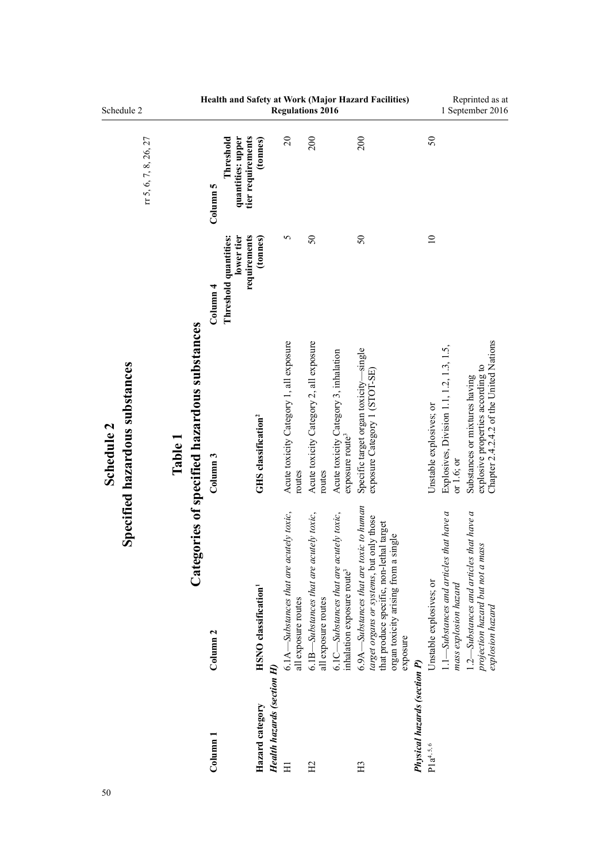| Schedule 2                                   |                       |         |                                              |                                                                               |                                         |                            |                                                                | <b>Regulations 2016</b>                                        |                                                                       | Health and Safety at Work (Major Hazard Facilities)                                                                                                                                 |                                     |                                                                                                | Reprinted as at<br>1 September 2016                                                                           |
|----------------------------------------------|-----------------------|---------|----------------------------------------------|-------------------------------------------------------------------------------|-----------------------------------------|----------------------------|----------------------------------------------------------------|----------------------------------------------------------------|-----------------------------------------------------------------------|-------------------------------------------------------------------------------------------------------------------------------------------------------------------------------------|-------------------------------------|------------------------------------------------------------------------------------------------|---------------------------------------------------------------------------------------------------------------|
|                                              | rr 5, 6, 7, 8, 26, 27 |         |                                              | tier requirements<br>quantities: upper<br>Threshold<br>Column 5               | (tonnes)                                |                            | $\overline{c}$                                                 | 200                                                            |                                                                       | 200                                                                                                                                                                                 |                                     | 50                                                                                             |                                                                                                               |
|                                              |                       |         |                                              | requirements<br>Threshold quantities:<br>lower tier<br>$\frac{1}{2}$ Column 4 | (tonnes)                                |                            | 5                                                              | $\mathcal{S}$                                                  |                                                                       | $\mathcal{S}$                                                                                                                                                                       |                                     | $\approx$                                                                                      |                                                                                                               |
| Specified hazardous substances<br>Schedule 2 |                       | Table 1 | Categories of specified hazardous substances | Column <sub>3</sub>                                                           | GHS classification <sup>2</sup>         |                            | Acute toxicity Category 1, all exposure<br>routes              | Acute toxicity Category 2, all exposure<br>routes              | Acute toxicity Category 3, inhalation<br>exposure route <sup>3</sup>  | Specific target organ toxicity-single<br>exposure Category 1 (STOT-SE)                                                                                                              |                                     | Explosives, Division 1.1, 1.2, 1.3, 1.5,<br>Unstable explosives; or<br>or $1.6$ ; or           | Chapter 2.4.2.4.2 of the United Nations<br>explosive properties according to<br>Substances or mixtures having |
|                                              |                       |         |                                              | Column <sub>2</sub>                                                           | <b>HSNO</b> classification <sup>1</sup> |                            | 6.1A—Substances that are acutely toxic,<br>all exposure routes | 6.1B—Substances that are acutely toxic,<br>all exposure routes | 6.1C—Substances that are acutely toxic,<br>inhalation exposure route3 | 6.9A—Substances that are toxic to human<br>target organs or systems, but only those<br>that produce specific, non-lethal target<br>organ toxicity arising from a single<br>exposure |                                     | that have a<br>1.1-Substances and articles<br>Unstable explosives; or<br>mass explosion hazard | $1.2$ —Substances and articles that have a<br>projection hazard but not a mass<br>explosion hazard            |
|                                              |                       |         |                                              | $Column$ $1$                                                                  | Hazard category                         | Health hazards (section H) | Ξ                                                              | H <sub>2</sub>                                                 |                                                                       | H <sub>3</sub>                                                                                                                                                                      | <b>Physical hazards (section P)</b> | $P1a^{4, 5, 6}$                                                                                |                                                                                                               |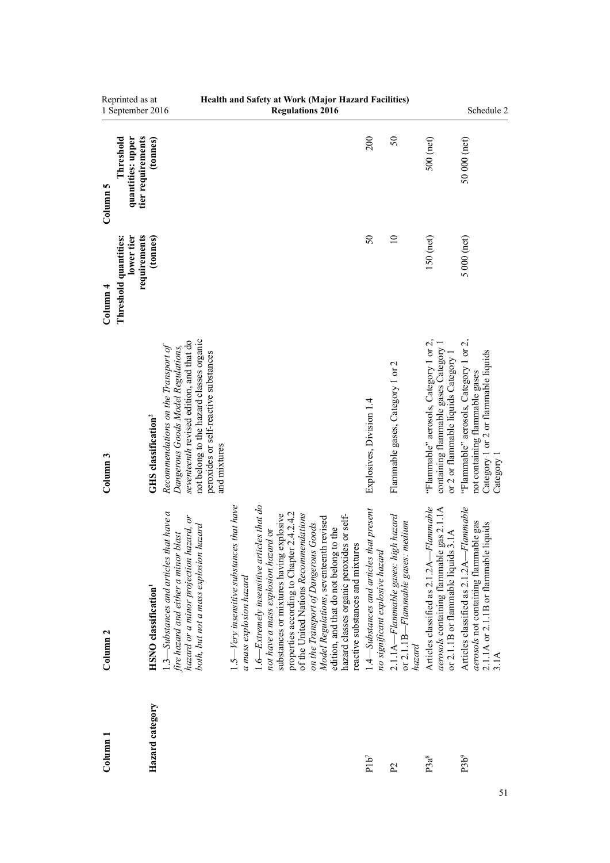| Reprinted as at<br>1 September 2016                                                    |                                                                                                                                                                                                                            |                                                                        | Health and Safety at Work (Major Hazard Facilities)<br><b>Regulations 2016</b>                                                                                                                                                                                                                                                                                                                                                    |                                                                             |                                                                                           |                                                                                                                                | Schedule 2                                                                                                                     |
|----------------------------------------------------------------------------------------|----------------------------------------------------------------------------------------------------------------------------------------------------------------------------------------------------------------------------|------------------------------------------------------------------------|-----------------------------------------------------------------------------------------------------------------------------------------------------------------------------------------------------------------------------------------------------------------------------------------------------------------------------------------------------------------------------------------------------------------------------------|-----------------------------------------------------------------------------|-------------------------------------------------------------------------------------------|--------------------------------------------------------------------------------------------------------------------------------|--------------------------------------------------------------------------------------------------------------------------------|
| tier requirements<br>quantities: upper<br>(tonnes)<br>Threshold<br>Column 5            |                                                                                                                                                                                                                            |                                                                        |                                                                                                                                                                                                                                                                                                                                                                                                                                   | 200                                                                         | 50                                                                                        | 500 (net)                                                                                                                      | 50 000 (net)                                                                                                                   |
| lower tier<br>requirements<br>(tonnes)<br>Threshold quantities:<br>Column <sub>4</sub> |                                                                                                                                                                                                                            |                                                                        |                                                                                                                                                                                                                                                                                                                                                                                                                                   | $\mathcal{S}$                                                               | $\equiv$                                                                                  | $150$ (net)                                                                                                                    | $5000$ (net)                                                                                                                   |
| <b>GHS</b> classification <sup>2</sup><br>Column <sub>3</sub>                          | not belong to the hazard classes organic<br>seventeenth revised edition, and that do<br>Recommendations on the Transport of<br>Dangerous Goods Model Regulations,<br>peroxides or self-reactive substances<br>and mixtures |                                                                        |                                                                                                                                                                                                                                                                                                                                                                                                                                   | Explosives, Division 1.4                                                    | Flammable gases, Category 1 or 2                                                          | "Flammable" aerosols, Category 1 or 2,<br>containing flammable gases Category 1<br>or 2 or flammable liquids Category 1        | "Flammable" aerosols, Category 1 or 2,<br>Category 1 or 2 or flammable liquids<br>not containing flammable gases<br>Category 1 |
| <b>HSNO</b> classification <sup>1</sup><br>Column <sub>2</sub>                         | $1.3$ —Substances and articles that have a<br>hazard or a minor projection hazard, or<br>both, but not a mass explosion hazard<br>fire hazard and either a minor blast                                                     | $.5$ —Very insensitive substances that have<br>a mass explosion hazard | $1.6$ —Extremely insensitive articles that do<br>properties according to Chapter 2.4.2.4.2<br>of the United Nations Recommendations<br>substances or mixtures having explosive<br>hazard classes organic peroxides or self-<br>Model Regulations, seventeenth revised<br>on the Transport of Dangerous Goods<br>edition, and that do not belong to the<br>not have a mass explosion hazard or<br>reactive substances and mixtures | 1.4—Substances and articles that present<br>no significant explosive hazard | $2.1.1A-Flammable gases: high hazard$<br>medium<br>or $2.1.1B-Flammable$ gases:<br>hazard | Flammable<br>aerosols containing flammable gas 2.1.1A<br>or 2.1.1B or flammable liquids 3.1A<br>Articles classified as 2.1.2A- | Flammable<br>aerosols not containing flammable gas<br>2.1.1A or 2.1.1B or flammable liquids<br>Articles classified as 2.1.2A-  |
| Hazard category<br>$_{\rm Column\,1}$                                                  |                                                                                                                                                                                                                            |                                                                        |                                                                                                                                                                                                                                                                                                                                                                                                                                   | $P1b^7$                                                                     | P <sub>2</sub>                                                                            | P3a <sup>8</sup>                                                                                                               | P3b <sup>9</sup>                                                                                                               |

**Health and Safety at Work (Major Hazard Facilities)**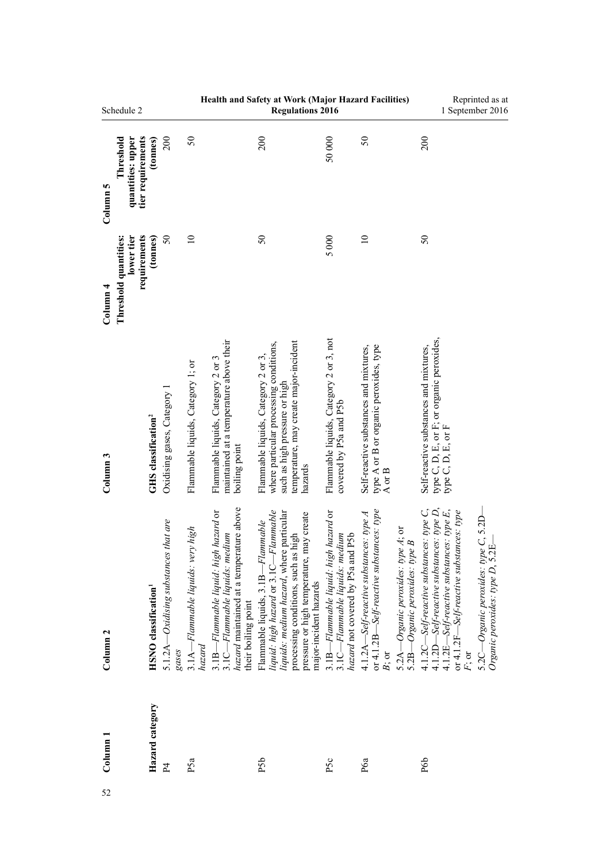|                     | Schedule 2                                          |                                         |                                               |                                             |                                                                                                                                            | Health and Safety at Work (Major Hazard Facilities)<br><b>Regulations 2016</b>                                                                                                                                                      |                                                                                                                  |                                                                                                                                                                           | Reprinted as at<br>1 September 2016                                                                                                                                                                                                                                         |
|---------------------|-----------------------------------------------------|-----------------------------------------|-----------------------------------------------|---------------------------------------------|--------------------------------------------------------------------------------------------------------------------------------------------|-------------------------------------------------------------------------------------------------------------------------------------------------------------------------------------------------------------------------------------|------------------------------------------------------------------------------------------------------------------|---------------------------------------------------------------------------------------------------------------------------------------------------------------------------|-----------------------------------------------------------------------------------------------------------------------------------------------------------------------------------------------------------------------------------------------------------------------------|
| Column 5            | tier requirements<br>quantities: upper<br>Threshold | (tonnes)                                | 200                                           | 50                                          |                                                                                                                                            | 200                                                                                                                                                                                                                                 | 50000                                                                                                            | 50                                                                                                                                                                        | 200                                                                                                                                                                                                                                                                         |
| Column <sub>4</sub> | lower tier<br>requirements<br>Threshold quantities: | (tonnes)                                | $\mathcal{S}$                                 | $\approx$                                   |                                                                                                                                            | $\mathcal{S}$                                                                                                                                                                                                                       | 5000                                                                                                             | $\overline{a}$                                                                                                                                                            | $\mathcal{S}$                                                                                                                                                                                                                                                               |
| Column <sub>3</sub> |                                                     | GHS classification <sup>2</sup>         | Oxidising gases, Category 1                   | Flammable liquids, Category 1; or           | maintained at a temperature above their<br>Flammable liquids, Category 2 or 3<br>boiling point                                             | temperature, may create major-incident<br>where particular processing conditions,<br>Flammable liquids, Category 2 or 3,<br>such as high pressure or high<br>hazards                                                                | Flammable liquids, Category 2 or 3, not<br>covered by P5a and P5b                                                | type A or B or organic peroxides, type<br>Self-reactive substances and mixtures,<br>A or B                                                                                | type C, D, E, or F; or organic peroxides,<br>type C, D, E, or F<br>Self-reactive substances and mixtures,                                                                                                                                                                   |
| Column <sub>2</sub> |                                                     | <b>HSNO</b> classification <sup>1</sup> | 5.1.2A—Oxidising substances that are<br>gases | 3.1A-Flammable liquids: very high<br>hazard | hazard maintained at a temperature above<br>3.1B-Flammable liquid: high hazard or<br>3.1C—Flammable liquids: medium<br>their boiling point | liquid: high hazard or 3.1C-Flammable<br>liquids: medium hazard, where particular<br>pressure or high temperature, may create<br>Flammable liquids, 3.1B-Flammable<br>processing conditions, such as high<br>major-incident hazards | 3.1B-Flammable liquid: high hazard or<br>hazard not covered by P5a and P5b<br>$3.1C - Flammable$ liquids: medium | or 4.1.2B—Self-reactive substances: type<br>$4.1.2A-Self-reactive substances: type A$<br>5.2A—Organic peroxides: type A; or<br>5.2B-Organic peroxides: type B<br>$B$ ; or | 4.1.2D-Self-reactive substances: type D,<br>$4.1.2C -$ Self-reactive substances: type C,<br>5.2C—Organic peroxides: type C, 5.2D—<br>Organic peroxides: type D, 5.2E—<br>$4.1.2E-Self-reactive substances: type E,$<br>or 4.1.2F-Self-reactive substances: type<br>$F$ ; or |
| Column <sub>1</sub> |                                                     | Hazard category                         | P <sub>4</sub>                                | P5a                                         |                                                                                                                                            | P <sub>5</sub> b                                                                                                                                                                                                                    | P <sub>5c</sub>                                                                                                  | P6a                                                                                                                                                                       | P6 <sub>p</sub>                                                                                                                                                                                                                                                             |
| 52                  |                                                     |                                         |                                               |                                             |                                                                                                                                            |                                                                                                                                                                                                                                     |                                                                                                                  |                                                                                                                                                                           |                                                                                                                                                                                                                                                                             |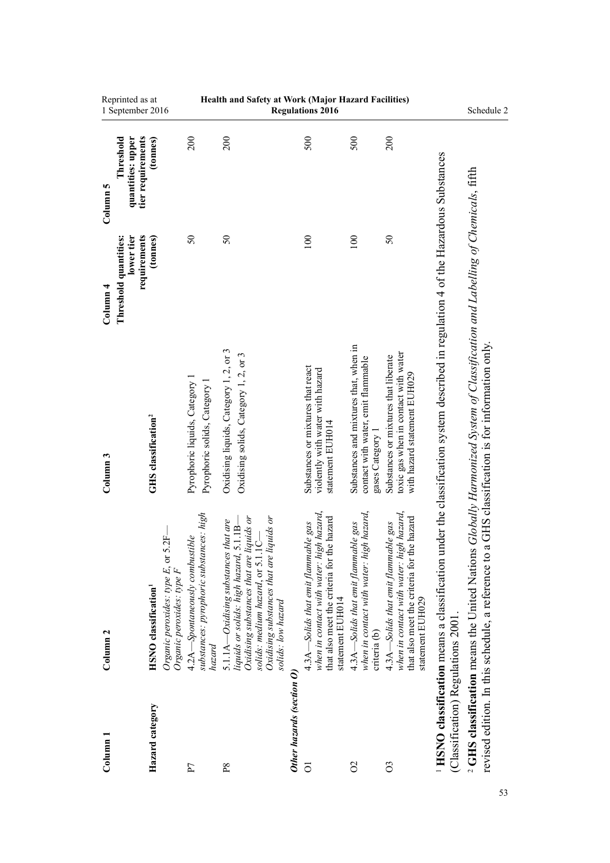| Column                             | Column <sub>2</sub>                                                                                                                                                                                                                           | Column <sub>3</sub>                                                                                                             | Column <sub>4</sub>                                 | Column 5                                            |                                                     |
|------------------------------------|-----------------------------------------------------------------------------------------------------------------------------------------------------------------------------------------------------------------------------------------------|---------------------------------------------------------------------------------------------------------------------------------|-----------------------------------------------------|-----------------------------------------------------|-----------------------------------------------------|
|                                    |                                                                                                                                                                                                                                               |                                                                                                                                 | lower tier<br>requirements<br>Threshold quantities: | tier requirements<br>quantities: upper<br>Threshold | Reprinted as at<br>1 September 2016                 |
| Hazard category                    | 2F<br>Organic peroxides: type E, or 5<br>Organic peroxides: type F<br><b>HSNO</b> classification <sup>1</sup>                                                                                                                                 | GHS classification <sup>2</sup>                                                                                                 | (tonnes)                                            | (tonnes)                                            |                                                     |
| P                                  | substances: pyrophoric substances: high<br>4.2A—Spontaneously combustible<br>hazard                                                                                                                                                           | Pyrophoric liquids, Category 1<br>Pyrophoric solids, Category                                                                   | $50\,$                                              | 200                                                 |                                                     |
| P8                                 | Oxidising substances that are liquids or<br>Oxidising substances that are liquids or<br>that are<br>$5.1.1B-$<br>J<br>liquids or solids: high hazard,<br>solids: medium hazard, or 5.1.1<br>5.1.1A-Oxidising substances<br>solids: low hazard | Oxidising liquids, Category 1, 2, or 3<br>Oxidising solids, Category 1, 2, or 3                                                 | $\mathcal{S}$                                       | 200                                                 | Health and Safety at Work (Major Hazard Facilities) |
| Other hazards (section O           |                                                                                                                                                                                                                                               |                                                                                                                                 |                                                     |                                                     |                                                     |
| $\overline{O}$                     | when in contact with water: high hazard,<br>that also meet the criteria for the hazard<br>4.3A—Solids that emit flammable gas<br>statement EUH014                                                                                             | Substances or mixtures that react<br>violently with water with hazard<br>statement EUH014                                       | 100                                                 | 500                                                 | <b>Regulations 2016</b>                             |
| $\delta$                           | when in contact with water: high hazard,<br>4.3A—Solids that emit flammable gas<br>criteria (b)                                                                                                                                               | Substances and mixtures that, when in<br>contact with water, emit flammable<br>gases Category 1                                 | 100                                                 | 500                                                 |                                                     |
| $\overline{O}$                     | when in contact with water: high hazard,<br>e hazard<br>4.3A-Solids that emit flammable gas<br>that also meet the criteria for th<br>statement EUH029                                                                                         | toxic gas when in contact with water<br>Substances or mixtures that liberate<br>with hazard statement EUH029                    | $50\,$                                              | 200                                                 |                                                     |
| (Classification) Regulations 2001. | <sup>1</sup> HSNO classification means a classification under the classification system described in regulation 4 of the Hazardous Substances                                                                                                 |                                                                                                                                 |                                                     |                                                     |                                                     |
|                                    | <sup>2</sup> GHS classification means the United Nations<br>revised edition. In this schedule, a reference to                                                                                                                                 | Globally Harmonized System of Classification and Labelling of Chemicals, fifth<br>a GHS classification is for information only. |                                                     |                                                     | Schedule 2                                          |
|                                    |                                                                                                                                                                                                                                               |                                                                                                                                 |                                                     |                                                     |                                                     |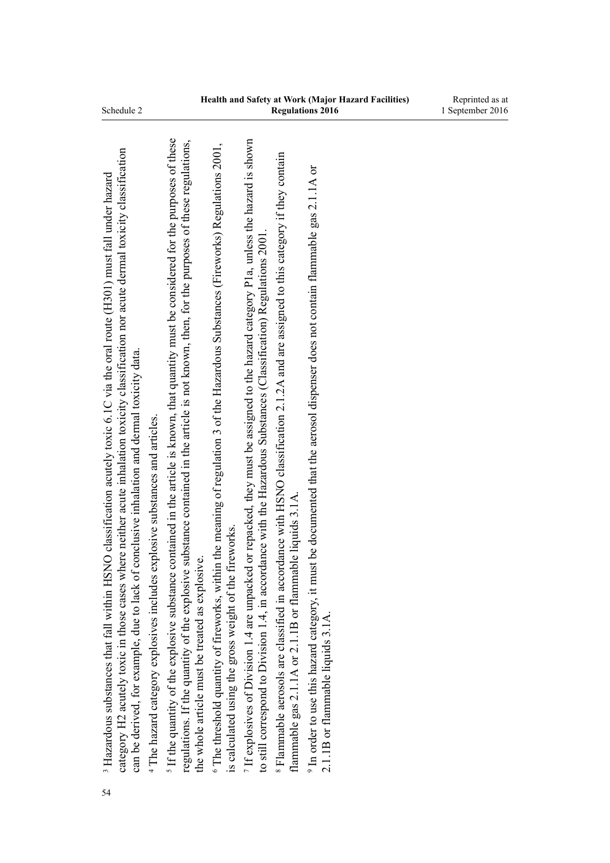| Schedule 2 |  |
|------------|--|
|            |  |

| 54 | category H2 acutely toxic in those cases where neither acute inhalation toxicity classification nor acute dermal toxicity classification<br>HSNO classification acutely toxic 6.1C via the oral route (H301) must fall under hazard<br>can be derived, for example, due to lack of conclusive inhalation and dermal toxicity data.<br><sup>4</sup> The hazard category explosives includes explosive substances and articles.<br><sup>3</sup> Hazardous substances that fall within |
|----|-------------------------------------------------------------------------------------------------------------------------------------------------------------------------------------------------------------------------------------------------------------------------------------------------------------------------------------------------------------------------------------------------------------------------------------------------------------------------------------|
|    | If the quantity of the explosive substance contained in the article is known, that quantity must be considered for the purposes of these<br>regulations. If the quantity of the explosive substance contained in the article is not known, then, for the purposes of these regulations,<br>the whole article must be treated as explosive.                                                                                                                                          |
|    | <sup>6</sup> The threshold quantity of fireworks, within the meaning of regulation 3 of the Hazardous Substances (Fireworks) Regulations 2001,<br>is calculated using the gross weight of the fireworks.                                                                                                                                                                                                                                                                            |
|    | If explosives of Division 1.4 are unpacked or repacked, they must be assigned to the hazard category P1a, unless the hazard is shown<br>to still correspond to Division 1.4, in accordance with the Hazardous Substances (Classification) Regulations 2001.                                                                                                                                                                                                                         |
|    | <sup>8</sup> Flammable aerosols are classified in accordance with HSNO classification 2.1.2A and are assigned to this category if they contain<br>flammable gas 2.1.1A or 2.1.1B or flammable liquids 3.1A.                                                                                                                                                                                                                                                                         |
|    | it must be documented that the aerosol dispenser does not contain flammable gas 2.1.1A or<br><sup>9</sup> In order to use this hazard category, i<br>2.1.1B or flammable liquids 3.1A.                                                                                                                                                                                                                                                                                              |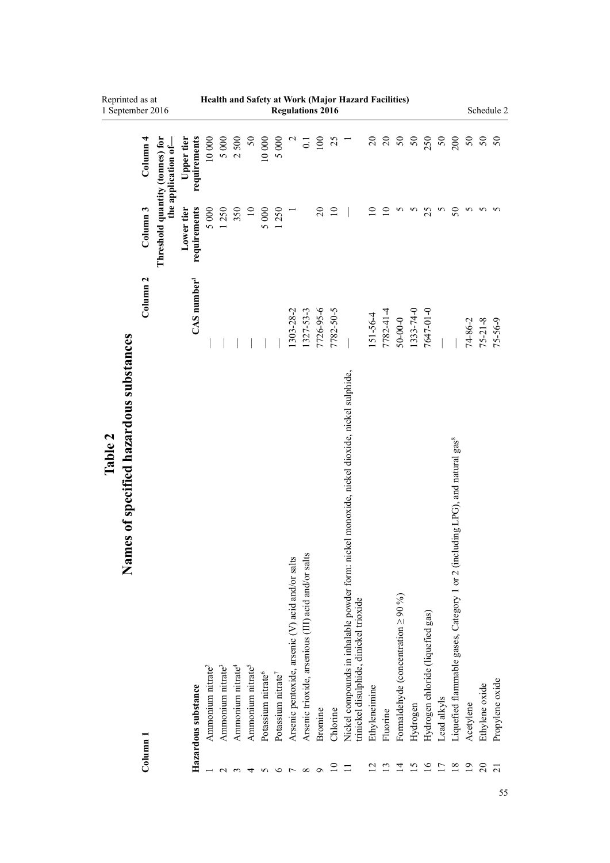|         | Reprinted as at<br>1 September 2016          |                     |                                 |                            |                               |                               |                               |                               |                                |                                |                                                  |                                                     | <b>Regulations 2016</b>  |                 | Health and Safety at Work (Major Hazard Facilities)                                                                                     |                      |                 |                                           |           |                                   |                |                                                                                          |                |                                           | Schedule 2      |
|---------|----------------------------------------------|---------------------|---------------------------------|----------------------------|-------------------------------|-------------------------------|-------------------------------|-------------------------------|--------------------------------|--------------------------------|--------------------------------------------------|-----------------------------------------------------|--------------------------|-----------------|-----------------------------------------------------------------------------------------------------------------------------------------|----------------------|-----------------|-------------------------------------------|-----------|-----------------------------------|----------------|------------------------------------------------------------------------------------------|----------------|-------------------------------------------|-----------------|
|         |                                              | Column <sub>4</sub> | the application of-             | requirements<br>Upper tier | 10 000                        | 5 000                         | 2500                          | $50\,$                        | 10 000                         | 5 000                          |                                                  | $\overline{0}$                                      | 100                      | 25              | Ξ                                                                                                                                       |                      |                 |                                           |           |                                   |                |                                                                                          |                | $\begin{array}{c} 0.8 \\ 0.8 \end{array}$ |                 |
|         |                                              | Column <sub>3</sub> | Threshold quantity (tonnes) for | requirements<br>Lower tier | 5000                          | 1250                          | 350                           | $\overline{10}$               | 5000                           | 1250                           |                                                  |                                                     | $\overline{\mathcal{C}}$ | $\overline{10}$ |                                                                                                                                         | $\overline{10}$      | $\overline{10}$ | 5                                         | $\sim$    | 25                                | S              | 50                                                                                       | 5              | 5                                         | 5               |
|         |                                              | Column <sub>2</sub> |                                 | $CAS$ number <sup>1</sup>  |                               |                               |                               |                               |                                |                                | $1303 - 28 - 2$                                  | 1327-53-3                                           | 7726-95-6                | 7782-50-5       |                                                                                                                                         | $151 - 56 - 4$       | 7782-41-4       | $50 - 00 - 0$                             | 1333-74-0 | 7647-01-0                         |                |                                                                                          | 74-86-2        | $75 - 21 - 8$                             | $75 - 56 - 9$   |
| Table 2 | nes of specified hazardous substances<br>Nam | Column 1            |                                 | Hazardous substance        | Ammonium nitrate <sup>2</sup> | Ammonium nitrate <sup>3</sup> | Ammonium nitrate <sup>4</sup> | Ammonium nitrate <sup>5</sup> | Potassium nitrate <sup>6</sup> | Potassium nitrate <sup>7</sup> | Arsenic pentoxide, arsenic (V) acid and/or salts | Arsenic trioxide, arsenious (III) acid and/or salts | Bromine                  | Chlorine        | Nickel compounds in inhalable powder form: nickel monoxide, nickel dioxide, nickel sulphide,<br>trinickel disulphide, dinickel trioxide | <b>Ethyleneimine</b> | Fluorine        | Formaldehyde (concentration $\geq 90\%$ ) | Hydrogen  | Hydrogen chloride (liquefied gas) | Lead alkyls    | Liquefied flammable gases, Category 1 or 2 (including LPG), and natural gas <sup>8</sup> | Acetylene      | Ethylene oxide                            | Propylene oxide |
|         |                                              |                     |                                 |                            |                               |                               |                               |                               |                                | ∘                              |                                                  | $\infty$                                            |                          | $\overline{10}$ | ニ                                                                                                                                       |                      |                 | ₫                                         | N         | $\overline{\mathsf{c}}$           | $\overline{1}$ | $\overline{8}$                                                                           | $\overline{0}$ | $\overline{c}$                            | $\overline{c}$  |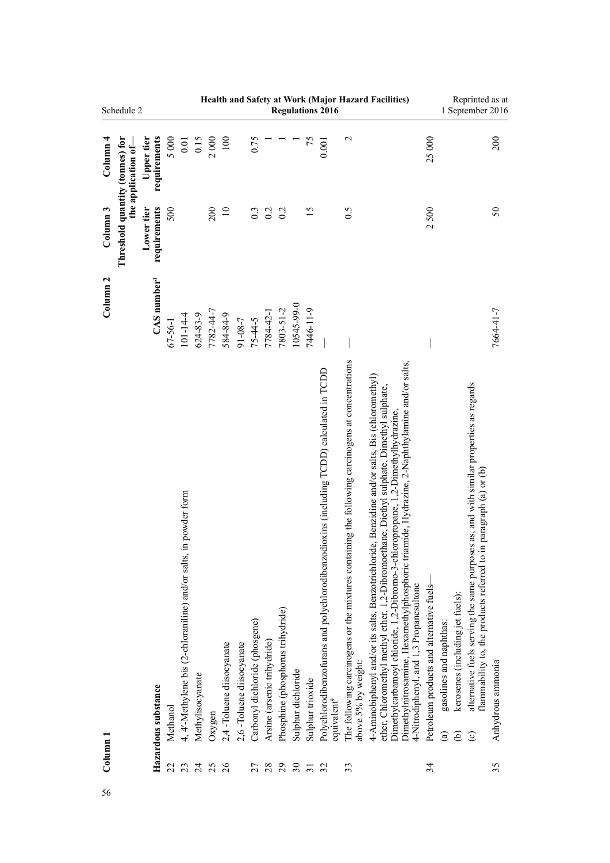|                       | Schedule 2                      |                            |                |                                                                            |                  |           |                                |                          |                                      |                                   |                                         |                              |                  | <b>Regulations 2016</b>                                                                                                   |                                                                                                                               | Health and Safety at Work (Major Hazard Facilities)                                                                                                                                                                                                                                                                                                                                                                       |                                                                                                      | 1 September 2016                      |                                                                                                                                                                           | Reprinted as at         |
|-----------------------|---------------------------------|----------------------------|----------------|----------------------------------------------------------------------------|------------------|-----------|--------------------------------|--------------------------|--------------------------------------|-----------------------------------|-----------------------------------------|------------------------------|------------------|---------------------------------------------------------------------------------------------------------------------------|-------------------------------------------------------------------------------------------------------------------------------|---------------------------------------------------------------------------------------------------------------------------------------------------------------------------------------------------------------------------------------------------------------------------------------------------------------------------------------------------------------------------------------------------------------------------|------------------------------------------------------------------------------------------------------|---------------------------------------|---------------------------------------------------------------------------------------------------------------------------------------------------------------------------|-------------------------|
| $\frac{1}{2}$ Olumn 4 | the application of-             | requirements<br>Upper tier | 5000           | 0.01                                                                       | 0.15             | 2000      | $100\,$                        |                          | 0.75                                 |                                   |                                         |                              | 75               | 0.001                                                                                                                     | $\mathbf 2$                                                                                                                   |                                                                                                                                                                                                                                                                                                                                                                                                                           | 25000                                                                                                |                                       |                                                                                                                                                                           | 200                     |
| Column <sub>3</sub>   | Threshold quantity (tonnes) for | requirements<br>Lower tier | 500            |                                                                            |                  | 200       | $\overline{10}$                |                          | 0.3                                  | 0.2                               | 0.2                                     |                              | 15               |                                                                                                                           | 0.5                                                                                                                           |                                                                                                                                                                                                                                                                                                                                                                                                                           | 2500                                                                                                 |                                       |                                                                                                                                                                           | 50                      |
| Column <sub>2</sub>   |                                 | $CAS$ number <sup>1</sup>  | $67 - 56 - 1$  | $101 - 14 - 4$                                                             | 624-83-9         | 7782-44-7 | 584-84-9                       | $91 - 08 - 7$            | $75 - 44 - 5$                        | 7784-42-1                         | 7803-51-2                               | 10545-99-0                   | 7446-11-9        |                                                                                                                           |                                                                                                                               |                                                                                                                                                                                                                                                                                                                                                                                                                           |                                                                                                      |                                       |                                                                                                                                                                           | 7664-41-7               |
| $_{\rm Column\ 1}$    |                                 | Hazardous substance        | Methanol<br>22 | in powder form<br>4, 4'-Methylene bis (2-chloraniline) and/or salts,<br>23 | Methylisocyanate | Oxygen    | 2,4-Toluene diisocyanate<br>26 | 2,6-Toluene diisocyanate | Carbonyl dichloride (phosgene)<br>27 | Arsine (arsenic trihydride)<br>28 | Phosphine (phosphorus trihydride)<br>29 | Sulphur dichloride<br>$30\,$ | Sulphur trioxide | Polychlorodibenzofurans and polychlorodibenzodioxins (including TCDD) calculated in TCDD<br>equivalent <sup>9</sup><br>32 | The following carcinogens or the mixtures containing the following carcinogens at concentrations<br>above 5% by weight:<br>33 | Dimethylnitrosamine, Hexamethylphosphoric triamide, Hydrazine, 2-Naphthylamine and/or salts,<br>4-Aminobiphenyl and/or its salts, Benzotrichloride, Benzidine and/or salts, Bis (chloromethyl)<br>ether, Chloromethyl methyl ether, 1,2-Dibromoethane, Diethyl sulphate, Dimethyl sulphate,<br>Dimethylcarbamoyl chloride, 1,2-Dibromo-3-chloropropane, 1,2-Dimethylhydrazine,<br>4-Nitrodiphenyl, and 1,3 Propanesultone | Petroleum products and alternative fuels-<br>gasolines and naphthas:<br>$\widehat{\mathbf{e}}$<br>34 | kerosenes (including jet fuels):<br>ව | alternative fuels serving the same purposes as, and with similar properties as regards<br>in paragraph (a) or (b)<br>flammability to, the products referred to<br>$\odot$ | Anhydrous ammonia<br>35 |
|                       |                                 |                            |                |                                                                            | $\overline{c}$   | 25        |                                |                          |                                      |                                   |                                         |                              | $\overline{31}$  |                                                                                                                           |                                                                                                                               |                                                                                                                                                                                                                                                                                                                                                                                                                           |                                                                                                      |                                       |                                                                                                                                                                           |                         |
| 56                    |                                 |                            |                |                                                                            |                  |           |                                |                          |                                      |                                   |                                         |                              |                  |                                                                                                                           |                                                                                                                               |                                                                                                                                                                                                                                                                                                                                                                                                                           |                                                                                                      |                                       |                                                                                                                                                                           |                         |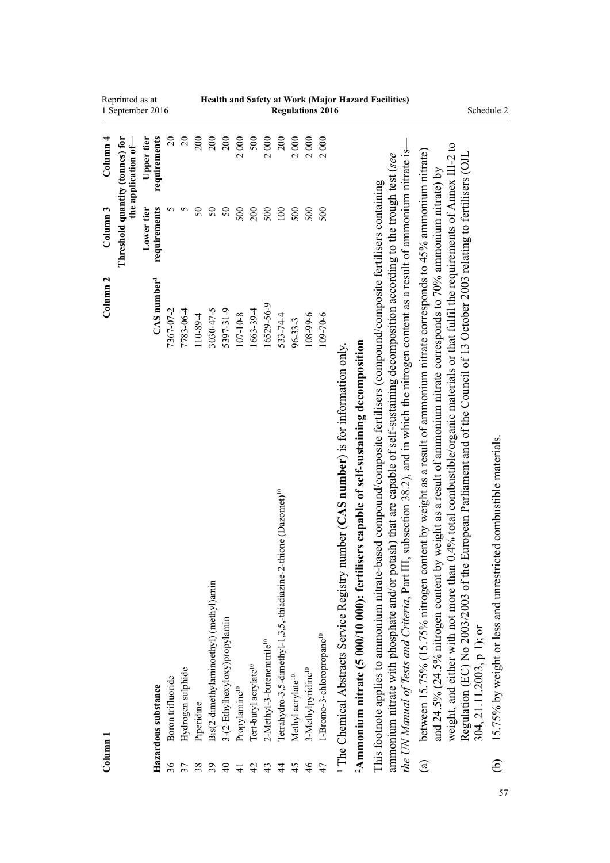| Reprinted as at<br>1 September 2016                    |                            |                   |                   |            |                                        |                               |                           |                                   |                                        |                                                                             |                               |                                | <b>Regulations 2016</b>               |                                                                                                   |                                                                                                    | Health and Safety at Work (Major Hazard Facilities)                                                                                                                                                                                                                                                                                                                                                       |                                                                                                                                                                                                                                                                                                                                                                                                                                                                                                                 | Schedule 2                |                                                                  |
|--------------------------------------------------------|----------------------------|-------------------|-------------------|------------|----------------------------------------|-------------------------------|---------------------------|-----------------------------------|----------------------------------------|-----------------------------------------------------------------------------|-------------------------------|--------------------------------|---------------------------------------|---------------------------------------------------------------------------------------------------|----------------------------------------------------------------------------------------------------|-----------------------------------------------------------------------------------------------------------------------------------------------------------------------------------------------------------------------------------------------------------------------------------------------------------------------------------------------------------------------------------------------------------|-----------------------------------------------------------------------------------------------------------------------------------------------------------------------------------------------------------------------------------------------------------------------------------------------------------------------------------------------------------------------------------------------------------------------------------------------------------------------------------------------------------------|---------------------------|------------------------------------------------------------------|
| Column <sub>4</sub><br>the application of-             | requirements<br>Upper tier | $\overline{c}$    | $\Omega$          | 200        | 200                                    | 200                           | 2000                      | 500                               | 2000                                   | 200                                                                         | 2000                          | 2000                           | 2000                                  |                                                                                                   |                                                                                                    |                                                                                                                                                                                                                                                                                                                                                                                                           |                                                                                                                                                                                                                                                                                                                                                                                                                                                                                                                 |                           |                                                                  |
| Threshold quantity (tonnes) for<br>Column <sub>3</sub> | requirements<br>Lower tier | n                 | 5                 | $50\,$     | $50\,$                                 | $\mathcal{S}$                 | 500                       | 200                               | 500                                    | 100                                                                         | 500                           | 500                            | 500                                   |                                                                                                   |                                                                                                    |                                                                                                                                                                                                                                                                                                                                                                                                           |                                                                                                                                                                                                                                                                                                                                                                                                                                                                                                                 |                           |                                                                  |
| Column <sub>2</sub>                                    | $CAS$ number <sup>1</sup>  | 7367-07-2         | 7783-06-4         | 110-89-4   | 3030-47-5                              | 5397-31-9                     | $107 - 10 - 8$            | 1663-39-4                         | 16529-56-9                             | 533-74-4                                                                    | $96 - 33 - 3$                 | 108-99-6                       | 109-70-6                              |                                                                                                   |                                                                                                    |                                                                                                                                                                                                                                                                                                                                                                                                           |                                                                                                                                                                                                                                                                                                                                                                                                                                                                                                                 |                           |                                                                  |
|                                                        | Hazardous substance        | Boron trifluoride | Hydrogen sulphide | Piperidine | Bis(2-dimethylaminoethyl) (methyl)amin | 3-(2-Ethylhexyloxy)propylamin | Propylamine <sup>10</sup> | Tert-butyl acrylate <sup>10</sup> | 2-Methyl-3-butenenitrile <sup>10</sup> | Tetrahydro-3,5-dimethyl-1,3,5,-thiadiazine-2-thione (Dazomet) <sup>10</sup> | Methyl acrylate <sup>10</sup> | 3-Methylpyridine <sup>10</sup> | 1-Bromo-3-chloropropane <sup>10</sup> | <sup>1</sup> The Chemical Abstracts Service Registry number (CAS number) is for information only. | <sup>2</sup> Ammonium nitrate (5 000/10 000): fertilisers capable of self-sustaining decomposition | the UN Manual of Tests and Criteria, Part III, subsection 38.2), and in which the nitrogen content as a result of ammonium nitrate is-<br>ammonium nitrate with phosphate and/or potash) that are capable of self-sustaining decomposition according to the trough test (see<br>This footnote applies to ammonium nitrate-based compound/composite fertilisers (compound/composite fertilisers containing | weight, and either with not more than 0.4% total combustible/organic materials or that fulfil the requirements of Annex III-2 to<br>between 15.75% (15.75% nitrogen content by weight as a result of ammonium nitrate corresponds to 45% ammonium nitrate)<br>Regulation (EC) No 2003/2003 of the European Parliament and of the Council of 13 October 2003 relating to fertilisers (OJL<br>and 24.5% (24.5% nitrogen content by weight as a result of ammonium nitrate corresponds to 70% ammonium nitrate) by | 304, 21.11.2003, p 1); or | 15.75% by weight or less and unrestricted combustible materials. |
| Column 1                                               |                            | 36                | 37                | 38         | 39                                     | $\Theta$                      | $\overline{4}$            | 42                                | 43                                     | 4                                                                           | 45                            | 46                             | 47                                    |                                                                                                   |                                                                                                    |                                                                                                                                                                                                                                                                                                                                                                                                           | $\mathbf{g}$                                                                                                                                                                                                                                                                                                                                                                                                                                                                                                    |                           | ව                                                                |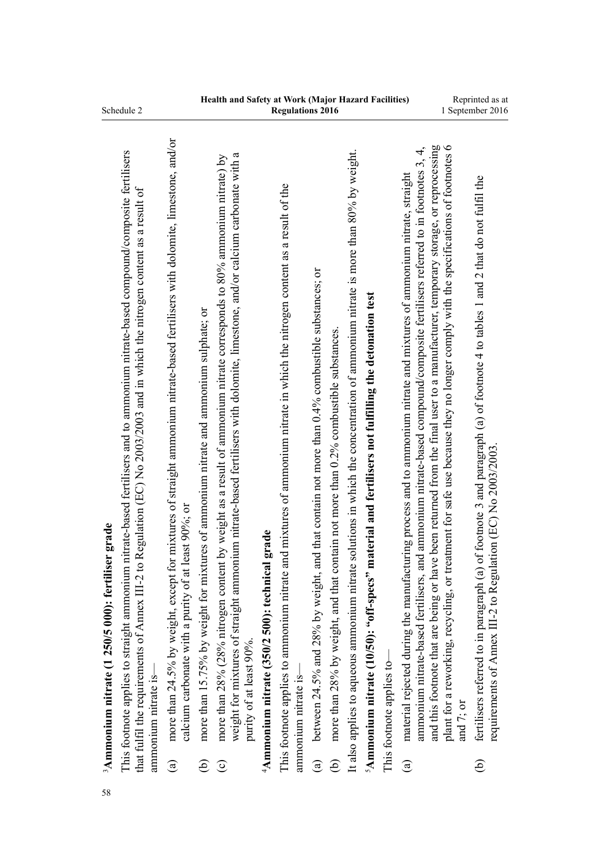| Schedule 2                                                                                                                                                                                                                                                                                                                        |                      |                                                                                                                                                                                                        |                                                                                            |                                                                                                                                                                                                                                                                                             |                                                      | <b>Regulations 2016</b>                                                                                                                             |                                                                                                                  |                                                                                          |                                                                                                                                       |                                                                                                                |                           |                                                                                                                                                                                                                                                                        |                                                                                                                                                                                                                                                                                       | 1 September 2016                                                                                                                                                                                                   |
|-----------------------------------------------------------------------------------------------------------------------------------------------------------------------------------------------------------------------------------------------------------------------------------------------------------------------------------|----------------------|--------------------------------------------------------------------------------------------------------------------------------------------------------------------------------------------------------|--------------------------------------------------------------------------------------------|---------------------------------------------------------------------------------------------------------------------------------------------------------------------------------------------------------------------------------------------------------------------------------------------|------------------------------------------------------|-----------------------------------------------------------------------------------------------------------------------------------------------------|------------------------------------------------------------------------------------------------------------------|------------------------------------------------------------------------------------------|---------------------------------------------------------------------------------------------------------------------------------------|----------------------------------------------------------------------------------------------------------------|---------------------------|------------------------------------------------------------------------------------------------------------------------------------------------------------------------------------------------------------------------------------------------------------------------|---------------------------------------------------------------------------------------------------------------------------------------------------------------------------------------------------------------------------------------------------------------------------------------|--------------------------------------------------------------------------------------------------------------------------------------------------------------------------------------------------------------------|
| This footnote applies to straight ammonium nitrate-based fertilisers and to ammonium nitrate-based compound/composite fertilisers<br>Regulation (EC) No 2003/2003 and in which the nitrogen content as a result of<br>$3$ Ammonium nitrate (1 250/5 000): fertiliser grade<br>that fulfil the requirements of Amex III-2 to<br>58 | ammonium nitrate is- | more than 24.5% by weight, except for mixtures of straight ammonium nitrate-based fertilisers with dolomite, limestone, and/or<br>calcium carbonate with a purity of at least 90%; or<br>$\widehat{a}$ | more than 15.75% by weight for mixtures of ammonium nitrate and ammonium sulphate; or<br>ව | weight for mixtures of straight ammonium nitrate-based fertilisers with dolomite, limestone, and/or calcium carbonate with a<br>more than 28% (28% nitrogen content by weight as a result of ammonium nitrate corresponds to 80% ammonium nitrate) by<br>purity of at least 90%.<br>$\odot$ | grade<br>$4$ Ammonium nitrate (350/2 500): technical | This footnote applies to ammonium nitrate and mixtures of ammonium nitrate in which the nitrogen content as a result of the<br>ammonium nitrate is- | between 24.5% and 28% by weight, and that contain not more than 0.4% combustible substances; or<br>$\widehat{a}$ | more than 28% by weight, and that contain not more than 0.2% combustible substances<br>ව | solutions in which the concentration of ammonium nitrate is more than $80%$ by weight.<br>It also applies to aqueous ammonium nitrate | <sup>5</sup> Ammonium nitrate (10/50): "off-specs" material and fertilisers not fulfilling the detonation test | This footnote applies to- | ammonium nitrate-based fertilisers, and ammonium nitrate-based compound/composite fertilisers referred to in footnotes 3, 4,<br>material rejected during the manufacturing process and to ammonium nitrate and mixtures of ammonium nitrate, straight<br>$\mathbf{a})$ | e been returned from the final user to a manufacturer, temporary storage, or reprocessing<br>plant for a reworking, recycling, or treatment for safe use because they no longer comply with the specifications of footnotes 6<br>and this footnote that are being or hav<br>and 7; or | of footnote 3 and paragraph (a) of footnote 4 to tables 1 and 2 that do not fulfil the<br>requirements of Annex III-2 to Regulation (EC) No 2003/2003<br>fertilisers referred to in paragraph (a)<br>$\widehat{e}$ |
|                                                                                                                                                                                                                                                                                                                                   |                      |                                                                                                                                                                                                        |                                                                                            |                                                                                                                                                                                                                                                                                             |                                                      |                                                                                                                                                     |                                                                                                                  |                                                                                          |                                                                                                                                       |                                                                                                                |                           |                                                                                                                                                                                                                                                                        |                                                                                                                                                                                                                                                                                       |                                                                                                                                                                                                                    |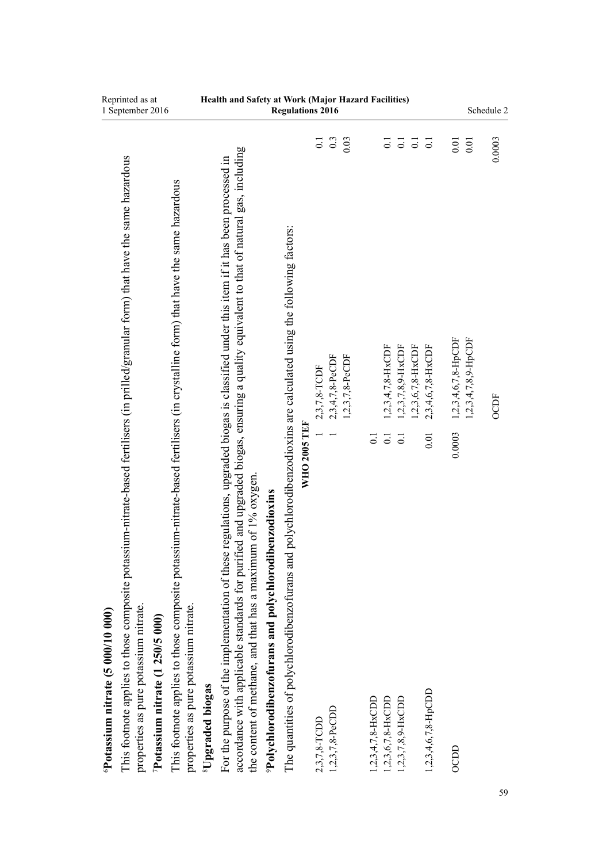| Reprinted as at<br>1 September 2016                                                                                                                                                                                                                                                                                                                                                                                                          | Health and Safety at Work (Major Hazard Facilities)<br><b>Regulations 2016</b>                                                                                                                                                                                                                                                                                                                                                                                                                                                                                                                                                                                                                                                                                                                                                                                                                                     | Schedule 2                                                                                              |
|----------------------------------------------------------------------------------------------------------------------------------------------------------------------------------------------------------------------------------------------------------------------------------------------------------------------------------------------------------------------------------------------------------------------------------------------|--------------------------------------------------------------------------------------------------------------------------------------------------------------------------------------------------------------------------------------------------------------------------------------------------------------------------------------------------------------------------------------------------------------------------------------------------------------------------------------------------------------------------------------------------------------------------------------------------------------------------------------------------------------------------------------------------------------------------------------------------------------------------------------------------------------------------------------------------------------------------------------------------------------------|---------------------------------------------------------------------------------------------------------|
| This footnote applies to those composite potassium-nitrate-based fertilisers (in prilled/granular form) that have the same hazardous<br>This footnote applies to those composite potassium-nitrate-based fertilisers (in crystalline form) that have the same hazardous<br>properties as pure potassium nitrate.<br>properties as pure potassium nitrate.<br>Potassium nitrate (5 000/10 000)<br>$P_{\text{otassium nitrate}}$ (1 250/5 000) | 0.3<br>0.03<br>$\overline{0}$ .<br>$\overline{0}$ .<br>$\overline{0}$<br>$\overline{\circ}$<br>$\overline{0}$ .<br>accordance with applicable standards for purified and upgraded biogas, ensuring a quality equivalent to that of natural gas, including<br>regulations, upgraded biogas is classified under this item if it has been processed in<br>polychlorodibenzodioxins are calculated using the following factors:<br>$1,2,3,4,7,8-HxCDF$<br>$1,2,3,7,8,9$ -HxCDF<br>$1,2,3,6,7,8-HxCDF$<br>2,3,4,6,7,8-HxCDF<br>2,3,4,7,8-PeCDF<br>$1,2,3,7,8$ -PeCDF<br>2,3,7,8-TCDF<br><b>WHO 2005 TEF</b><br>0.01<br>$\overline{0}$ .<br>$\overline{0}$ .<br>$\overline{0}$ .<br>the content of methane, and that has a maximum of 1% oxygen.<br><sup>9</sup> Polychlorodibenzofurans and polychlorodibenzodioxins<br>For the purpose of the implementation of these<br>The quantities of polychlorodibenzofurans and | 0.0003<br>$0.01\,$<br>0.01<br>$1,2,3,4,7,8,9$ -HpCDF<br>$1,2,3,4,6,7,8$ -HpCDF<br><b>OCDF</b><br>0.0003 |
|                                                                                                                                                                                                                                                                                                                                                                                                                                              | <sup>8</sup> Upgraded biogas<br>$1,2,3,4,6,7,8$ -HpCDD<br>$1,2,3,4,7,8-HxCDD$<br>$1,2,3,6,7,8-HxCDD$<br>1,2,3,7,8,9-HxCDD<br>1,2,3,7,8-PeCDD<br>2,3,7,8-TCDD                                                                                                                                                                                                                                                                                                                                                                                                                                                                                                                                                                                                                                                                                                                                                       | <b>OCDD</b><br>59                                                                                       |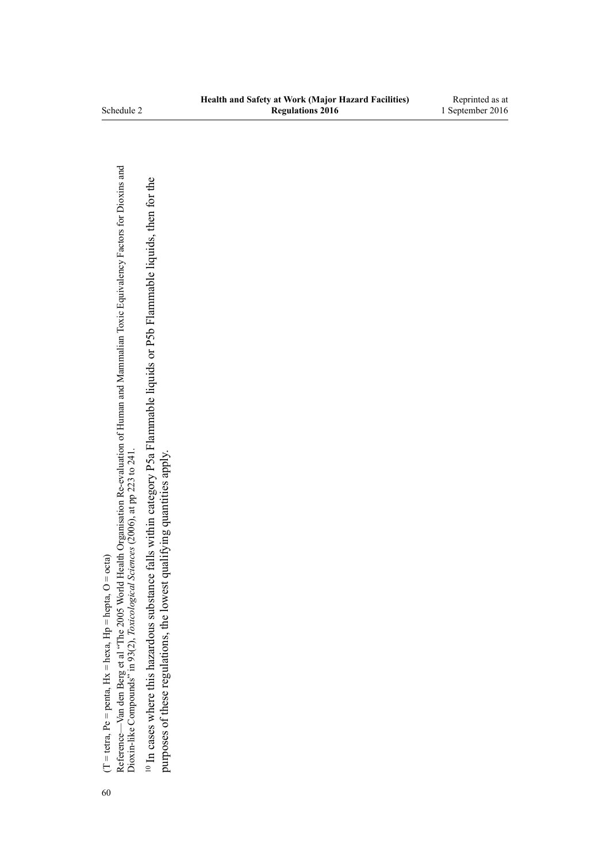$(T = teta, Pe = penta, Hx = hexa, Hp = hepta, O = octa)$ (T = tetra, Pe = penta, Hx = hexa, Hp = hepta, O = octa)

Reference—Van den Berg et al "The 2005 World Health Organisation Re-evaluation of Human and Mammalian Toxic Equivalency Factors for Dioxins and<br>Dioxin-like Compounds" in 93(2), Toxicological Sciences (2006), at pp 223 to 2 Reference—Van den Berg et al "The 2005 World Health Organisation Re-evaluation of Human and Mammalian Toxic Equivalency Factors for Dioxins and Dioxin-like Compounds" in 93(2), *Toxicological Sciences* (2006), at pp 223 to 241.

<sup>10</sup> In cases where this hazardous substance falls within category P5a Flammable liquids or P5b Flammable liquids, then for the 10 In cases where this hazardous substance falls within category P5a Flammable liquids or P5b Flammable liquids, then for the purposes of these regulations, the lowest qualifying quantities apply. purposes of these regulations, the lowest qualifying quantities apply.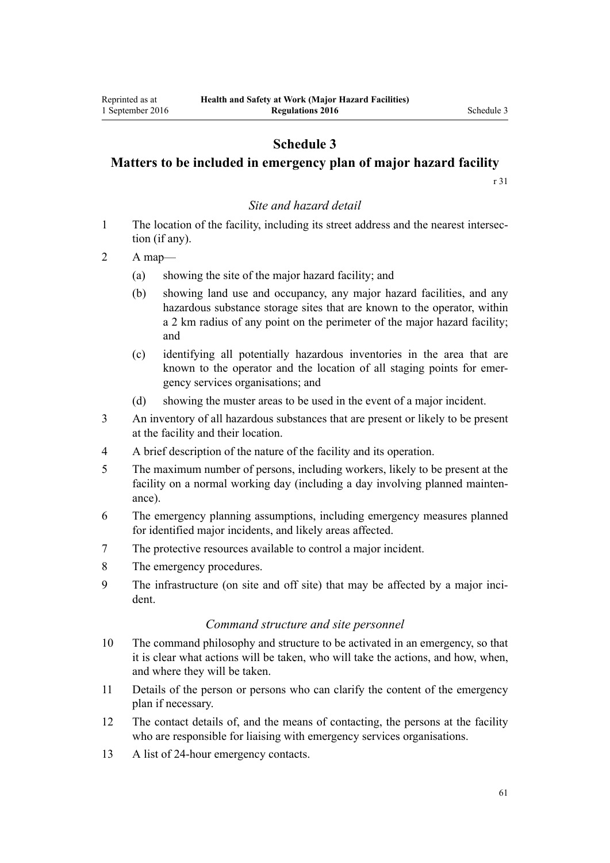## **Schedule 3**

# **Matters to be included in emergency plan of major hazard facility**

[r 31](#page-21-0)

## *Site and hazard detail*

- 1 The location of the facility, including its street address and the nearest intersection (if any).
- 2 A map—
	- (a) showing the site of the major hazard facility; and
	- (b) showing land use and occupancy, any major hazard facilities, and any hazardous substance storage sites that are known to the operator, within a 2 km radius of any point on the perimeter of the major hazard facility; and
	- (c) identifying all potentially hazardous inventories in the area that are known to the operator and the location of all staging points for emergency services organisations; and
	- (d) showing the muster areas to be used in the event of a major incident.
- 3 An inventory of all hazardous substances that are present or likely to be present at the facility and their location.
- 4 A brief description of the nature of the facility and its operation.
- 5 The maximum number of persons, including workers, likely to be present at the facility on a normal working day (including a day involving planned maintenance).
- 6 The emergency planning assumptions, including emergency measures planned for identified major incidents, and likely areas affected.
- 7 The protective resources available to control a major incident.
- 8 The emergency procedures.
- 9 The infrastructure (on site and off site) that may be affected by a major incident.

## *Command structure and site personnel*

- 10 The command philosophy and structure to be activated in an emergency, so that it is clear what actions will be taken, who will take the actions, and how, when, and where they will be taken.
- 11 Details of the person or persons who can clarify the content of the emergency plan if necessary.
- 12 The contact details of, and the means of contacting, the persons at the facility who are responsible for liaising with emergency services organisations.
- 13 A list of 24-hour emergency contacts.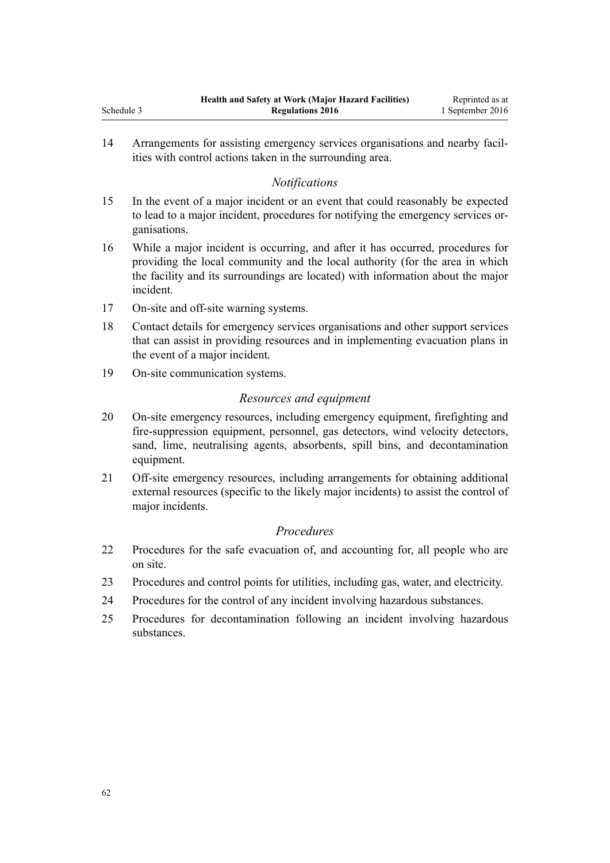14 Arrangements for assisting emergency services organisations and nearby facilities with control actions taken in the surrounding area.

## *Notifications*

- 15 In the event of a major incident or an event that could reasonably be expected to lead to a major incident, procedures for notifying the emergency services organisations.
- 16 While a major incident is occurring, and after it has occurred, procedures for providing the local community and the local authority (for the area in which the facility and its surroundings are located) with information about the major incident.
- 17 On-site and off-site warning systems.
- 18 Contact details for emergency services organisations and other support services that can assist in providing resources and in implementing evacuation plans in the event of a major incident.
- 19 On-site communication systems.

## *Resources and equipment*

- 20 On-site emergency resources, including emergency equipment, firefighting and fire-suppression equipment, personnel, gas detectors, wind velocity detectors, sand, lime, neutralising agents, absorbents, spill bins, and decontamination equipment.
- 21 Off-site emergency resources, including arrangements for obtaining additional external resources (specific to the likely major incidents) to assist the control of major incidents.

#### *Procedures*

- 22 Procedures for the safe evacuation of, and accounting for, all people who are on site.
- 23 Procedures and control points for utilities, including gas, water, and electricity.
- 24 Procedures for the control of any incident involving hazardous substances.
- 25 Procedures for decontamination following an incident involving hazardous substances.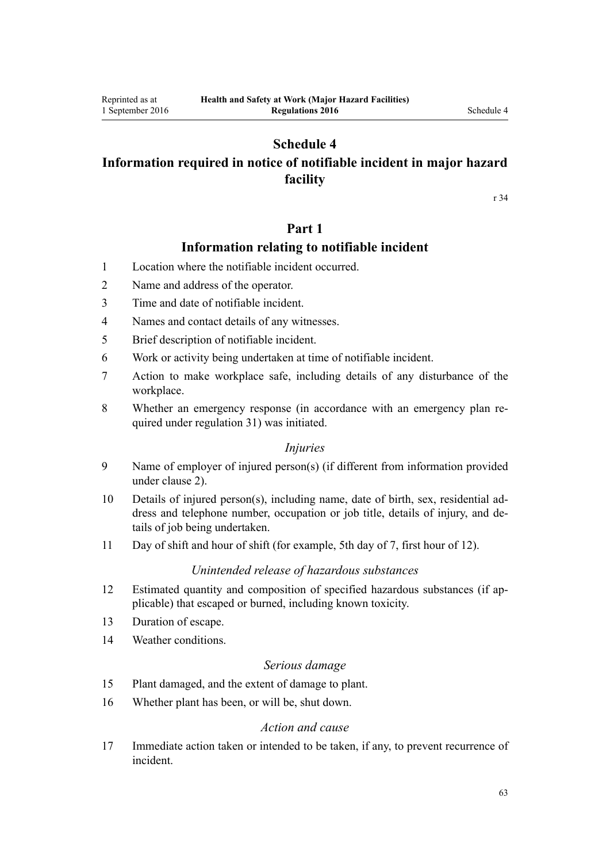# **Schedule 4**

# **Information required in notice of notifiable incident in major hazard facility**

[r 34](#page-23-0)

# **Part 1**

# **Information relating to notifiable incident**

- 1 Location where the notifiable incident occurred.
- 2 Name and address of the operator.
- 3 Time and date of notifiable incident.
- 4 Names and contact details of any witnesses.
- 5 Brief description of notifiable incident.
- 6 Work or activity being undertaken at time of notifiable incident.
- 7 Action to make workplace safe, including details of any disturbance of the workplace.
- 8 Whether an emergency response (in accordance with an emergency plan required under [regulation 31\)](#page-21-0) was initiated.

## *Injuries*

- 9 Name of employer of injured person(s) (if different from information provided under clause 2).
- 10 Details of injured person(s), including name, date of birth, sex, residential address and telephone number, occupation or job title, details of injury, and details of job being undertaken.
- 11 Day of shift and hour of shift (for example, 5th day of 7, first hour of 12).

## *Unintended release of hazardous substances*

- 12 Estimated quantity and composition of specified hazardous substances (if applicable) that escaped or burned, including known toxicity.
- 13 Duration of escape.
- 14 Weather conditions.

## *Serious damage*

- 15 Plant damaged, and the extent of damage to plant.
- 16 Whether plant has been, or will be, shut down.

## *Action and cause*

17 Immediate action taken or intended to be taken, if any, to prevent recurrence of incident.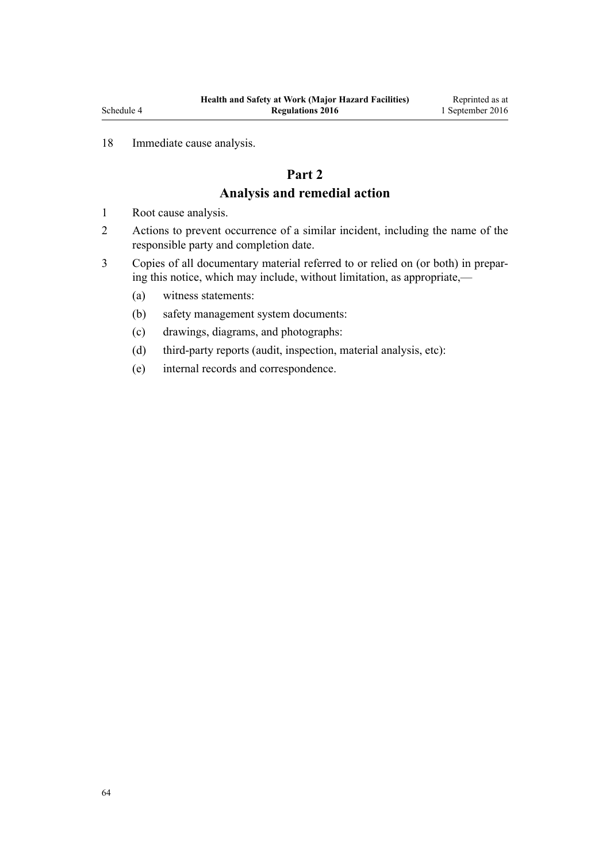## 18 Immediate cause analysis.

# **Part 2 Analysis and remedial action**

- 1 Root cause analysis.
- 2 Actions to prevent occurrence of a similar incident, including the name of the responsible party and completion date.
- 3 Copies of all documentary material referred to or relied on (or both) in preparing this notice, which may include, without limitation, as appropriate,—
	- (a) witness statements:
	- (b) safety management system documents:
	- (c) drawings, diagrams, and photographs:
	- (d) third-party reports (audit, inspection, material analysis, etc):
	- (e) internal records and correspondence.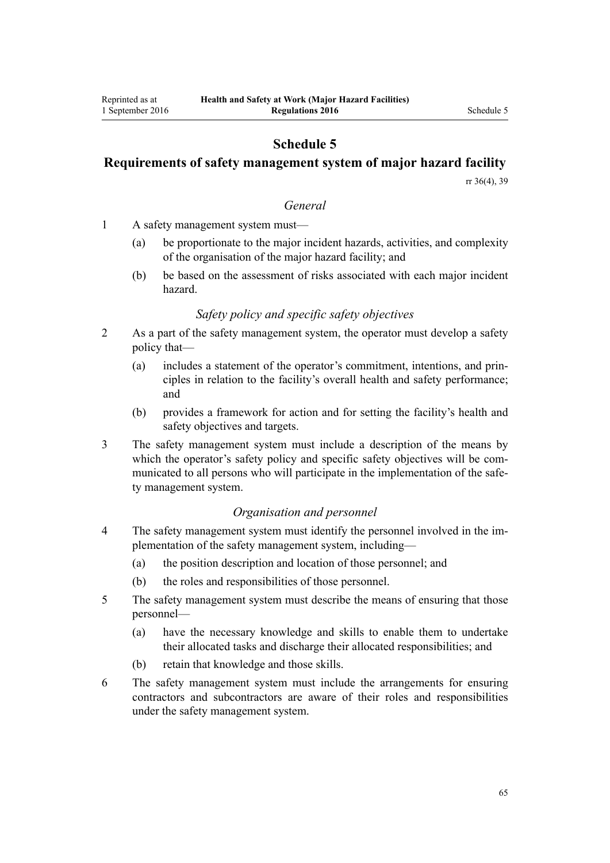## **Schedule 5**

## **Requirements of safety management system of major hazard facility**

[rr 36\(4\),](#page-25-0) [39](#page-27-0)

### *General*

- 1 A safety management system must—
	- (a) be proportionate to the major incident hazards, activities, and complexity of the organisation of the major hazard facility; and
	- (b) be based on the assessment of risks associated with each major incident hazard.

## *Safety policy and specific safety objectives*

- 2 As a part of the safety management system, the operator must develop a safety policy that—
	- (a) includes a statement of the operator's commitment, intentions, and principles in relation to the facility's overall health and safety performance; and
	- (b) provides a framework for action and for setting the facility's health and safety objectives and targets.
- 3 The safety management system must include a description of the means by which the operator's safety policy and specific safety objectives will be communicated to all persons who will participate in the implementation of the safety management system.

## *Organisation and personnel*

- 4 The safety management system must identify the personnel involved in the implementation of the safety management system, including—
	- (a) the position description and location of those personnel; and
	- (b) the roles and responsibilities of those personnel.
- 5 The safety management system must describe the means of ensuring that those personnel—
	- (a) have the necessary knowledge and skills to enable them to undertake their allocated tasks and discharge their allocated responsibilities; and
	- (b) retain that knowledge and those skills.
- 6 The safety management system must include the arrangements for ensuring contractors and subcontractors are aware of their roles and responsibilities under the safety management system.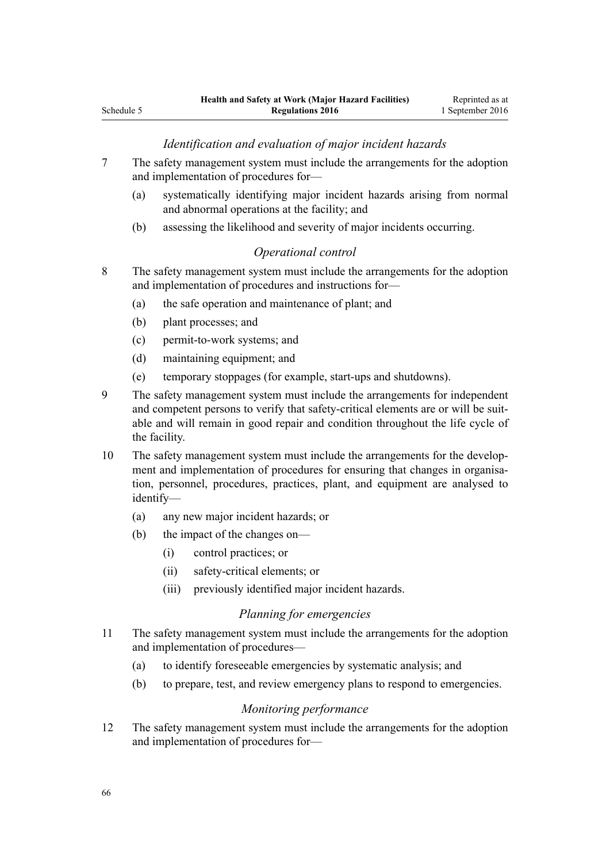## *Identification and evaluation of major incident hazards*

- 7 The safety management system must include the arrangements for the adoption and implementation of procedures for—
	- (a) systematically identifying major incident hazards arising from normal and abnormal operations at the facility; and
	- (b) assessing the likelihood and severity of major incidents occurring.

## *Operational control*

- 8 The safety management system must include the arrangements for the adoption and implementation of procedures and instructions for—
	- (a) the safe operation and maintenance of plant; and
	- (b) plant processes; and
	- (c) permit-to-work systems; and
	- (d) maintaining equipment; and
	- (e) temporary stoppages (for example, start-ups and shutdowns).
- 9 The safety management system must include the arrangements for independent and competent persons to verify that safety-critical elements are or will be suitable and will remain in good repair and condition throughout the life cycle of the facility.
- 10 The safety management system must include the arrangements for the development and implementation of procedures for ensuring that changes in organisation, personnel, procedures, practices, plant, and equipment are analysed to identify—
	- (a) any new major incident hazards; or
	- (b) the impact of the changes on—
		- (i) control practices; or
		- (ii) safety-critical elements; or
		- (iii) previously identified major incident hazards.

#### *Planning for emergencies*

- 11 The safety management system must include the arrangements for the adoption and implementation of procedures—
	- (a) to identify foreseeable emergencies by systematic analysis; and
	- (b) to prepare, test, and review emergency plans to respond to emergencies.

#### *Monitoring performance*

12 The safety management system must include the arrangements for the adoption and implementation of procedures for—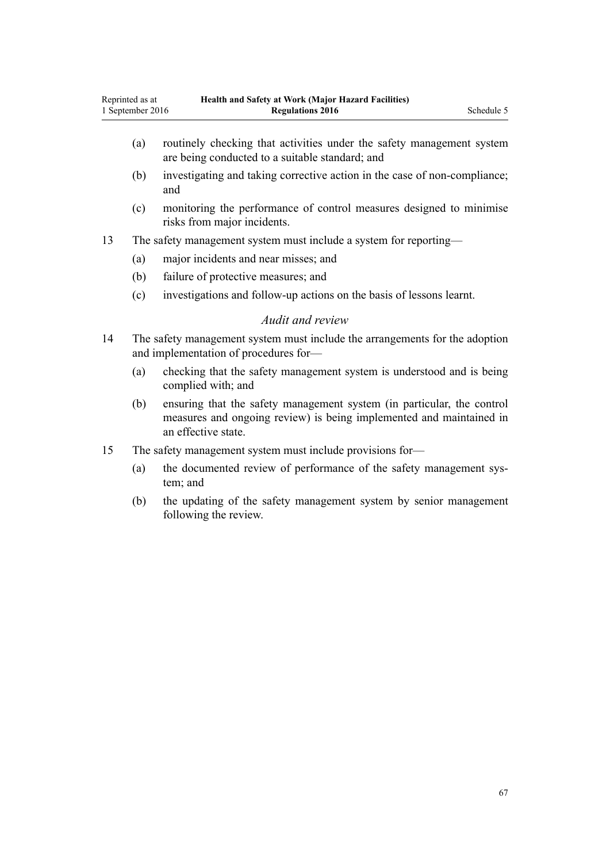- (a) routinely checking that activities under the safety management system are being conducted to a suitable standard; and
- (b) investigating and taking corrective action in the case of non-compliance; and
- (c) monitoring the performance of control measures designed to minimise risks from major incidents.
- 13 The safety management system must include a system for reporting—
	- (a) major incidents and near misses; and
	- (b) failure of protective measures; and
	- (c) investigations and follow-up actions on the basis of lessons learnt.

#### *Audit and review*

- 14 The safety management system must include the arrangements for the adoption and implementation of procedures for—
	- (a) checking that the safety management system is understood and is being complied with; and
	- (b) ensuring that the safety management system (in particular, the control measures and ongoing review) is being implemented and maintained in an effective state.
- 15 The safety management system must include provisions for—
	- (a) the documented review of performance of the safety management system; and
	- (b) the updating of the safety management system by senior management following the review.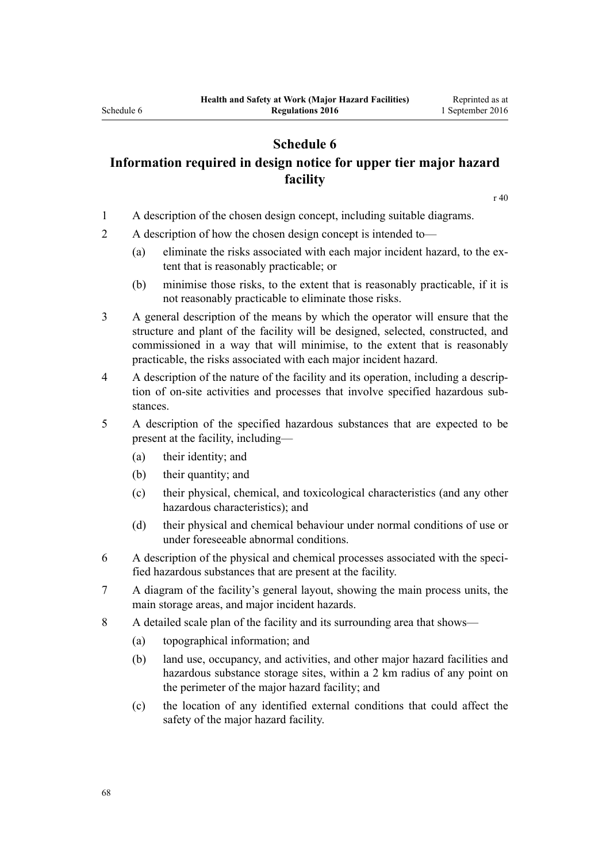## **Schedule 6**

# **Information required in design notice for upper tier major hazard facility**

[r 40](#page-28-0)

- 1 A description of the chosen design concept, including suitable diagrams.
- 2 A description of how the chosen design concept is intended to—
	- (a) eliminate the risks associated with each major incident hazard, to the extent that is reasonably practicable; or
	- (b) minimise those risks, to the extent that is reasonably practicable, if it is not reasonably practicable to eliminate those risks.
- 3 A general description of the means by which the operator will ensure that the structure and plant of the facility will be designed, selected, constructed, and commissioned in a way that will minimise, to the extent that is reasonably practicable, the risks associated with each major incident hazard.
- 4 A description of the nature of the facility and its operation, including a description of on-site activities and processes that involve specified hazardous substances.
- 5 A description of the specified hazardous substances that are expected to be present at the facility, including—
	- (a) their identity; and
	- (b) their quantity; and
	- (c) their physical, chemical, and toxicological characteristics (and any other hazardous characteristics); and
	- (d) their physical and chemical behaviour under normal conditions of use or under foreseeable abnormal conditions.
- 6 A description of the physical and chemical processes associated with the specified hazardous substances that are present at the facility.
- 7 A diagram of the facility's general layout, showing the main process units, the main storage areas, and major incident hazards.
- 8 A detailed scale plan of the facility and its surrounding area that shows—
	- (a) topographical information; and
	- (b) land use, occupancy, and activities, and other major hazard facilities and hazardous substance storage sites, within a 2 km radius of any point on the perimeter of the major hazard facility; and
	- (c) the location of any identified external conditions that could affect the safety of the major hazard facility.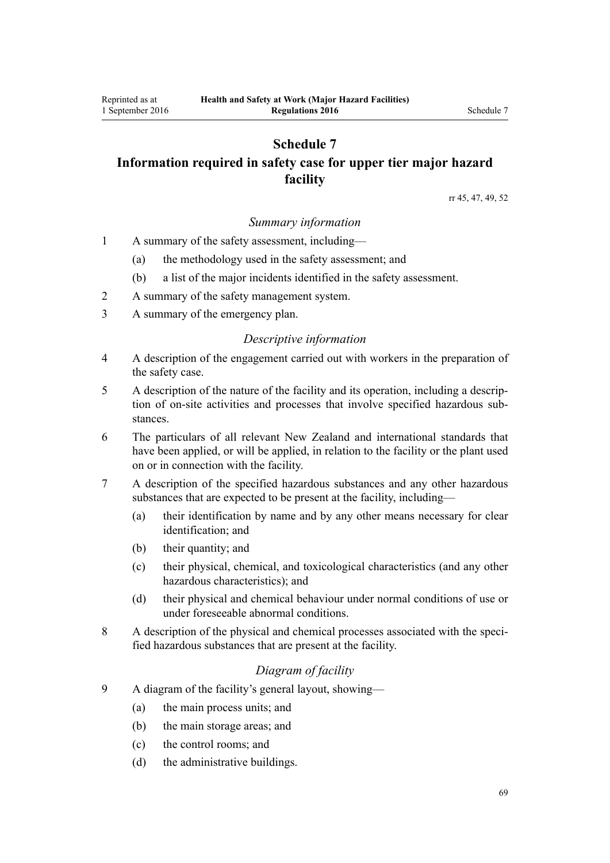# **Schedule 7 Information required in safety case for upper tier major hazard facility**

[rr 45,](#page-30-0) [47](#page-31-0), [49,](#page-32-0) [52](#page-33-0)

## *Summary information*

- 1 A summary of the safety assessment, including—
	- (a) the methodology used in the safety assessment; and
	- (b) a list of the major incidents identified in the safety assessment.
- 2 A summary of the safety management system.
- 3 A summary of the emergency plan.

#### *Descriptive information*

- 4 A description of the engagement carried out with workers in the preparation of the safety case.
- 5 A description of the nature of the facility and its operation, including a description of on-site activities and processes that involve specified hazardous substances.
- 6 The particulars of all relevant New Zealand and international standards that have been applied, or will be applied, in relation to the facility or the plant used on or in connection with the facility.
- 7 A description of the specified hazardous substances and any other hazardous substances that are expected to be present at the facility, including—
	- (a) their identification by name and by any other means necessary for clear identification; and
	- (b) their quantity; and
	- (c) their physical, chemical, and toxicological characteristics (and any other hazardous characteristics); and
	- (d) their physical and chemical behaviour under normal conditions of use or under foreseeable abnormal conditions.
- 8 A description of the physical and chemical processes associated with the specified hazardous substances that are present at the facility.

## *Diagram of facility*

- 9 A diagram of the facility's general layout, showing—
	- (a) the main process units; and
	- (b) the main storage areas; and
	- (c) the control rooms; and
	- (d) the administrative buildings.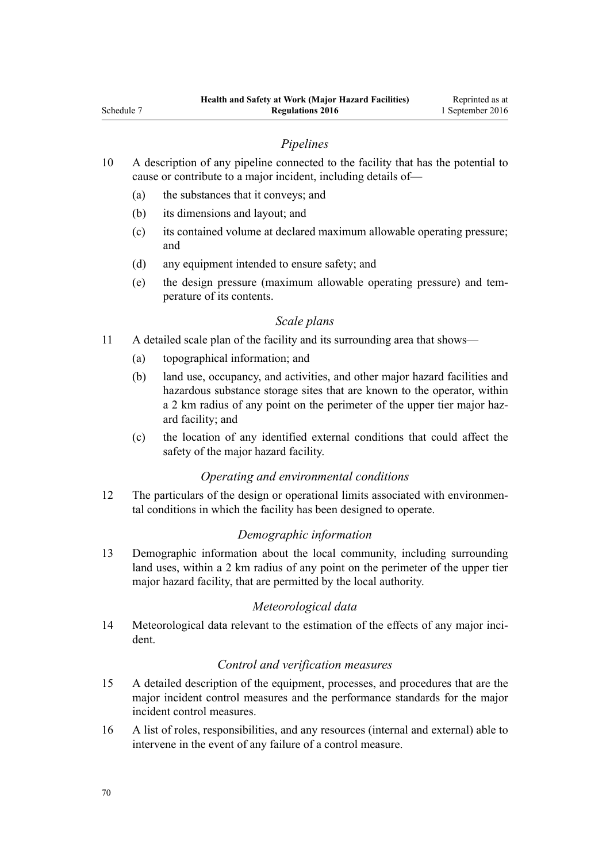## *Pipelines*

- 10 A description of any pipeline connected to the facility that has the potential to cause or contribute to a major incident, including details of—
	- (a) the substances that it conveys; and
	- (b) its dimensions and layout; and
	- (c) its contained volume at declared maximum allowable operating pressure; and
	- (d) any equipment intended to ensure safety; and
	- (e) the design pressure (maximum allowable operating pressure) and temperature of its contents.

## *Scale plans*

- 11 A detailed scale plan of the facility and its surrounding area that shows—
	- (a) topographical information; and
	- (b) land use, occupancy, and activities, and other major hazard facilities and hazardous substance storage sites that are known to the operator, within a 2 km radius of any point on the perimeter of the upper tier major hazard facility; and
	- (c) the location of any identified external conditions that could affect the safety of the major hazard facility.

## *Operating and environmental conditions*

12 The particulars of the design or operational limits associated with environmental conditions in which the facility has been designed to operate.

## *Demographic information*

13 Demographic information about the local community, including surrounding land uses, within a 2 km radius of any point on the perimeter of the upper tier major hazard facility, that are permitted by the local authority.

## *Meteorological data*

14 Meteorological data relevant to the estimation of the effects of any major incident.

## *Control and verification measures*

- 15 A detailed description of the equipment, processes, and procedures that are the major incident control measures and the performance standards for the major incident control measures.
- 16 A list of roles, responsibilities, and any resources (internal and external) able to intervene in the event of any failure of a control measure.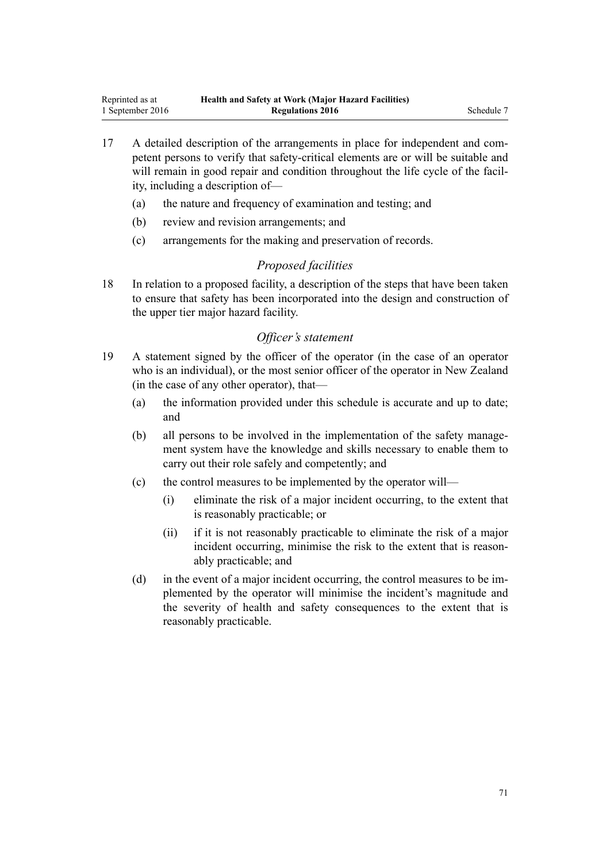- 17 A detailed description of the arrangements in place for independent and competent persons to verify that safety-critical elements are or will be suitable and will remain in good repair and condition throughout the life cycle of the facility, including a description of—
	- (a) the nature and frequency of examination and testing; and
	- (b) review and revision arrangements; and
	- (c) arrangements for the making and preservation of records.

## *Proposed facilities*

18 In relation to a proposed facility, a description of the steps that have been taken to ensure that safety has been incorporated into the design and construction of the upper tier major hazard facility.

### *Officer's statement*

- 19 A statement signed by the officer of the operator (in the case of an operator who is an individual), or the most senior officer of the operator in New Zealand (in the case of any other operator), that—
	- (a) the information provided under this schedule is accurate and up to date; and
	- (b) all persons to be involved in the implementation of the safety management system have the knowledge and skills necessary to enable them to carry out their role safely and competently; and
	- (c) the control measures to be implemented by the operator will—
		- (i) eliminate the risk of a major incident occurring, to the extent that is reasonably practicable; or
		- (ii) if it is not reasonably practicable to eliminate the risk of a major incident occurring, minimise the risk to the extent that is reasonably practicable; and
	- (d) in the event of a major incident occurring, the control measures to be implemented by the operator will minimise the incident's magnitude and the severity of health and safety consequences to the extent that is reasonably practicable.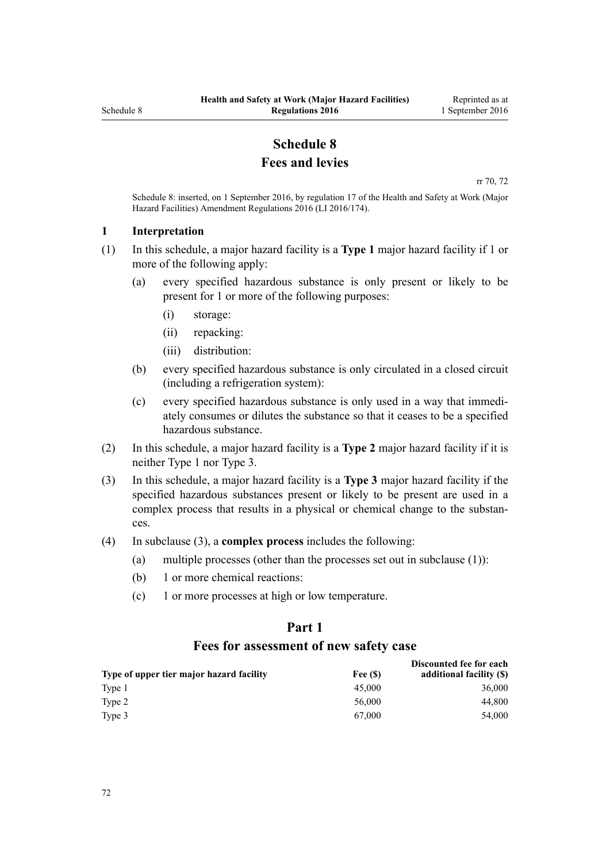# **Schedule 8 Fees and levies**

[rr 70,](#page-44-0) [72](#page-45-0)

<span id="page-71-0"></span>Schedule 8: inserted, on 1 September 2016, by [regulation 17](http://prd-lgnz-nlb.prd.pco.net.nz/pdflink.aspx?id=DLM6907732) of the Health and Safety at Work (Major Hazard Facilities) Amendment Regulations 2016 (LI 2016/174).

#### **1 Interpretation**

- (1) In this schedule, a major hazard facility is a **Type 1** major hazard facility if 1 or more of the following apply:
	- (a) every specified hazardous substance is only present or likely to be present for 1 or more of the following purposes:
		- (i) storage:
		- (ii) repacking:
		- (iii) distribution:
	- (b) every specified hazardous substance is only circulated in a closed circuit (including a refrigeration system):
	- (c) every specified hazardous substance is only used in a way that immediately consumes or dilutes the substance so that it ceases to be a specified hazardous substance.
- (2) In this schedule, a major hazard facility is a **Type 2** major hazard facility if it is neither Type 1 nor Type 3.
- (3) In this schedule, a major hazard facility is a **Type 3** major hazard facility if the specified hazardous substances present or likely to be present are used in a complex process that results in a physical or chemical change to the substances.
- (4) In subclause (3), a **complex process** includes the following:
	- (a) multiple processes (other than the processes set out in subclause (1)):
	- (b) 1 or more chemical reactions:
	- (c) 1 or more processes at high or low temperature.

# **Part 1 Fees for assessment of new safety case**

|                                          |         | Discounted fee for each  |
|------------------------------------------|---------|--------------------------|
| Type of upper tier major hazard facility | Fee (S) | additional facility (\$) |
| Type 1                                   | 45,000  | 36,000                   |
| Type 2                                   | 56,000  | 44.800                   |
| Type 3                                   | 67.000  | 54.000                   |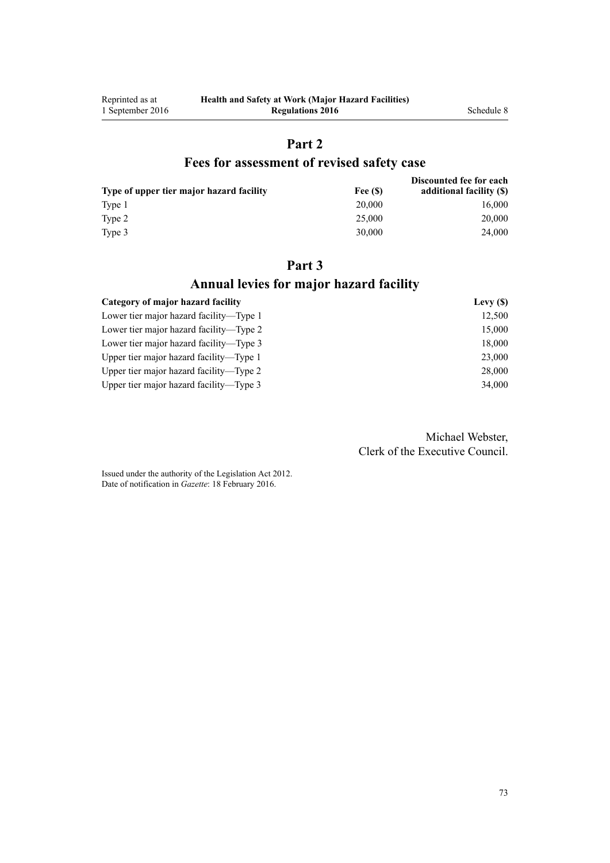# **Part 2**

### **Fees for assessment of revised safety case**

| Type of upper tier major hazard facility | Fee (S) | Discounted fee for each<br>additional facility (\$) |
|------------------------------------------|---------|-----------------------------------------------------|
| Type 1                                   | 20,000  | 16,000                                              |
| Type 2                                   | 25,000  | 20,000                                              |
| Type 3                                   | 30.000  | 24,000                                              |

## **Part 3 Annual levies for major hazard facility**

| Category of major hazard facility       | Levy $(S)$ |
|-----------------------------------------|------------|
| Lower tier major hazard facility—Type 1 | 12,500     |
| Lower tier major hazard facility—Type 2 | 15,000     |
| Lower tier major hazard facility—Type 3 | 18,000     |
| Upper tier major hazard facility—Type 1 | 23,000     |
| Upper tier major hazard facility—Type 2 | 28,000     |
| Upper tier major hazard facility—Type 3 | 34,000     |

Michael Webster, Clerk of the Executive Council.

Issued under the authority of the [Legislation Act 2012](http://prd-lgnz-nlb.prd.pco.net.nz/pdflink.aspx?id=DLM2997643). Date of notification in *Gazette*: 18 February 2016.